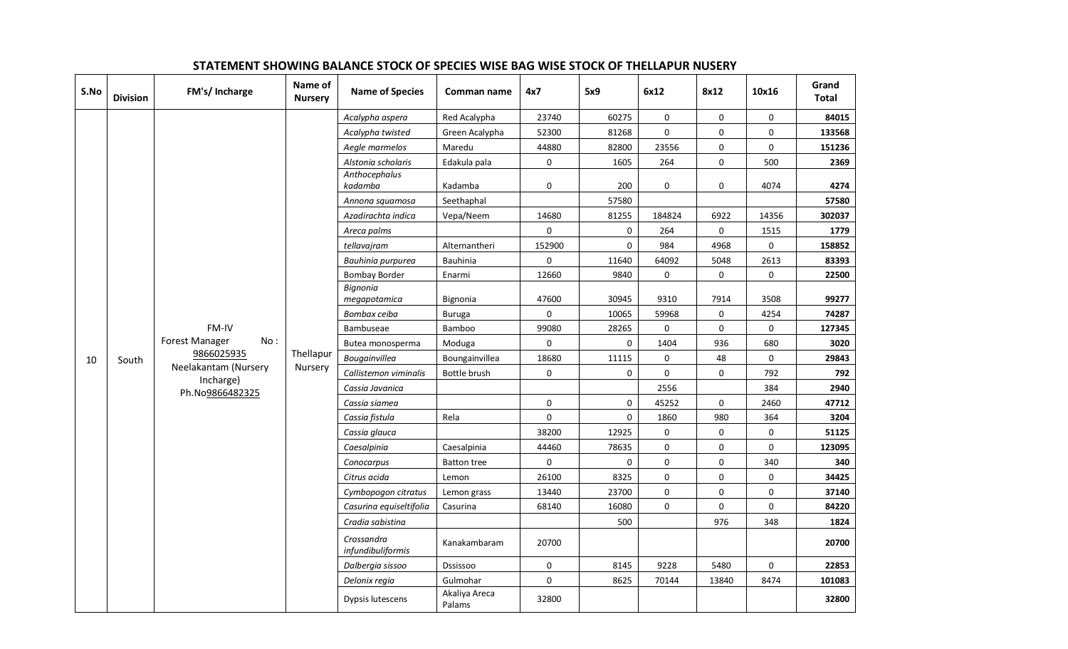| S.No | <b>Division</b> | FM's/ Incharge                    | Name of<br><b>Nursery</b> | <b>Name of Species</b>          | Comman name             | 4x7         | 5x9                 | 6x12         | 8x12        | 10x16       | Grand<br><b>Total</b> |
|------|-----------------|-----------------------------------|---------------------------|---------------------------------|-------------------------|-------------|---------------------|--------------|-------------|-------------|-----------------------|
|      |                 |                                   |                           | Acalypha aspera                 | Red Acalypha            | 23740       | 60275               | 0            | 0           | $\mathsf 0$ | 84015                 |
|      |                 |                                   |                           | Acalypha twisted                | Green Acalypha          | 52300       | 81268               | $\pmb{0}$    | $\pmb{0}$   | $\pmb{0}$   | 133568                |
|      |                 |                                   |                           | Aegle marmelos                  | Maredu                  | 44880       | 82800               | 23556        | 0           | $\mathbf 0$ | 151236                |
|      |                 |                                   |                           | Alstonia scholaris              | Edakula pala            | $\pmb{0}$   | 1605                | 264          | 0           | 500         | 2369                  |
|      |                 |                                   |                           | Anthocephalus<br>kadamba        | Kadamba                 | 0           | 200                 | 0            | 0           | 4074        | 4274                  |
|      |                 |                                   |                           | Annona squamosa                 | Seethaphal              |             | 57580               |              |             |             | 57580                 |
|      |                 |                                   |                           | Azadirachta indica              | Vepa/Neem               | 14680       | 81255               | 184824       | 6922        | 14356       | 302037                |
|      |                 |                                   |                           | Areca palms                     |                         | 0           | 0                   | 264          | 0           | 1515        | 1779                  |
|      |                 |                                   |                           | tellavajram                     | Alternantheri           | 152900      | $\mathbf 0$         | 984          | 4968        | $\mathbf 0$ | 158852                |
|      |                 |                                   |                           | Bauhinia purpurea               | Bauhinia                | 0           | 11640               | 64092        | 5048        | 2613        | 83393                 |
|      |                 |                                   |                           | <b>Bombay Border</b>            | Enarmi                  | 12660       | 9840                | 0            | 0           | $\mathsf 0$ | 22500                 |
|      |                 |                                   |                           | Bignonia<br>megapotamica        | Bignonia                | 47600       | 30945               | 9310         | 7914        | 3508        | 99277                 |
|      |                 |                                   |                           | Bombax ceiba                    | <b>Buruga</b>           | $\mathbf 0$ | 10065               | 59968        | 0           | 4254        | 74287                 |
|      |                 | FM-IV                             |                           | Bambuseae                       | Bamboo                  | 99080       | 28265               | $\mathsf{O}$ | 0           | $\mathsf 0$ | 127345                |
|      |                 | Forest Manager<br>No:             |                           | Butea monosperma                | Moduga                  | $\pmb{0}$   | $\pmb{0}$           | 1404         | 936         | 680         | 3020                  |
| 10   | South           | 9866025935                        | Thellapur                 | Bougainvillea                   | Boungainvillea          | 18680       | 11115               | 0            | 48          | $\mathsf 0$ | 29843                 |
|      |                 | Neelakantam (Nursery<br>Incharge) | Nursery                   | Callistemon viminalis           | Bottle brush            | 0           | $\mathsf{O}\xspace$ | 0            | 0           | 792         | 792                   |
|      |                 | Ph.No9866482325                   |                           | Cassia Javanica                 |                         |             |                     | 2556         |             | 384         | 2940                  |
|      |                 |                                   |                           | Cassia siamea                   |                         | 0           | $\mathbf 0$         | 45252        | 0           | 2460        | 47712                 |
|      |                 |                                   |                           | Cassia fistula                  | Rela                    | $\mathbf 0$ | $\mathsf{O}\xspace$ | 1860         | 980         | 364         | 3204                  |
|      |                 |                                   |                           | Cassia glauca                   |                         | 38200       | 12925               | 0            | 0           | 0           | 51125                 |
|      |                 |                                   |                           | Caesalpinia                     | Caesalpinia             | 44460       | 78635               | $\pmb{0}$    | 0           | $\pmb{0}$   | 123095                |
|      |                 |                                   |                           | Conocarpus                      | <b>Batton tree</b>      | 0           | 0                   | 0            | 0           | 340         | 340                   |
|      |                 |                                   |                           | Citrus acida                    | Lemon                   | 26100       | 8325                | 0            | 0           | $\mathsf 0$ | 34425                 |
|      |                 |                                   |                           | Cymbopogon citratus             | Lemon grass             | 13440       | 23700               | $\mathbf 0$  | $\mathbf 0$ | $\mathbf 0$ | 37140                 |
|      |                 |                                   |                           | Casurina equiseltifolia         | Casurina                | 68140       | 16080               | 0            | 0           | $\pmb{0}$   | 84220                 |
|      |                 |                                   |                           | Cradia sabistina                |                         |             | 500                 |              | 976         | 348         | 1824                  |
|      |                 |                                   |                           | Crossandra<br>infundibuliformis | Kanakambaram            | 20700       |                     |              |             |             | 20700                 |
|      |                 |                                   |                           | Dalbergia sissoo                | Dssissoo                | 0           | 8145                | 9228         | 5480        | 0           | 22853                 |
|      |                 |                                   |                           | Delonix regia                   | Gulmohar                | $\mathbf 0$ | 8625                | 70144        | 13840       | 8474        | 101083                |
|      |                 |                                   |                           | Dypsis lutescens                | Akaliya Areca<br>Palams | 32800       |                     |              |             |             | 32800                 |

#### **STATEMENT SHOWING BALANCE STOCK OF SPECIES WISE BAG WISE STOCK OF THELLAPUR NUSERY**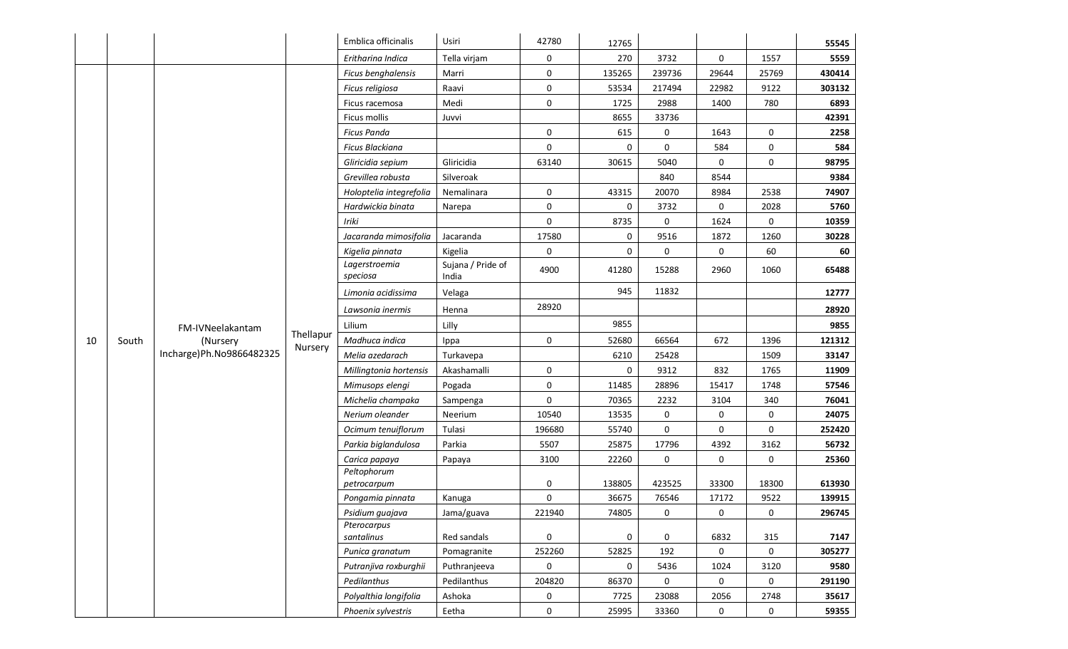|    |       |                          |           | Emblica officinalis        | Usiri                      | 42780               | 12765  |        |       |              | 55545  |
|----|-------|--------------------------|-----------|----------------------------|----------------------------|---------------------|--------|--------|-------|--------------|--------|
|    |       |                          |           | Eritharina Indica          | Tella virjam               | 0                   | 270    | 3732   | 0     | 1557         | 5559   |
|    |       |                          |           | Ficus benghalensis         | Marri                      | 0                   | 135265 | 239736 | 29644 | 25769        | 430414 |
|    |       |                          |           | Ficus religiosa            | Raavi                      | 0                   | 53534  | 217494 | 22982 | 9122         | 303132 |
|    |       |                          |           | Ficus racemosa             | Medi                       | 0                   | 1725   | 2988   | 1400  | 780          | 6893   |
|    |       |                          |           | Ficus mollis               | Juvvi                      |                     | 8655   | 33736  |       |              | 42391  |
|    |       |                          |           | <b>Ficus Panda</b>         |                            | 0                   | 615    | 0      | 1643  | 0            | 2258   |
|    |       |                          |           | <b>Ficus Blackiana</b>     |                            | 0                   | 0      | 0      | 584   | 0            | 584    |
|    |       |                          |           | Gliricidia sepium          | Gliricidia                 | 63140               | 30615  | 5040   | 0     | 0            | 98795  |
|    |       |                          |           | Grevillea robusta          | Silveroak                  |                     |        | 840    | 8544  |              | 9384   |
|    |       |                          |           | Holoptelia integrefolia    | Nemalinara                 | 0                   | 43315  | 20070  | 8984  | 2538         | 74907  |
|    |       |                          |           | Hardwickia binata          | Narepa                     | 0                   | 0      | 3732   | 0     | 2028         | 5760   |
|    |       |                          |           | Iriki                      |                            | 0                   | 8735   | 0      | 1624  | 0            | 10359  |
|    |       |                          |           | Jacaranda mimosifolia      | Jacaranda                  | 17580               | 0      | 9516   | 1872  | 1260         | 30228  |
|    |       |                          |           | Kigelia pinnata            | Kigelia                    | 0                   | 0      | 0      | 0     | 60           | 60     |
|    |       |                          |           | Lagerstroemia<br>speciosa  | Sujana / Pride of<br>India | 4900                | 41280  | 15288  | 2960  | 1060         | 65488  |
|    |       |                          |           | Limonia acidissima         | Velaga                     |                     | 945    | 11832  |       |              | 12777  |
|    |       |                          |           | Lawsonia inermis           | Henna                      | 28920               |        |        |       |              | 28920  |
|    |       | FM-IVNeelakantam         |           | Lilium                     | Lilly                      |                     | 9855   |        |       |              | 9855   |
| 10 | South | (Nursery                 | Thellapur | Madhuca indica             | Ippa                       | 0                   | 52680  | 66564  | 672   | 1396         | 121312 |
|    |       | Incharge)Ph.No9866482325 | Nursery   | Melia azedarach            | Turkavepa                  |                     | 6210   | 25428  |       | 1509         | 33147  |
|    |       |                          |           | Millingtonia hortensis     | Akashamalli                | 0                   | 0      | 9312   | 832   | 1765         | 11909  |
|    |       |                          |           | Mimusops elengi            | Pogada                     | 0                   | 11485  | 28896  | 15417 | 1748         | 57546  |
|    |       |                          |           | Michelia champaka          | Sampenga                   | 0                   | 70365  | 2232   | 3104  | 340          | 76041  |
|    |       |                          |           | Nerium oleander            | Neerium                    | 10540               | 13535  | 0      | 0     | 0            | 24075  |
|    |       |                          |           | Ocimum tenuiflorum         | Tulasi                     | 196680              | 55740  | 0      | 0     | 0            | 252420 |
|    |       |                          |           | Parkia biglandulosa        | Parkia                     | 5507                | 25875  | 17796  | 4392  | 3162         | 56732  |
|    |       |                          |           | Carica papaya              | Papaya                     | 3100                | 22260  | 0      | 0     | 0            | 25360  |
|    |       |                          |           | Peltophorum<br>petrocarpum |                            | 0                   | 138805 | 423525 | 33300 | 18300        | 613930 |
|    |       |                          |           | Pongamia pinnata           | Kanuga                     | 0                   | 36675  | 76546  | 17172 | 9522         | 139915 |
|    |       |                          |           | Psidium guajava            | Jama/guava                 | 221940              | 74805  | 0      | 0     | 0            | 296745 |
|    |       |                          |           | Pterocarpus                |                            |                     |        |        |       |              |        |
|    |       |                          |           | santalinus                 | Red sandals                | 0                   | 0      | 0      | 6832  | 315          | 7147   |
|    |       |                          |           | Punica granatum            | Pomagranite                | 252260              | 52825  | 192    | 0     | $\mathsf{O}$ | 305277 |
|    |       |                          |           | Putranjiva roxburghii      | Puthranjeeva               | $\mathsf{O}\xspace$ | 0      | 5436   | 1024  | 3120         | 9580   |
|    |       |                          |           | Pedilanthus                | Pedilanthus                | 204820              | 86370  | 0      | 0     | 0            | 291190 |
|    |       |                          |           | Polyalthia longifolia      | Ashoka                     | 0                   | 7725   | 23088  | 2056  | 2748         | 35617  |
|    |       |                          |           | Phoenix sylvestris         | Eetha                      | 0                   | 25995  | 33360  | 0     | 0            | 59355  |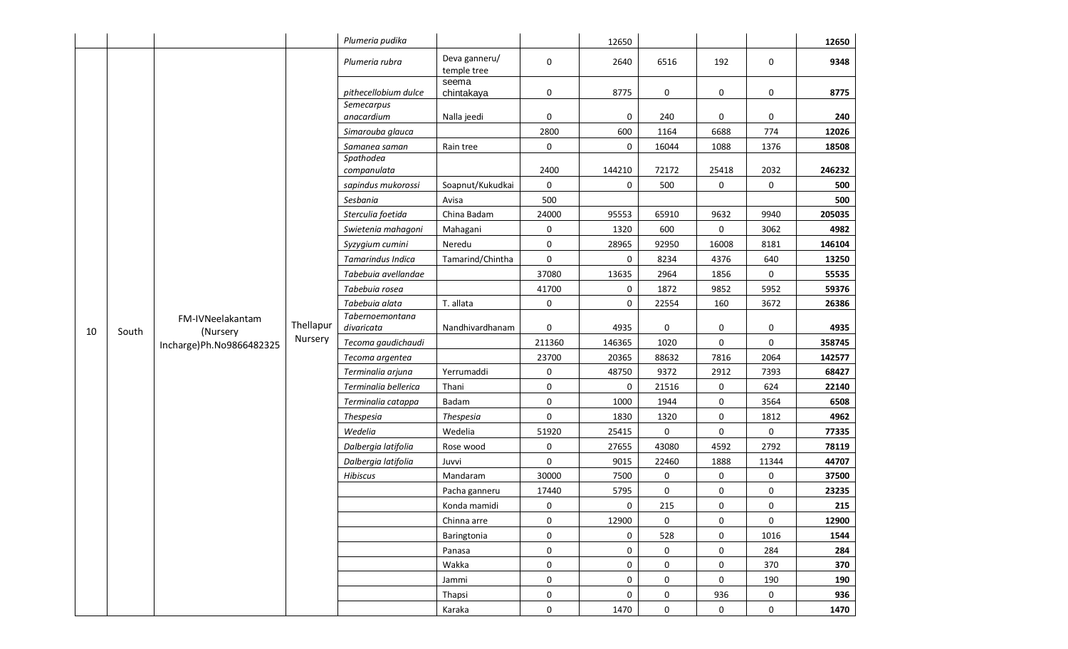|    |       |                              |           | Plumeria pudika               |                              |                     | 12650  |             |           |                     | 12650  |
|----|-------|------------------------------|-----------|-------------------------------|------------------------------|---------------------|--------|-------------|-----------|---------------------|--------|
|    |       |                              |           | Plumeria rubra                | Deva ganneru/<br>temple tree | 0                   | 2640   | 6516        | 192       | 0                   | 9348   |
|    | South |                              |           | pithecellobium dulce          | seema<br>chintakaya          | 0                   | 8775   | 0           | 0         | 0                   | 8775   |
|    |       |                              |           | Semecarpus<br>anacardium      | Nalla jeedi                  | 0                   | 0      | 240         | 0         | 0                   | 240    |
|    |       |                              |           | Simarouba glauca              |                              | 2800                | 600    | 1164        | 6688      | 774                 | 12026  |
|    |       |                              |           | Samanea saman                 | Rain tree                    | 0                   | 0      | 16044       | 1088      | 1376                | 18508  |
|    |       |                              |           | Spathodea                     |                              |                     |        |             |           |                     |        |
|    |       |                              |           | companulata                   |                              | 2400                | 144210 | 72172       | 25418     | 2032                | 246232 |
|    |       |                              |           | sapindus mukorossi            | Soapnut/Kukudkai             | $\mathsf{O}\xspace$ | 0      | 500         | 0         | 0                   | 500    |
|    |       |                              |           | Sesbania                      | Avisa                        | 500                 |        |             |           |                     | 500    |
|    |       |                              |           | Sterculia foetida             | China Badam                  | 24000               | 95553  | 65910       | 9632      | 9940                | 205035 |
|    |       |                              |           | Swietenia mahagoni            | Mahagani                     | 0                   | 1320   | 600         | 0         | 3062                | 4982   |
|    |       |                              |           | Syzygium cumini               | Neredu                       | 0                   | 28965  | 92950       | 16008     | 8181                | 146104 |
|    |       |                              |           | Tamarindus Indica             | Tamarind/Chintha             | 0                   | 0      | 8234        | 4376      | 640                 | 13250  |
|    |       |                              |           | Tabebuia avellandae           |                              | 37080               | 13635  | 2964        | 1856      | 0                   | 55535  |
|    |       |                              |           | Tabebuia rosea                |                              | 41700               | 0      | 1872        | 9852      | 5952                | 59376  |
|    |       |                              |           | Tabebuia alata                | T. allata                    | 0                   | 0      | 22554       | 160       | 3672                | 26386  |
| 10 |       | FM-IVNeelakantam<br>(Nursery | Thellapur | Tabernoemontana<br>divaricata | Nandhivardhanam              | 0                   | 4935   | 0           | 0         | 0                   | 4935   |
|    |       | Incharge) Ph. No 9866482325  | Nursery   | Tecoma gaudichaudi            |                              | 211360              | 146365 | 1020        | 0         | $\mathsf 0$         | 358745 |
|    |       |                              |           | Tecoma argentea               |                              | 23700               | 20365  | 88632       | 7816      | 2064                | 142577 |
|    |       |                              |           | Terminalia arjuna             | Yerrumaddi                   | 0                   | 48750  | 9372        | 2912      | 7393                | 68427  |
|    |       |                              |           | Terminalia bellerica          | Thani                        | 0                   | 0      | 21516       | 0         | 624                 | 22140  |
|    |       |                              |           | Terminalia catappa            | Badam                        | $\pmb{0}$           | 1000   | 1944        | $\pmb{0}$ | 3564                | 6508   |
|    |       |                              |           | Thespesia                     | <b>Thespesia</b>             | 0                   | 1830   | 1320        | 0         | 1812                | 4962   |
|    |       |                              |           | Wedelia                       | Wedelia                      | 51920               | 25415  | 0           | 0         | 0                   | 77335  |
|    |       |                              |           | Dalbergia latifolia           | Rose wood                    | 0                   | 27655  | 43080       | 4592      | 2792                | 78119  |
|    |       |                              |           | Dalbergia latifolia           | Juvvi                        | 0                   | 9015   | 22460       | 1888      | 11344               | 44707  |
|    |       |                              |           | Hibiscus                      | Mandaram                     | 30000               | 7500   | 0           | 0         | 0                   | 37500  |
|    |       |                              |           |                               | Pacha ganneru                | 17440               | 5795   | 0           | $\pmb{0}$ | 0                   | 23235  |
|    |       |                              |           |                               | Konda mamidi                 | 0                   | 0      | 215         | 0         | 0                   | 215    |
|    |       |                              |           |                               | Chinna arre                  | 0                   | 12900  | 0           | 0         | 0                   | 12900  |
|    |       |                              |           |                               | Baringtonia                  | $\mathsf{O}\xspace$ | 0      | 528         | 0         | 1016                | 1544   |
|    |       |                              |           |                               | Panasa                       | $\pmb{0}$           | 0      | 0           | 0         | 284                 | 284    |
|    |       |                              |           |                               | Wakka                        | 0                   | 0      | 0           | $\pmb{0}$ | 370                 | 370    |
|    |       |                              |           |                               | Jammi                        | $\mathsf{O}\xspace$ | 0      | $\mathbf 0$ | 0         | 190                 | 190    |
|    |       |                              |           |                               | Thapsi                       | 0                   | 0      | 0           | 936       | $\mathsf{O}\xspace$ | 936    |
|    |       |                              |           |                               | Karaka                       | 0                   | 1470   | 0           | 0         | $\mathbf 0$         | 1470   |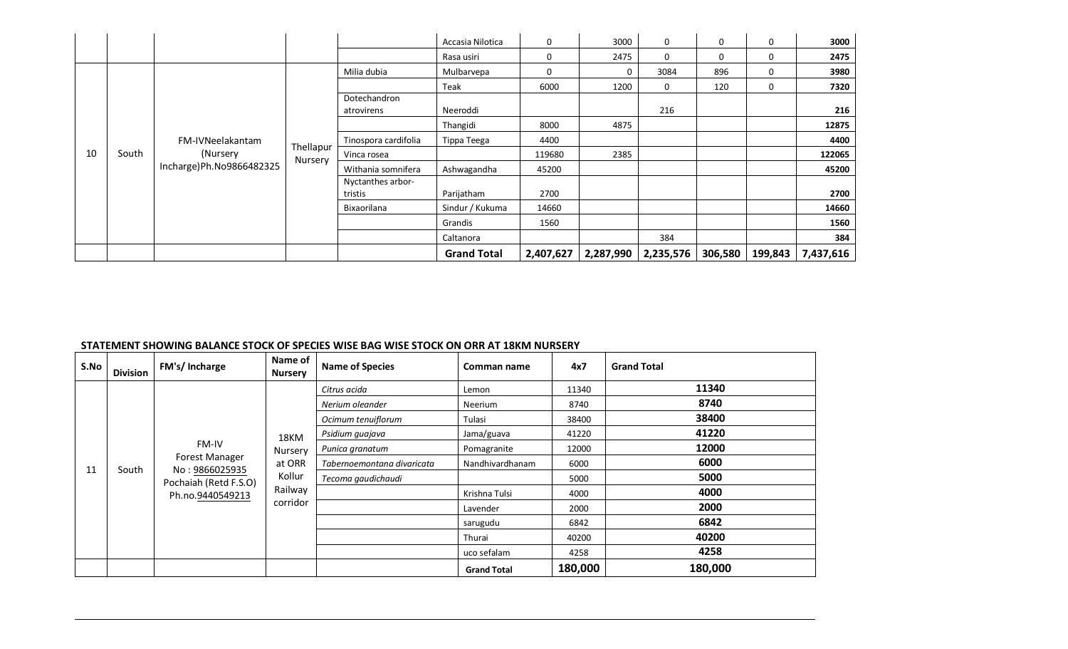|    |       |                           |                      |                              | Accasia Nilotica   | 0         | 3000      | 0         | 0       | 0        | 3000      |
|----|-------|---------------------------|----------------------|------------------------------|--------------------|-----------|-----------|-----------|---------|----------|-----------|
|    |       |                           |                      |                              | Rasa usiri         | 0         | 2475      | 0         | 0       | $\Omega$ | 2475      |
|    |       |                           |                      | Milia dubia                  | Mulbarvepa         | 0         | 0         | 3084      | 896     | 0        | 3980      |
|    |       |                           |                      |                              | Teak               | 6000      | 1200      | 0         | 120     | 0        | 7320      |
|    |       |                           |                      | Dotechandron<br>atrovirens   | Neeroddi           |           |           | 216       |         |          | 216       |
|    |       |                           |                      |                              | Thangidi           | 8000      | 4875      |           |         |          | 12875     |
|    |       | FM-IVNeelakantam          |                      | Tinospora cardifolia         | Tippa Teega        | 4400      |           |           |         |          | 4400      |
| 10 | South | (Nursery                  | Thellapur<br>Nursery | Vinca rosea                  |                    | 119680    | 2385      |           |         |          | 122065    |
|    |       | Incharge) Ph.No9866482325 |                      | Withania somnifera           | Ashwagandha        | 45200     |           |           |         |          | 45200     |
|    |       |                           |                      | Nyctanthes arbor-<br>tristis | Parijatham         | 2700      |           |           |         |          | 2700      |
|    |       |                           |                      | Bixaorilana                  | Sindur / Kukuma    | 14660     |           |           |         |          | 14660     |
|    |       |                           |                      |                              | Grandis            | 1560      |           |           |         |          | 1560      |
|    |       |                           |                      |                              | Caltanora          |           |           | 384       |         |          | 384       |
|    |       |                           |                      |                              | <b>Grand Total</b> | 2,407,627 | 2,287,990 | 2,235,576 | 306,580 | 199,843  | 7,437,616 |

#### **STATEMENT SHOWING BALANCE STOCK OF SPECIES WISE BAG WISE STOCK ON ORR AT 18KM NURSERY**

| S.No | <b>Division</b> | FM's/Incharge                                                                 | Name of<br><b>Nursery</b> | <b>Name of Species</b>     | Comman name        | 4x7           | <b>Grand Total</b> |
|------|-----------------|-------------------------------------------------------------------------------|---------------------------|----------------------------|--------------------|---------------|--------------------|
|      |                 |                                                                               |                           | Citrus acida               | Lemon              | 11340         | 11340              |
|      |                 |                                                                               |                           | Nerium oleander            | Neerium            | 8740          | 8740               |
|      |                 |                                                                               |                           | Ocimum tenuiflorum         | Tulasi             | 38400         | 38400              |
|      |                 |                                                                               | 18KM                      | Psidium quajava            | Jama/guava         | 41220         | 41220              |
|      |                 | <b>FM-IV</b>                                                                  | Nursery                   | Punica granatum            | Pomagranite        | 12000         | 12000              |
| 11   | South           | Forest Manager<br>No: 9866025935<br>Pochaiah (Retd F.S.O)<br>Ph.no.9440549213 | at ORR                    | Tabernoemontana divaricata | Nandhivardhanam    | 6000          | 6000               |
|      |                 |                                                                               | Kollur                    | Tecoma gaudichaudi         |                    | 5000          | 5000               |
|      |                 |                                                                               | Railway                   |                            |                    | Krishna Tulsi | 4000               |
|      |                 |                                                                               | corridor                  |                            | Lavender           | 2000          | 2000               |
|      |                 |                                                                               |                           |                            | sarugudu           | 6842          | 6842               |
|      |                 |                                                                               |                           |                            | Thurai             | 40200         | 40200              |
|      |                 |                                                                               |                           |                            | uco sefalam        | 4258          | 4258               |
|      |                 |                                                                               |                           |                            | <b>Grand Total</b> | 180,000       | 180,000            |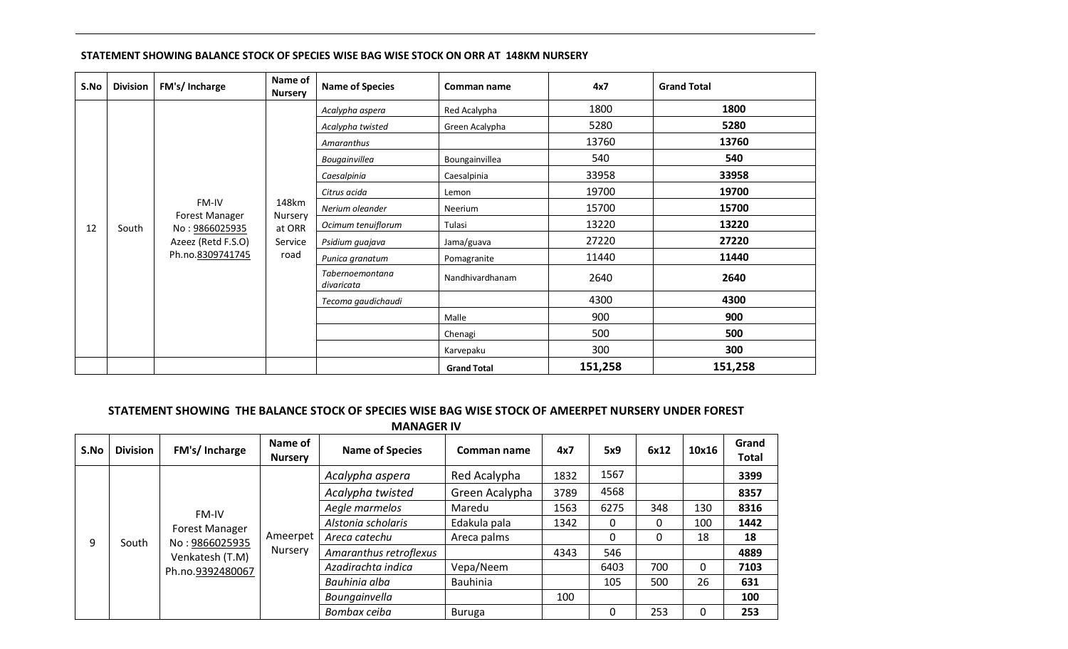| S.No | <b>Division</b> | FM's/ Incharge                                                  | Name of<br><b>Nursery</b> | <b>Name of Species</b> | Comman name        | 4x7     | <b>Grand Total</b> |      |                 |             |       |       |  |  |  |  |
|------|-----------------|-----------------------------------------------------------------|---------------------------|------------------------|--------------------|---------|--------------------|------|-----------------|-------------|-------|-------|--|--|--|--|
|      |                 |                                                                 |                           | Acalypha aspera        | Red Acalypha       | 1800    | 1800               |      |                 |             |       |       |  |  |  |  |
|      |                 |                                                                 |                           | Acalypha twisted       | Green Acalypha     | 5280    | 5280               |      |                 |             |       |       |  |  |  |  |
|      |                 |                                                                 |                           | Amaranthus             |                    | 13760   | 13760              |      |                 |             |       |       |  |  |  |  |
|      |                 |                                                                 |                           | Bougainvillea          | Boungainvillea     | 540     | 540                |      |                 |             |       |       |  |  |  |  |
|      |                 |                                                                 |                           | Caesalpinia            | Caesalpinia        | 33958   | 33958              |      |                 |             |       |       |  |  |  |  |
|      | 12<br>South     |                                                                 |                           | Citrus acida           | Lemon              | 19700   | 19700              |      |                 |             |       |       |  |  |  |  |
|      |                 | FM-IV<br>Forest Manager<br>No: 9866025935<br>Azeez (Retd F.S.O) | 148km                     | Nerium oleander        | Neerium            | 15700   | 15700              |      |                 |             |       |       |  |  |  |  |
|      |                 |                                                                 | Nursery<br>at ORR         | Ocimum tenuiflorum     | Tulasi             | 13220   | 13220              |      |                 |             |       |       |  |  |  |  |
|      |                 |                                                                 | Service                   | Psidium guajava        | Jama/guava         | 27220   | 27220              |      |                 |             |       |       |  |  |  |  |
|      |                 | Ph.no.8309741745                                                | road                      |                        |                    |         |                    |      | Punica granatum | Pomagranite | 11440 | 11440 |  |  |  |  |
|      |                 |                                                                 |                           |                        |                    |         |                    |      |                 |             |       |       |  |  |  |  |
|      |                 |                                                                 |                           |                        | Tecoma gaudichaudi |         | 4300               | 4300 |                 |             |       |       |  |  |  |  |
|      |                 |                                                                 |                           |                        | Malle              | 900     | 900                |      |                 |             |       |       |  |  |  |  |
|      |                 |                                                                 |                           |                        | Chenagi            | 500     | 500                |      |                 |             |       |       |  |  |  |  |
|      |                 |                                                                 |                           |                        | Karvepaku          | 300     | 300                |      |                 |             |       |       |  |  |  |  |
|      |                 |                                                                 |                           |                        | <b>Grand Total</b> | 151,258 | 151,258            |      |                 |             |       |       |  |  |  |  |

### **STATEMENT SHOWING BALANCE STOCK OF SPECIES WISE BAG WISE STOCK ON ORR AT 148KM NURSERY**

### **STATEMENT SHOWING THE BALANCE STOCK OF SPECIES WISE BAG WISE STOCK OF AMEERPET NURSERY UNDER FOREST MANAGER IV**

| S.No | <b>Division</b> | FM's/Incharge         | Name of<br><b>Nursery</b> | <b>Name of Species</b> | Comman name    | 4x7           | 5x9             | 6x12 | 10x16 | Grand<br><b>Total</b> |    |     |
|------|-----------------|-----------------------|---------------------------|------------------------|----------------|---------------|-----------------|------|-------|-----------------------|----|-----|
|      |                 |                       |                           | Acalypha aspera        | Red Acalypha   | 1832          | 1567            |      |       | 3399                  |    |     |
|      |                 |                       |                           | Acalypha twisted       | Green Acalypha | 3789          | 4568            |      |       | 8357                  |    |     |
|      |                 | FM-IV                 |                           | Aegle marmelos         | Maredu         | 1563          | 6275            | 348  | 130   | 8316                  |    |     |
|      |                 | <b>Forest Manager</b> |                           | Alstonia scholaris     | Edakula pala   | 1342          | 0               | 0    | 100   | 1442                  |    |     |
| 9    | South           | No: 9866025935        | Ameerpet                  | Areca catechu          | Areca palms    |               | $\Omega$        | 0    | 18    | 18                    |    |     |
|      |                 | Venkatesh (T.M)       | Nursery                   | Amaranthus retroflexus |                | 4343          | 546             |      |       | 4889                  |    |     |
|      |                 | Ph.no.9392480067      |                           | Azadirachta indica     | Vepa/Neem      |               | 6403            | 700  | 0     | 7103                  |    |     |
|      |                 |                       |                           |                        |                | Bauhinia alba | <b>Bauhinia</b> |      | 105   | 500                   | 26 | 631 |
|      |                 |                       |                           | Boungainvella          |                | 100           |                 |      |       | 100                   |    |     |
|      |                 |                       |                           | Bombax ceiba           | Buruga         |               | 0               | 253  | 0     | 253                   |    |     |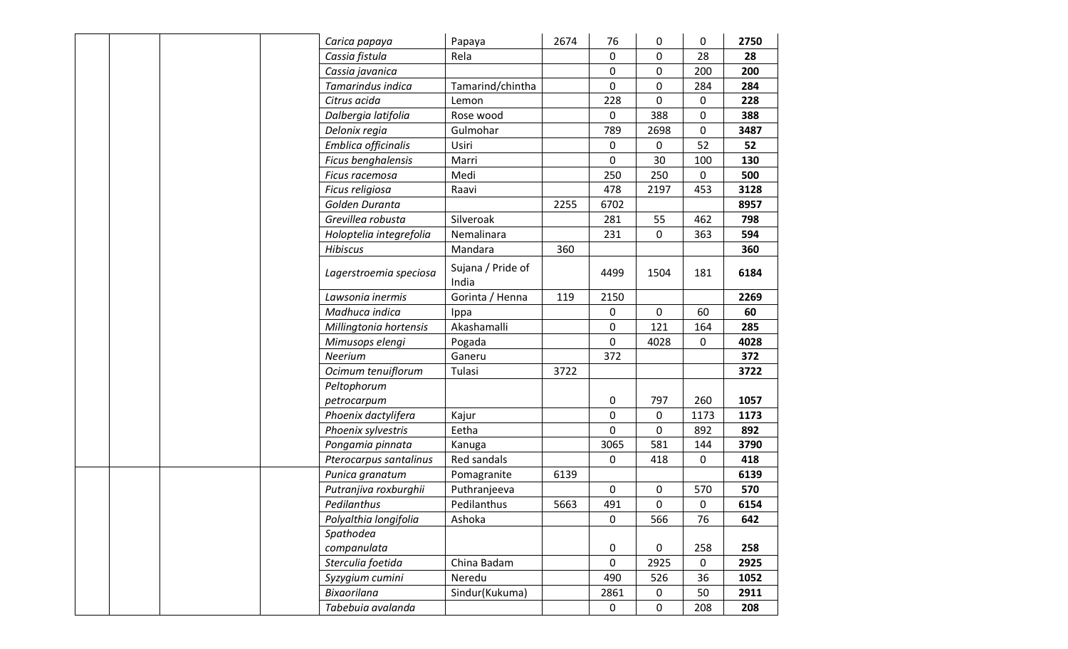|  |  | Carica papaya           | Papaya                     | 2674 | 76          | 0           | $\mathbf 0$ | 2750 |
|--|--|-------------------------|----------------------------|------|-------------|-------------|-------------|------|
|  |  | Cassia fistula          | Rela                       |      | $\mathbf 0$ | 0           | 28          | 28   |
|  |  | Cassia javanica         |                            |      | 0           | 0           | 200         | 200  |
|  |  | Tamarindus indica       | Tamarind/chintha           |      | $\mathbf 0$ | 0           | 284         | 284  |
|  |  | Citrus acida            | Lemon                      |      | 228         | 0           | $\mathbf 0$ | 228  |
|  |  | Dalbergia latifolia     | Rose wood                  |      | $\mathbf 0$ | 388         | 0           | 388  |
|  |  | Delonix regia           | Gulmohar                   |      | 789         | 2698        | $\mathbf 0$ | 3487 |
|  |  | Emblica officinalis     | Usiri                      |      | $\mathbf 0$ | 0           | 52          | 52   |
|  |  | Ficus benghalensis      | Marri                      |      | 0           | 30          | 100         | 130  |
|  |  | Ficus racemosa          | Medi                       |      | 250         | 250         | $\mathbf 0$ | 500  |
|  |  | Ficus religiosa         | Raavi                      |      | 478         | 2197        | 453         | 3128 |
|  |  | Golden Duranta          |                            | 2255 | 6702        |             |             | 8957 |
|  |  | Grevillea robusta       | Silveroak                  |      | 281         | 55          | 462         | 798  |
|  |  | Holoptelia integrefolia | Nemalinara                 |      | 231         | $\mathbf 0$ | 363         | 594  |
|  |  | <b>Hibiscus</b>         | Mandara                    | 360  |             |             |             | 360  |
|  |  | Lagerstroemia speciosa  | Sujana / Pride of<br>India |      | 4499        | 1504        | 181         | 6184 |
|  |  | Lawsonia inermis        | Gorinta / Henna            | 119  | 2150        |             |             | 2269 |
|  |  | Madhuca indica          | Ippa                       |      | 0           | 0           | 60          | 60   |
|  |  | Millingtonia hortensis  | Akashamalli                |      | 0           | 121         | 164         | 285  |
|  |  | Mimusops elengi         | Pogada                     |      | $\mathbf 0$ | 4028        | $\mathbf 0$ | 4028 |
|  |  | Neerium                 | Ganeru                     |      | 372         |             |             | 372  |
|  |  | Ocimum tenuiflorum      | Tulasi                     | 3722 |             |             |             | 3722 |
|  |  | Peltophorum             |                            |      |             |             |             |      |
|  |  | petrocarpum             |                            |      | 0           | 797         | 260         | 1057 |
|  |  | Phoenix dactylifera     | Kajur                      |      | 0           | 0           | 1173        | 1173 |
|  |  | Phoenix sylvestris      | Eetha                      |      | $\mathbf 0$ | $\mathbf 0$ | 892         | 892  |
|  |  | Pongamia pinnata        | Kanuga                     |      | 3065        | 581         | 144         | 3790 |
|  |  | Pterocarpus santalinus  | Red sandals                |      | 0           | 418         | 0           | 418  |
|  |  | Punica granatum         | Pomagranite                | 6139 |             |             |             | 6139 |
|  |  | Putranjiva roxburghii   | Puthranjeeva               |      | $\mathbf 0$ | 0           | 570         | 570  |
|  |  | Pedilanthus             | Pedilanthus                | 5663 | 491         | $\mathbf 0$ | 0           | 6154 |
|  |  | Polyalthia longifolia   | Ashoka                     |      | $\mathbf 0$ | 566         | 76          | 642  |
|  |  | Spathodea               |                            |      |             |             |             |      |
|  |  | companulata             |                            |      | 0           | 0           | 258         | 258  |
|  |  | Sterculia foetida       | China Badam                |      | $\mathbf 0$ | 2925        | $\mathbf 0$ | 2925 |
|  |  | Syzygium cumini         | Neredu                     |      | 490         | 526         | 36          | 1052 |
|  |  | <b>Bixaorilana</b>      | Sindur(Kukuma)             |      | 2861        | 0           | 50          | 2911 |
|  |  | Tabebuia avalanda       |                            |      | $\mathbf 0$ | $\mathbf 0$ | 208         | 208  |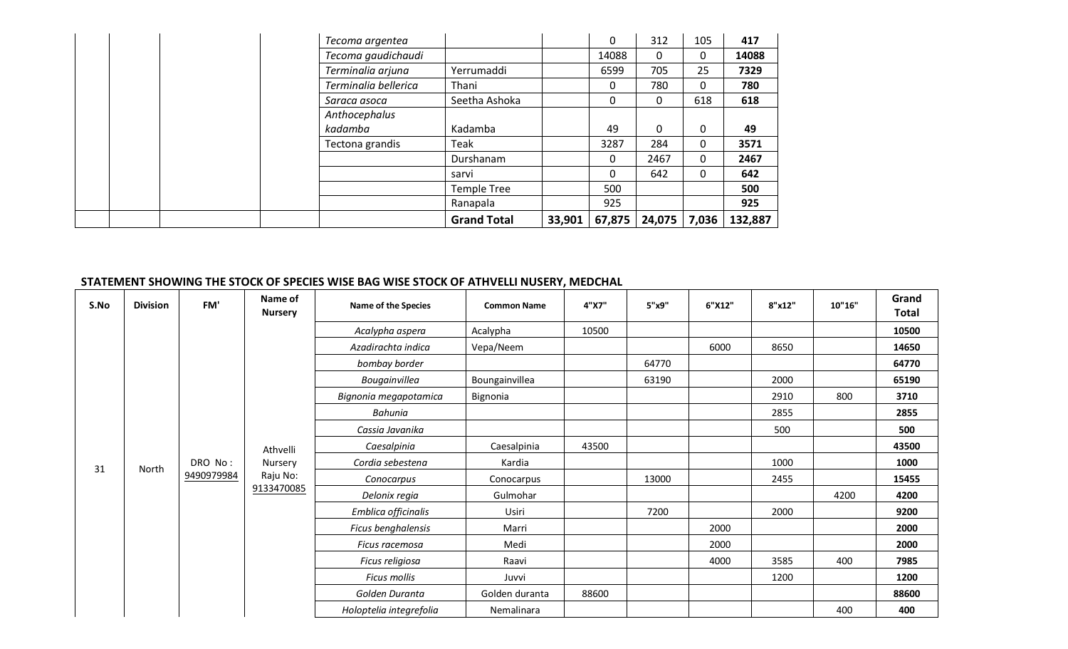| Tecoma argentea      |                    |        | $\Omega$ | 312          | 105 | 417     |
|----------------------|--------------------|--------|----------|--------------|-----|---------|
| Tecoma gaudichaudi   |                    |        | 14088    | 0            | 0   | 14088   |
| Terminalia arjuna    | Yerrumaddi         |        | 6599     | 705          | 25  | 7329    |
| Terminalia bellerica | Thani              |        | 0        | 780          | 0   | 780     |
| Saraca asoca         | Seetha Ashoka      |        | 0        | 0            | 618 | 618     |
| Anthocephalus        |                    |        |          |              |     |         |
| kadamba              | Kadamba            |        | 49       | 0            | 0   | 49      |
| Tectona grandis      | Teak               |        | 3287     | 284          | 0   | 3571    |
|                      | Durshanam          |        | 0        | 2467         | 0   | 2467    |
|                      | sarvi              |        | 0        | 642          | 0   | 642     |
|                      | <b>Temple Tree</b> |        | 500      |              |     | 500     |
|                      | Ranapala           |        | 925      |              |     | 925     |
|                      | <b>Grand Total</b> | 33,901 | 67,875   | 24,075 7,036 |     | 132,887 |

### **STATEMENT SHOWING THE STOCK OF SPECIES WISE BAG WISE STOCK OF ATHVELLI NUSERY, MEDCHAL**

| S.No | <b>Division</b> | FM'        | Name of<br><b>Nursery</b> | Name of the Species     | <b>Common Name</b> | 4"X7" | 5"x9" | 6"X12" | 8"x12" | 10"16" | Grand<br><b>Total</b> |
|------|-----------------|------------|---------------------------|-------------------------|--------------------|-------|-------|--------|--------|--------|-----------------------|
|      |                 |            |                           | Acalypha aspera         | Acalypha           | 10500 |       |        |        |        | 10500                 |
|      |                 |            |                           | Azadirachta indica      | Vepa/Neem          |       |       | 6000   | 8650   |        | 14650                 |
|      |                 |            |                           | bombay border           |                    |       | 64770 |        |        |        | 64770                 |
|      |                 |            |                           | Bougainvillea           | Boungainvillea     |       | 63190 |        | 2000   |        | 65190                 |
|      |                 |            |                           | Bignonia megapotamica   | Bignonia           |       |       |        | 2910   | 800    | 3710                  |
|      |                 |            |                           | Bahunia                 |                    |       |       |        | 2855   |        | 2855                  |
|      |                 |            |                           | Cassia Javanika         |                    |       |       |        | 500    |        | 500                   |
|      |                 |            | Athvelli                  | Caesalpinia             | Caesalpinia        | 43500 |       |        |        |        | 43500                 |
| 31   | North           | DRO No:    | Nursery                   | Cordia sebestena        | Kardia             |       |       |        | 1000   |        | 1000                  |
|      |                 | 9490979984 | Raju No:                  | Conocarpus              | Conocarpus         |       | 13000 |        | 2455   |        | 15455                 |
|      |                 |            | 9133470085                | Delonix regia           | Gulmohar           |       |       |        |        | 4200   | 4200                  |
|      |                 |            |                           | Emblica officinalis     | Usiri              |       | 7200  |        | 2000   |        | 9200                  |
|      |                 |            |                           | Ficus benghalensis      | Marri              |       |       | 2000   |        |        | 2000                  |
|      |                 |            |                           | Ficus racemosa          | Medi               |       |       | 2000   |        |        | 2000                  |
|      |                 |            |                           | Ficus religiosa         | Raavi              |       |       | 4000   | 3585   | 400    | 7985                  |
|      |                 |            |                           | Ficus mollis            | Juvvi              |       |       |        | 1200   |        | 1200                  |
|      |                 |            |                           | Golden Duranta          | Golden duranta     | 88600 |       |        |        |        | 88600                 |
|      |                 |            |                           | Holoptelia integrefolia | Nemalinara         |       |       |        |        | 400    | 400                   |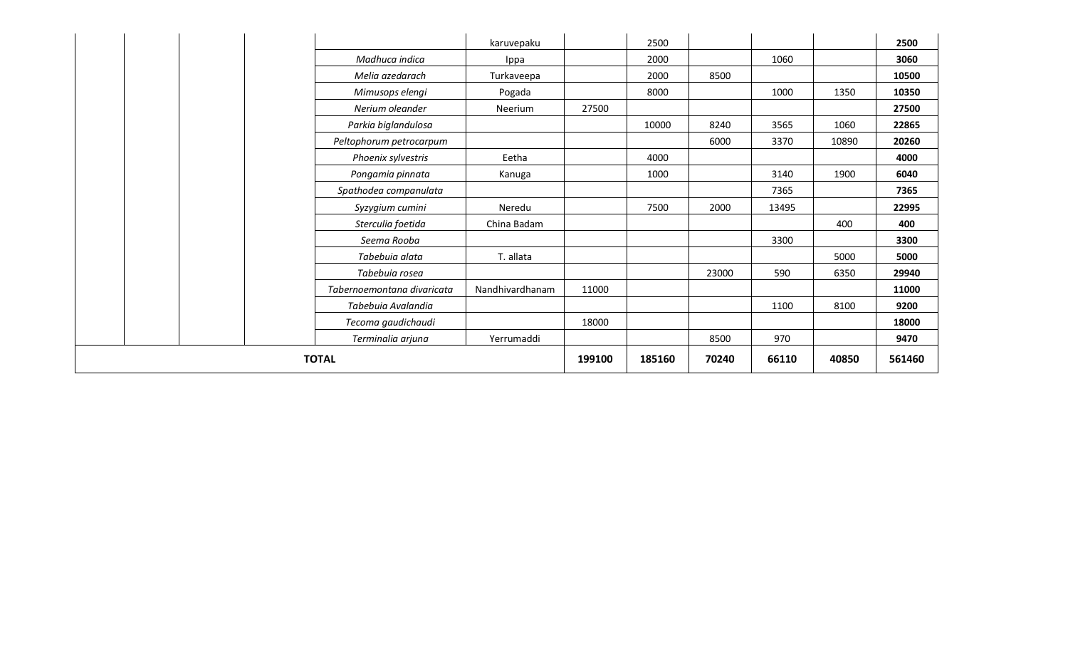|                            | karuvepaku      |        | 2500   |       |       |       | 2500   |
|----------------------------|-----------------|--------|--------|-------|-------|-------|--------|
| Madhuca indica             | Ippa            |        | 2000   |       | 1060  |       | 3060   |
| Melia azedarach            | Turkaveepa      |        | 2000   | 8500  |       |       | 10500  |
| Mimusops elengi            | Pogada          |        | 8000   |       | 1000  | 1350  | 10350  |
| Nerium oleander            | Neerium         | 27500  |        |       |       |       | 27500  |
| Parkia biglandulosa        |                 |        | 10000  | 8240  | 3565  | 1060  | 22865  |
| Peltophorum petrocarpum    |                 |        |        | 6000  | 3370  | 10890 | 20260  |
| Phoenix sylvestris         | Eetha           |        | 4000   |       |       |       | 4000   |
| Pongamia pinnata           | Kanuga          |        | 1000   |       | 3140  | 1900  | 6040   |
| Spathodea companulata      |                 |        |        |       | 7365  |       | 7365   |
| Syzygium cumini            | Neredu          |        | 7500   | 2000  | 13495 |       | 22995  |
| Sterculia foetida          | China Badam     |        |        |       |       | 400   | 400    |
| Seema Rooba                |                 |        |        |       | 3300  |       | 3300   |
| Tabebuia alata             | T. allata       |        |        |       |       | 5000  | 5000   |
| Tabebuia rosea             |                 |        |        | 23000 | 590   | 6350  | 29940  |
| Tabernoemontana divaricata | Nandhivardhanam | 11000  |        |       |       |       | 11000  |
| Tabebuia Avalandia         |                 |        |        |       | 1100  | 8100  | 9200   |
| Tecoma gaudichaudi         |                 | 18000  |        |       |       |       | 18000  |
| Terminalia arjuna          | Yerrumaddi      |        |        | 8500  | 970   |       | 9470   |
| <b>TOTAL</b>               |                 | 199100 | 185160 | 70240 | 66110 | 40850 | 561460 |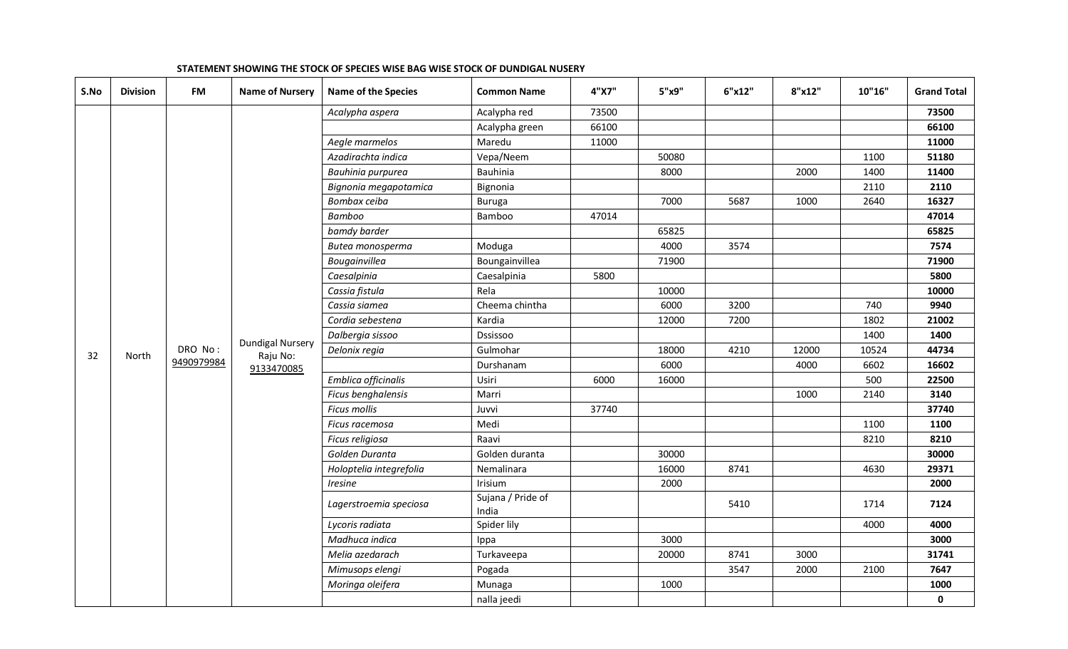| S.No | <b>Division</b> | <b>FM</b>  | <b>Name of Nursery</b>              | <b>Name of the Species</b> | <b>Common Name</b>         | 4"X7" | 5"x9" | 6"x12" | 8"x12" | 10"16" | <b>Grand Total</b> |
|------|-----------------|------------|-------------------------------------|----------------------------|----------------------------|-------|-------|--------|--------|--------|--------------------|
|      |                 |            |                                     | Acalypha aspera            | Acalypha red               | 73500 |       |        |        |        | 73500              |
|      |                 |            |                                     |                            | Acalypha green             | 66100 |       |        |        |        | 66100              |
|      |                 |            |                                     | Aegle marmelos             | Maredu                     | 11000 |       |        |        |        | 11000              |
|      |                 |            |                                     | Azadirachta indica         | Vepa/Neem                  |       | 50080 |        |        | 1100   | 51180              |
|      |                 |            |                                     | Bauhinia purpurea          | Bauhinia                   |       | 8000  |        | 2000   | 1400   | 11400              |
|      |                 |            |                                     | Bignonia megapotamica      | Bignonia                   |       |       |        |        | 2110   | 2110               |
|      |                 |            |                                     | Bombax ceiba               | <b>Buruga</b>              |       | 7000  | 5687   | 1000   | 2640   | 16327              |
|      |                 |            |                                     | Bamboo                     | Bamboo                     | 47014 |       |        |        |        | 47014              |
|      |                 |            |                                     | bamdy barder               |                            |       | 65825 |        |        |        | 65825              |
|      |                 |            |                                     | Butea monosperma           | Moduga                     |       | 4000  | 3574   |        |        | 7574               |
|      |                 |            |                                     | Bougainvillea              | Boungainvillea             |       | 71900 |        |        |        | 71900              |
|      |                 |            |                                     | Caesalpinia                | Caesalpinia                | 5800  |       |        |        |        | 5800               |
|      |                 |            |                                     | Cassia fistula             | Rela                       |       | 10000 |        |        |        | 10000              |
|      |                 |            |                                     | Cassia siamea              | Cheema chintha             |       | 6000  | 3200   |        | 740    | 9940               |
|      |                 |            |                                     | Cordia sebestena           | Kardia                     |       | 12000 | 7200   |        | 1802   | 21002              |
|      |                 |            |                                     | Dalbergia sissoo           | Dssissoo                   |       |       |        |        | 1400   | 1400               |
| 32   | North           | DRO No:    | <b>Dundigal Nursery</b><br>Raju No: | Delonix regia              | Gulmohar                   |       | 18000 | 4210   | 12000  | 10524  | 44734              |
|      |                 | 9490979984 | 9133470085                          |                            | Durshanam                  |       | 6000  |        | 4000   | 6602   | 16602              |
|      |                 |            |                                     | Emblica officinalis        | Usiri                      | 6000  | 16000 |        |        | 500    | 22500              |
|      |                 |            |                                     | Ficus benghalensis         | Marri                      |       |       |        | 1000   | 2140   | 3140               |
|      |                 |            |                                     | <b>Ficus mollis</b>        | Juvvi                      | 37740 |       |        |        |        | 37740              |
|      |                 |            |                                     | Ficus racemosa             | Medi                       |       |       |        |        | 1100   | 1100               |
|      |                 |            |                                     | Ficus religiosa            | Raavi                      |       |       |        |        | 8210   | 8210               |
|      |                 |            |                                     | Golden Duranta             | Golden duranta             |       | 30000 |        |        |        | 30000              |
|      |                 |            |                                     | Holoptelia integrefolia    | Nemalinara                 |       | 16000 | 8741   |        | 4630   | 29371              |
|      |                 |            |                                     | Iresine                    | Irisium                    |       | 2000  |        |        |        | 2000               |
|      |                 |            |                                     | Lagerstroemia speciosa     | Sujana / Pride of<br>India |       |       | 5410   |        | 1714   | 7124               |
|      |                 |            |                                     | Lycoris radiata            | Spider lily                |       |       |        |        | 4000   | 4000               |
|      |                 |            |                                     | Madhuca indica             | Ippa                       |       | 3000  |        |        |        | 3000               |
|      |                 |            |                                     | Melia azedarach            | Turkaveepa                 |       | 20000 | 8741   | 3000   |        | 31741              |
|      |                 |            |                                     | Mimusops elengi            | Pogada                     |       |       | 3547   | 2000   | 2100   | 7647               |
|      |                 |            |                                     | Moringa oleifera           | Munaga                     |       | 1000  |        |        |        | 1000               |
|      |                 |            |                                     |                            | nalla jeedi                |       |       |        |        |        | $\mathbf 0$        |

### **STATEMENT SHOWING THE STOCK OF SPECIES WISE BAG WISE STOCK OF DUNDIGAL NUSERY**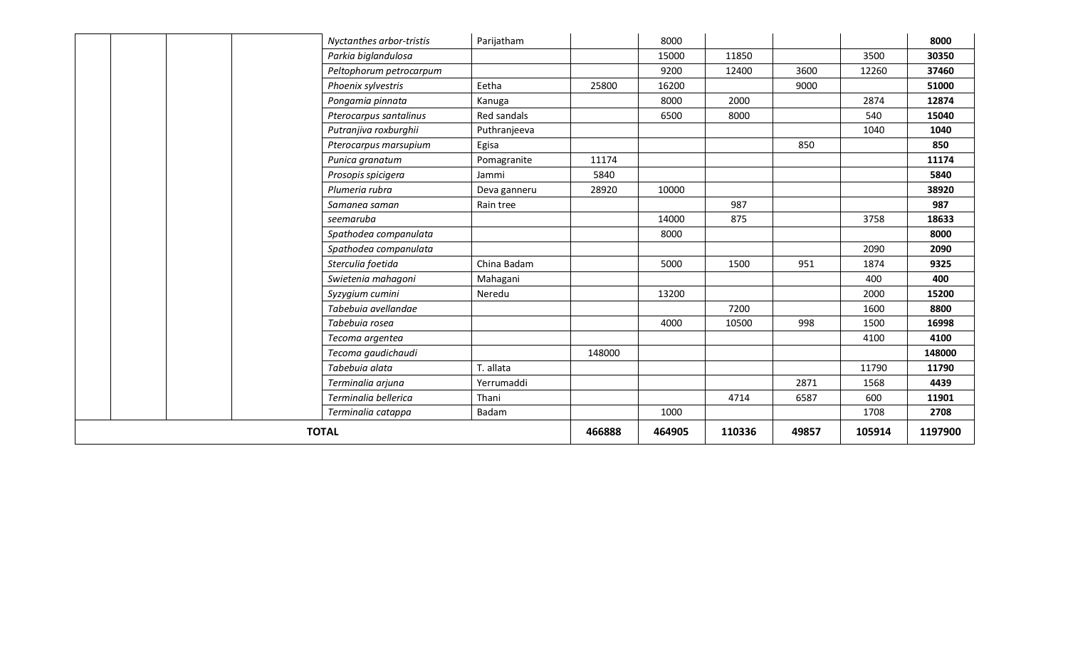| Nyctanthes arbor-tristis | Parijatham   |        | 8000   |        |       |        | 8000    |
|--------------------------|--------------|--------|--------|--------|-------|--------|---------|
| Parkia biglandulosa      |              |        | 15000  | 11850  |       | 3500   | 30350   |
| Peltophorum petrocarpum  |              |        | 9200   | 12400  | 3600  | 12260  | 37460   |
| Phoenix sylvestris       | Eetha        | 25800  | 16200  |        | 9000  |        | 51000   |
| Pongamia pinnata         | Kanuga       |        | 8000   | 2000   |       | 2874   | 12874   |
| Pterocarpus santalinus   | Red sandals  |        | 6500   | 8000   |       | 540    | 15040   |
| Putranjiva roxburghii    | Puthranjeeva |        |        |        |       | 1040   | 1040    |
| Pterocarpus marsupium    | Egisa        |        |        |        | 850   |        | 850     |
| Punica granatum          | Pomagranite  | 11174  |        |        |       |        | 11174   |
| Prosopis spicigera       | Jammi        | 5840   |        |        |       |        | 5840    |
| Plumeria rubra           | Deva ganneru | 28920  | 10000  |        |       |        | 38920   |
| Samanea saman            | Rain tree    |        |        | 987    |       |        | 987     |
| seemaruba                |              |        | 14000  | 875    |       | 3758   | 18633   |
| Spathodea companulata    |              |        | 8000   |        |       |        | 8000    |
| Spathodea companulata    |              |        |        |        |       | 2090   | 2090    |
| Sterculia foetida        | China Badam  |        | 5000   | 1500   | 951   | 1874   | 9325    |
| Swietenia mahagoni       | Mahagani     |        |        |        |       | 400    | 400     |
| Syzygium cumini          | Neredu       |        | 13200  |        |       | 2000   | 15200   |
| Tabebuia avellandae      |              |        |        | 7200   |       | 1600   | 8800    |
| Tabebuia rosea           |              |        | 4000   | 10500  | 998   | 1500   | 16998   |
| Tecoma argentea          |              |        |        |        |       | 4100   | 4100    |
| Tecoma gaudichaudi       |              | 148000 |        |        |       |        | 148000  |
| Tabebuia alata           | T. allata    |        |        |        |       | 11790  | 11790   |
| Terminalia arjuna        | Yerrumaddi   |        |        |        | 2871  | 1568   | 4439    |
| Terminalia bellerica     | Thani        |        |        | 4714   | 6587  | 600    | 11901   |
| Terminalia catappa       | Badam        |        | 1000   |        |       | 1708   | 2708    |
| <b>TOTAL</b>             |              | 466888 | 464905 | 110336 | 49857 | 105914 | 1197900 |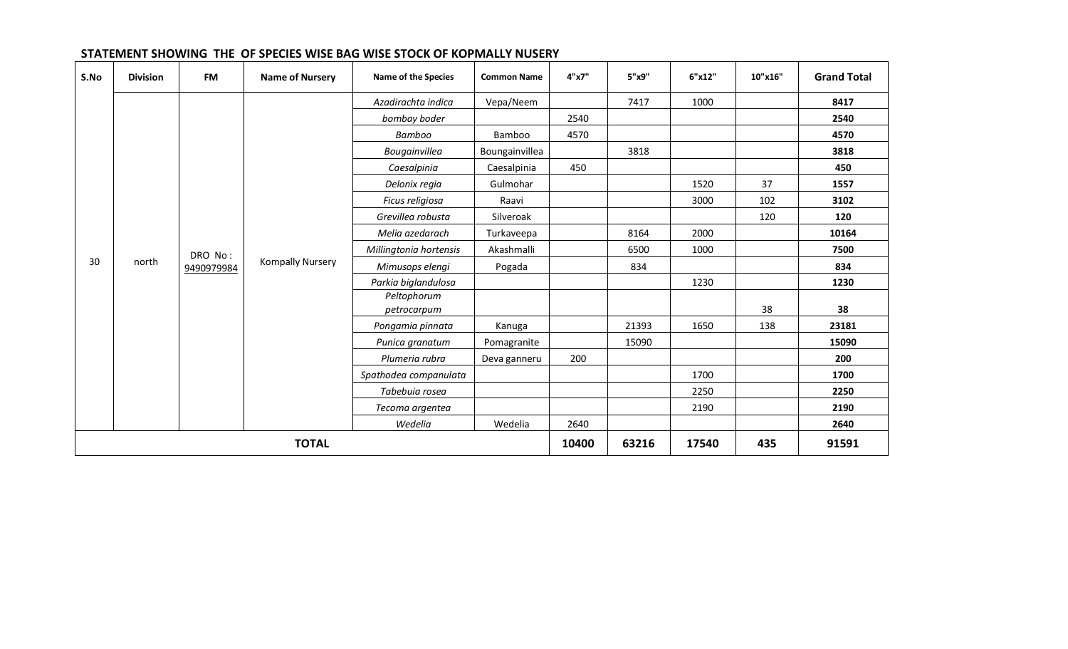| S.No | <b>Division</b> | <b>FM</b>  | <b>Name of Nursery</b>  | <b>Name of the Species</b> | <b>Common Name</b> | 4"x7" | 5"x9" | 6"x12" | 10"x16" | <b>Grand Total</b> |
|------|-----------------|------------|-------------------------|----------------------------|--------------------|-------|-------|--------|---------|--------------------|
|      |                 |            |                         | Azadirachta indica         | Vepa/Neem          |       | 7417  | 1000   |         | 8417               |
|      |                 |            |                         | bombay boder               |                    | 2540  |       |        |         | 2540               |
|      |                 |            |                         | Bamboo                     | Bamboo             | 4570  |       |        |         | 4570               |
|      |                 |            |                         | Bougainvillea              | Boungainvillea     |       | 3818  |        |         | 3818               |
|      |                 |            |                         | Caesalpinia                | Caesalpinia        | 450   |       |        |         | 450                |
|      |                 |            |                         | Delonix regia              | Gulmohar           |       |       | 1520   | 37      | 1557               |
|      |                 |            |                         | Ficus religiosa            | Raavi              |       |       | 3000   | 102     | 3102               |
|      |                 |            |                         | Grevillea robusta          | Silveroak          |       |       |        | 120     | 120                |
|      |                 |            |                         | Melia azedarach            | Turkaveepa         |       | 8164  | 2000   |         | 10164              |
|      |                 | DRO No:    |                         | Millingtonia hortensis     | Akashmalli         |       | 6500  | 1000   |         | 7500               |
| 30   | north           | 9490979984 | <b>Kompally Nursery</b> | Mimusops elengi            | Pogada             |       | 834   |        |         | 834                |
|      |                 |            |                         | Parkia biglandulosa        |                    |       |       | 1230   |         | 1230               |
|      |                 |            |                         | Peltophorum                |                    |       |       |        | 38      | 38                 |
|      |                 |            |                         | petrocarpum                |                    |       |       |        |         |                    |
|      |                 |            |                         | Pongamia pinnata           | Kanuga             |       | 21393 | 1650   | 138     | 23181              |
|      |                 |            |                         | Punica granatum            | Pomagranite        |       | 15090 |        |         | 15090              |
|      |                 |            |                         | Plumeria rubra             | Deva ganneru       | 200   |       |        |         | 200                |
|      |                 |            |                         | Spathodea companulata      |                    |       |       | 1700   |         | 1700               |
|      |                 |            |                         | Tabebuia rosea             |                    |       |       | 2250   |         | 2250               |
|      |                 |            |                         | Tecoma argentea            |                    |       |       | 2190   |         | 2190               |
|      |                 |            |                         | Wedelia                    | Wedelia            | 2640  |       |        |         | 2640               |
|      |                 |            | <b>TOTAL</b>            |                            |                    | 10400 | 63216 | 17540  | 435     | 91591              |

### **STATEMENT SHOWING THE OF SPECIES WISE BAG WISE STOCK OF KOPMALLY NUSERY**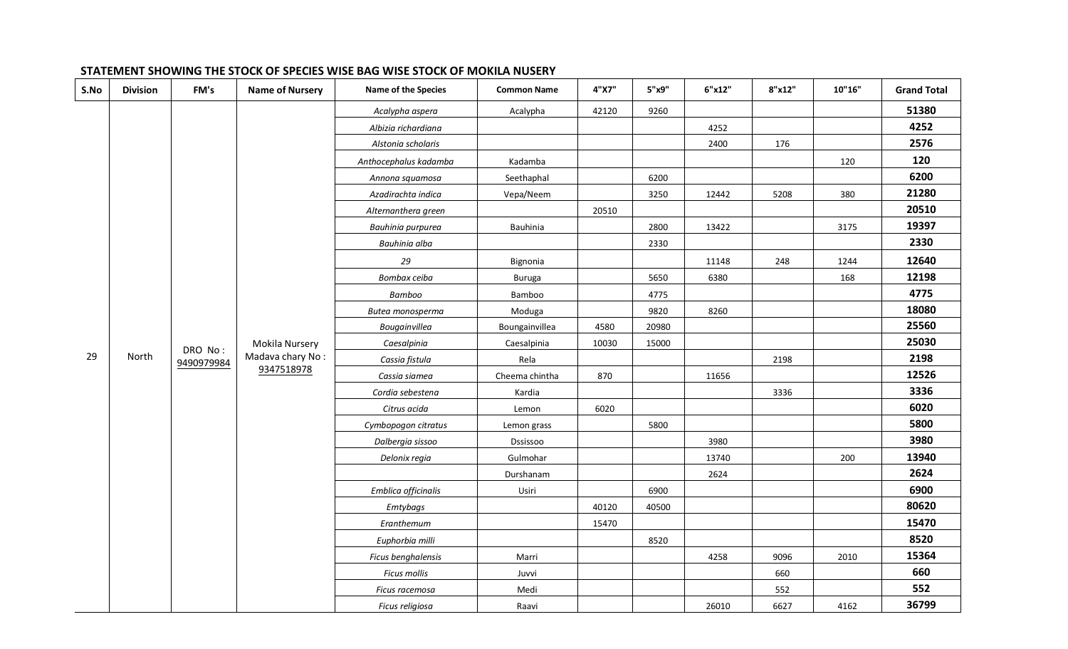| S.No | <b>Division</b> | FM's       | <b>Name of Nursery</b> | Name of the Species   | <b>Common Name</b> | 4"X7" | 5"x9" | 6"x12" | 8"x12" | 10"16" | <b>Grand Total</b> |
|------|-----------------|------------|------------------------|-----------------------|--------------------|-------|-------|--------|--------|--------|--------------------|
|      |                 |            |                        | Acalypha aspera       | Acalypha           | 42120 | 9260  |        |        |        | 51380              |
|      |                 |            |                        | Albizia richardiana   |                    |       |       | 4252   |        |        | 4252               |
|      |                 |            |                        | Alstonia scholaris    |                    |       |       | 2400   | 176    |        | 2576               |
|      |                 |            |                        | Anthocephalus kadamba | Kadamba            |       |       |        |        | 120    | 120                |
|      |                 |            |                        | Annona squamosa       | Seethaphal         |       | 6200  |        |        |        | 6200               |
|      |                 |            |                        | Azadirachta indica    | Vepa/Neem          |       | 3250  | 12442  | 5208   | 380    | 21280              |
|      |                 |            |                        | Alternanthera green   |                    | 20510 |       |        |        |        | 20510              |
|      |                 |            |                        | Bauhinia purpurea     | Bauhinia           |       | 2800  | 13422  |        | 3175   | 19397              |
|      |                 |            |                        | Bauhinia alba         |                    |       | 2330  |        |        |        | 2330               |
|      |                 |            |                        | 29                    | Bignonia           |       |       | 11148  | 248    | 1244   | 12640              |
|      |                 |            |                        | Bombax ceiba          | <b>Buruga</b>      |       | 5650  | 6380   |        | 168    | 12198              |
|      |                 |            |                        | Bamboo                | Bamboo             |       | 4775  |        |        |        | 4775               |
|      |                 |            |                        | Butea monosperma      | Moduga             |       | 9820  | 8260   |        |        | 18080              |
|      |                 |            |                        | Bougainvillea         | Boungainvillea     | 4580  | 20980 |        |        |        | 25560              |
|      |                 | DRO No:    | Mokila Nursery         | Caesalpinia           | Caesalpinia        | 10030 | 15000 |        |        |        | 25030              |
| 29   | North           | 9490979984 | Madava chary No:       | Cassia fistula        | Rela               |       |       |        | 2198   |        | 2198               |
|      |                 |            | 9347518978             | Cassia siamea         | Cheema chintha     | 870   |       | 11656  |        |        | 12526              |
|      |                 |            |                        | Cordia sebestena      | Kardia             |       |       |        | 3336   |        | 3336               |
|      |                 |            |                        | Citrus acida          | Lemon              | 6020  |       |        |        |        | 6020               |
|      |                 |            |                        | Cymbopogon citratus   | Lemon grass        |       | 5800  |        |        |        | 5800               |
|      |                 |            |                        | Dalbergia sissoo      | Dssissoo           |       |       | 3980   |        |        | 3980               |
|      |                 |            |                        | Delonix regia         | Gulmohar           |       |       | 13740  |        | 200    | 13940              |
|      |                 |            |                        |                       | Durshanam          |       |       | 2624   |        |        | 2624               |
|      |                 |            |                        | Emblica officinalis   | Usiri              |       | 6900  |        |        |        | 6900               |
|      |                 |            |                        | Emtybags              |                    | 40120 | 40500 |        |        |        | 80620              |
|      |                 |            |                        | Eranthemum            |                    | 15470 |       |        |        |        | 15470              |
|      |                 |            |                        | Euphorbia milli       |                    |       | 8520  |        |        |        | 8520               |
|      |                 |            |                        | Ficus benghalensis    | Marri              |       |       | 4258   | 9096   | 2010   | 15364              |
|      |                 |            |                        | Ficus mollis          | Juvvi              |       |       |        | 660    |        | 660                |
|      |                 |            |                        | Ficus racemosa        | Medi               |       |       |        | 552    |        | 552                |
|      |                 |            |                        | Ficus religiosa       | Raavi              |       |       | 26010  | 6627   | 4162   | 36799              |

### **STATEMENT SHOWING THE STOCK OF SPECIES WISE BAG WISE STOCK OF MOKILA NUSERY**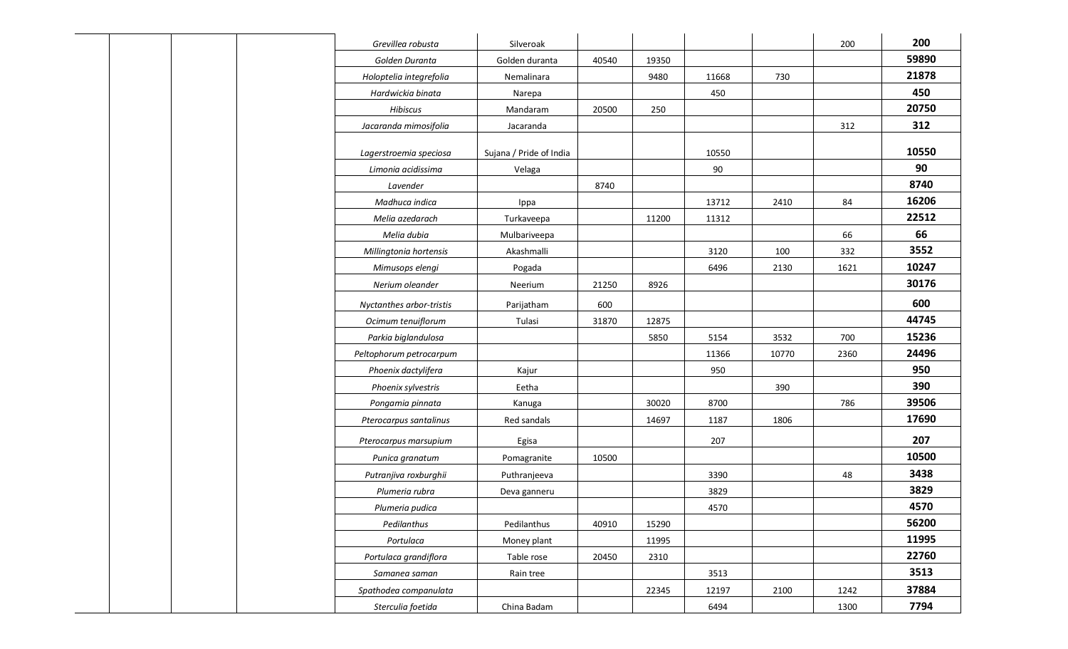| Grevillea robusta        | Silveroak               |       |       |       |       | 200  | 200   |
|--------------------------|-------------------------|-------|-------|-------|-------|------|-------|
| Golden Duranta           | Golden duranta          | 40540 | 19350 |       |       |      | 59890 |
| Holoptelia integrefolia  | Nemalinara              |       | 9480  | 11668 | 730   |      | 21878 |
| Hardwickia binata        | Narepa                  |       |       | 450   |       |      | 450   |
| Hibiscus                 | Mandaram                | 20500 | 250   |       |       |      | 20750 |
| Jacaranda mimosifolia    | Jacaranda               |       |       |       |       | 312  | 312   |
|                          |                         |       |       |       |       |      |       |
| Lagerstroemia speciosa   | Sujana / Pride of India |       |       | 10550 |       |      | 10550 |
| Limonia acidissima       | Velaga                  |       |       | 90    |       |      | 90    |
| Lavender                 |                         | 8740  |       |       |       |      | 8740  |
| Madhuca indica           | Ippa                    |       |       | 13712 | 2410  | 84   | 16206 |
| Melia azedarach          | Turkaveepa              |       | 11200 | 11312 |       |      | 22512 |
| Melia dubia              | Mulbariveepa            |       |       |       |       | 66   | 66    |
| Millingtonia hortensis   | Akashmalli              |       |       | 3120  | 100   | 332  | 3552  |
| Mimusops elengi          | Pogada                  |       |       | 6496  | 2130  | 1621 | 10247 |
| Nerium oleander          | Neerium                 | 21250 | 8926  |       |       |      | 30176 |
| Nyctanthes arbor-tristis | Parijatham              | 600   |       |       |       |      | 600   |
| Ocimum tenuiflorum       | Tulasi                  | 31870 | 12875 |       |       |      | 44745 |
| Parkia biglandulosa      |                         |       | 5850  | 5154  | 3532  | 700  | 15236 |
| Peltophorum petrocarpum  |                         |       |       | 11366 | 10770 | 2360 | 24496 |
| Phoenix dactylifera      | Kajur                   |       |       | 950   |       |      | 950   |
| Phoenix sylvestris       | Eetha                   |       |       |       | 390   |      | 390   |
| Pongamia pinnata         | Kanuga                  |       | 30020 | 8700  |       | 786  | 39506 |
| Pterocarpus santalinus   | Red sandals             |       | 14697 | 1187  | 1806  |      | 17690 |
| Pterocarpus marsupium    | Egisa                   |       |       | 207   |       |      | 207   |
| Punica granatum          | Pomagranite             | 10500 |       |       |       |      | 10500 |
| Putranjiva roxburghii    | Puthranjeeva            |       |       | 3390  |       | 48   | 3438  |
| Plumeria rubra           | Deva ganneru            |       |       | 3829  |       |      | 3829  |
| Plumeria pudica          |                         |       |       | 4570  |       |      | 4570  |
| Pedilanthus              | Pedilanthus             | 40910 | 15290 |       |       |      | 56200 |
| Portulaca                | Money plant             |       | 11995 |       |       |      | 11995 |
| Portulaca grandiflora    | Table rose              | 20450 | 2310  |       |       |      | 22760 |
| Samanea saman            | Rain tree               |       |       | 3513  |       |      | 3513  |
| Spathodea companulata    |                         |       | 22345 | 12197 | 2100  | 1242 | 37884 |
| Sterculia foetida        | China Badam             |       |       | 6494  |       | 1300 | 7794  |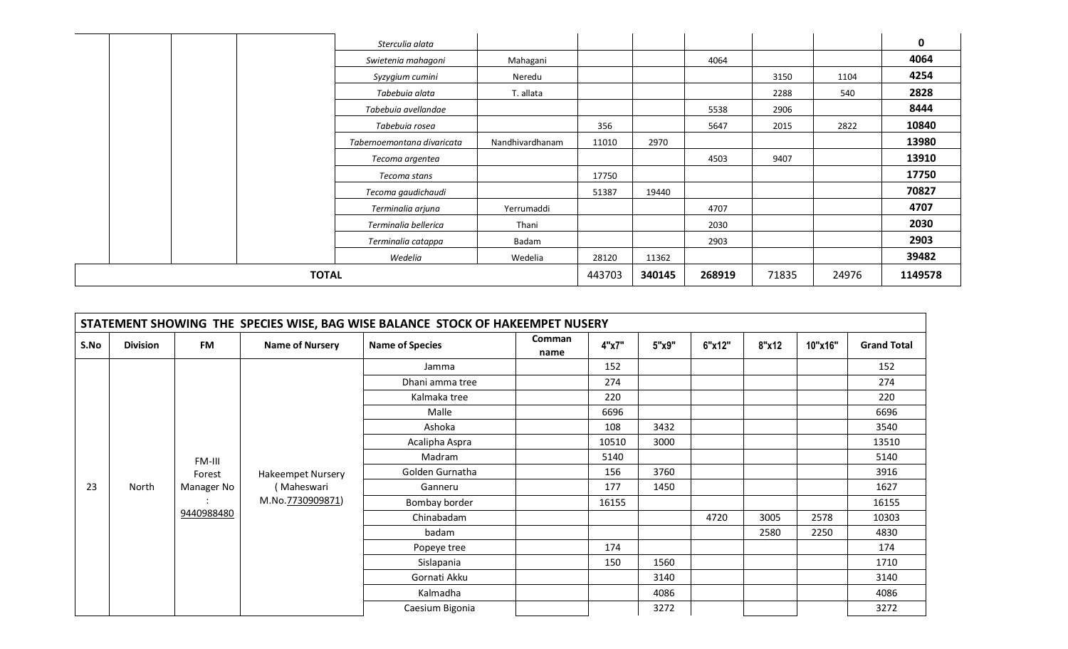|              | Sterculia alata            |                 |        |        |        |       |       | 0       |
|--------------|----------------------------|-----------------|--------|--------|--------|-------|-------|---------|
|              | Swietenia mahagoni         | Mahagani        |        |        | 4064   |       |       | 4064    |
|              | Syzygium cumini            | Neredu          |        |        |        | 3150  | 1104  | 4254    |
|              | Tabebuia alata             | T. allata       |        |        |        | 2288  | 540   | 2828    |
|              | Tabebuia avellandae        |                 |        |        | 5538   | 2906  |       | 8444    |
|              | Tabebuia rosea             |                 | 356    |        | 5647   | 2015  | 2822  | 10840   |
|              | Tabernoemontana divaricata | Nandhivardhanam | 11010  | 2970   |        |       |       | 13980   |
|              | Tecoma argentea            |                 |        |        | 4503   | 9407  |       | 13910   |
|              | Tecoma stans               |                 | 17750  |        |        |       |       | 17750   |
|              | Tecoma gaudichaudi         |                 | 51387  | 19440  |        |       |       | 70827   |
|              | Terminalia arjuna          | Yerrumaddi      |        |        | 4707   |       |       | 4707    |
|              | Terminalia bellerica       | Thani           |        |        | 2030   |       |       | 2030    |
|              | Terminalia catappa         | Badam           |        |        | 2903   |       |       | 2903    |
|              | Wedelia                    | Wedelia         | 28120  | 11362  |        |       |       | 39482   |
| <b>TOTAL</b> |                            |                 | 443703 | 340145 | 268919 | 71835 | 24976 | 1149578 |

|      |                 |            |                          | STATEMENT SHOWING THE SPECIES WISE, BAG WISE BALANCE STOCK OF HAKEEMPET NUSERY |                |       |       |        |       |         |                    |
|------|-----------------|------------|--------------------------|--------------------------------------------------------------------------------|----------------|-------|-------|--------|-------|---------|--------------------|
| S.No | <b>Division</b> | <b>FM</b>  | <b>Name of Nursery</b>   | <b>Name of Species</b>                                                         | Comman<br>name | 4"x7" | 5"x9" | 6"x12" | 8"x12 | 10"x16" | <b>Grand Total</b> |
|      |                 |            |                          | Jamma                                                                          |                | 152   |       |        |       |         | 152                |
|      |                 |            |                          | Dhani amma tree                                                                |                | 274   |       |        |       |         | 274                |
|      |                 |            |                          | Kalmaka tree                                                                   |                | 220   |       |        |       |         | 220                |
|      |                 |            |                          | Malle                                                                          |                | 6696  |       |        |       |         | 6696               |
|      |                 |            |                          | Ashoka                                                                         |                | 108   | 3432  |        |       |         | 3540               |
|      |                 |            |                          | Acalipha Aspra                                                                 |                | 10510 | 3000  |        |       |         | 13510              |
|      |                 | FM-III     |                          | Madram                                                                         |                | 5140  |       |        |       |         | 5140               |
|      |                 | Forest     | <b>Hakeempet Nursery</b> | Golden Gurnatha                                                                |                | 156   | 3760  |        |       |         | 3916               |
| 23   | North           | Manager No | (Maheswari               | Ganneru                                                                        |                | 177   | 1450  |        |       |         | 1627               |
|      |                 |            | M.No.7730909871)         | Bombay border                                                                  |                | 16155 |       |        |       |         | 16155              |
|      |                 | 9440988480 |                          | Chinabadam                                                                     |                |       |       | 4720   | 3005  | 2578    | 10303              |
|      |                 |            |                          | badam                                                                          |                |       |       |        | 2580  | 2250    | 4830               |
|      |                 |            |                          | Popeye tree                                                                    |                | 174   |       |        |       |         | 174                |
|      |                 |            |                          | Sislapania                                                                     |                | 150   | 1560  |        |       |         | 1710               |
|      |                 |            |                          | Gornati Akku                                                                   |                |       | 3140  |        |       |         | 3140               |
|      |                 |            |                          | Kalmadha                                                                       |                |       | 4086  |        |       |         | 4086               |
|      |                 |            |                          | Caesium Bigonia                                                                |                |       | 3272  |        |       |         | 3272               |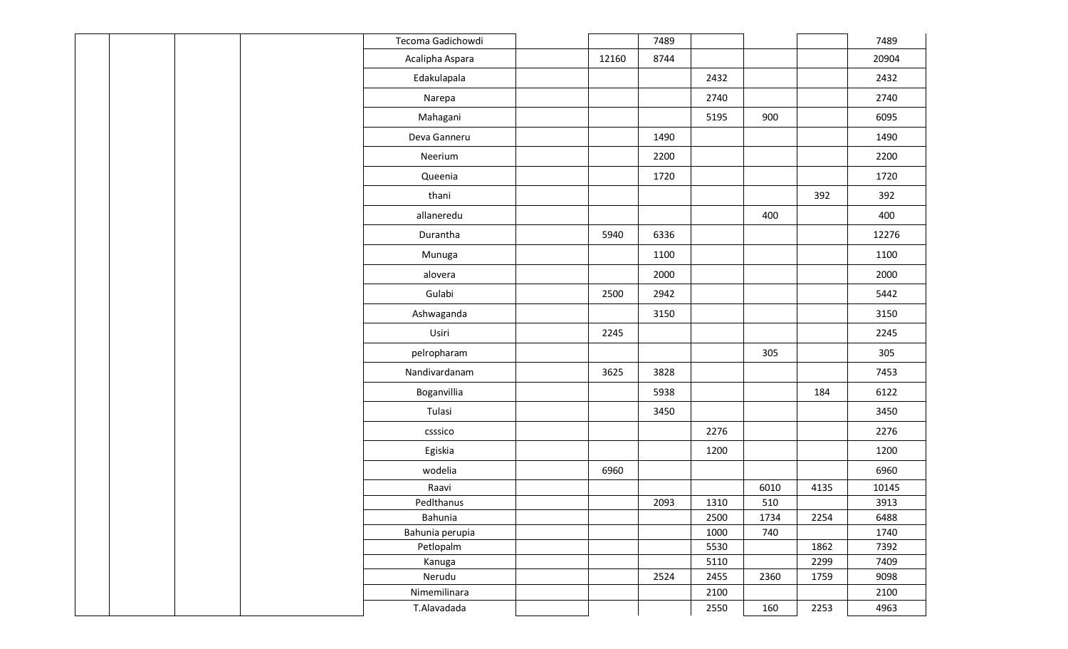|  |  | Tecoma Gadichowdi |       | 7489 |      |      |      | 7489  |
|--|--|-------------------|-------|------|------|------|------|-------|
|  |  | Acalipha Aspara   | 12160 | 8744 |      |      |      | 20904 |
|  |  | Edakulapala       |       |      | 2432 |      |      | 2432  |
|  |  | Narepa            |       |      | 2740 |      |      | 2740  |
|  |  | Mahagani          |       |      | 5195 | 900  |      | 6095  |
|  |  | Deva Ganneru      |       | 1490 |      |      |      | 1490  |
|  |  | Neerium           |       | 2200 |      |      |      | 2200  |
|  |  | Queenia           |       | 1720 |      |      |      | 1720  |
|  |  | thani             |       |      |      |      | 392  | 392   |
|  |  | allaneredu        |       |      |      | 400  |      | 400   |
|  |  | Durantha          | 5940  | 6336 |      |      |      | 12276 |
|  |  | Munuga            |       | 1100 |      |      |      | 1100  |
|  |  | alovera           |       | 2000 |      |      |      | 2000  |
|  |  | Gulabi            | 2500  | 2942 |      |      |      | 5442  |
|  |  | Ashwaganda        |       | 3150 |      |      |      | 3150  |
|  |  | Usiri             | 2245  |      |      |      |      | 2245  |
|  |  | pelropharam       |       |      |      | 305  |      | 305   |
|  |  | Nandivardanam     | 3625  | 3828 |      |      |      | 7453  |
|  |  | Boganvillia       |       | 5938 |      |      | 184  | 6122  |
|  |  | Tulasi            |       | 3450 |      |      |      | 3450  |
|  |  | csssico           |       |      | 2276 |      |      | 2276  |
|  |  | Egiskia           |       |      | 1200 |      |      | 1200  |
|  |  | wodelia           | 6960  |      |      |      |      | 6960  |
|  |  | Raavi             |       |      |      | 6010 | 4135 | 10145 |
|  |  | PedIthanus        |       | 2093 | 1310 | 510  |      | 3913  |
|  |  | Bahunia           |       |      | 2500 | 1734 | 2254 | 6488  |
|  |  | Bahunia perupia   |       |      | 1000 | 740  |      | 1740  |
|  |  | Petlopalm         |       |      | 5530 |      | 1862 | 7392  |
|  |  | Kanuga            |       |      | 5110 |      | 2299 | 7409  |
|  |  | Nerudu            |       | 2524 | 2455 | 2360 | 1759 | 9098  |
|  |  | Nimemilinara      |       |      | 2100 |      |      | 2100  |
|  |  | T.Alavadada       |       |      | 2550 | 160  | 2253 | 4963  |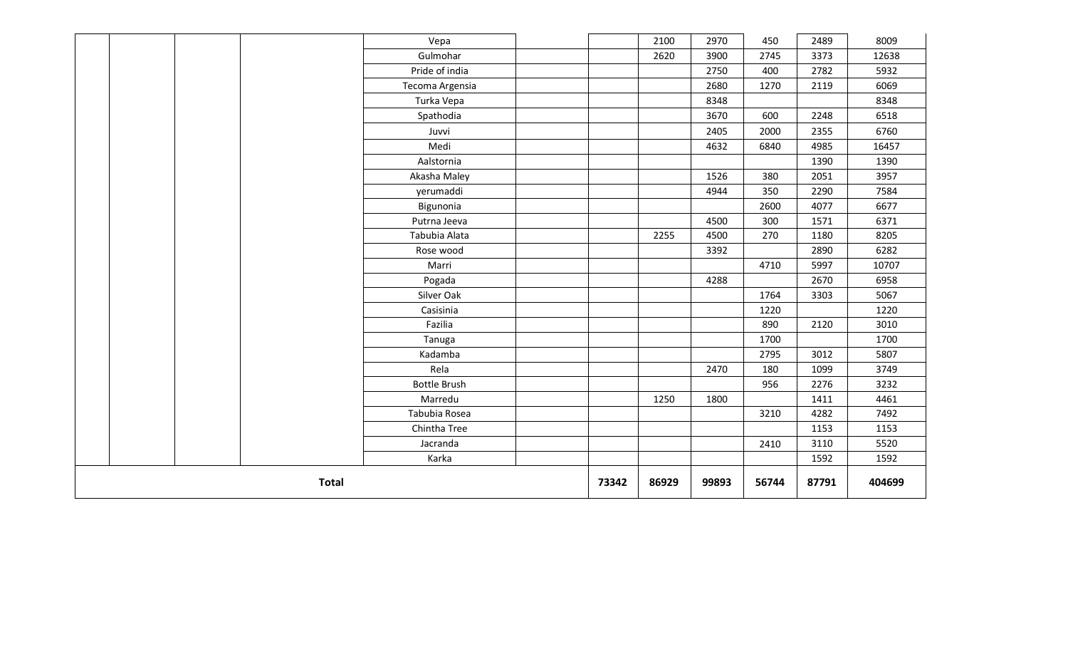|  |              | Vepa                |       | 2100  | 2970  | 450   | 2489  | 8009   |
|--|--------------|---------------------|-------|-------|-------|-------|-------|--------|
|  |              | Gulmohar            |       | 2620  | 3900  | 2745  | 3373  | 12638  |
|  |              | Pride of india      |       |       | 2750  | 400   | 2782  | 5932   |
|  |              | Tecoma Argensia     |       |       | 2680  | 1270  | 2119  | 6069   |
|  |              | Turka Vepa          |       |       | 8348  |       |       | 8348   |
|  |              | Spathodia           |       |       | 3670  | 600   | 2248  | 6518   |
|  |              | Juvvi               |       |       | 2405  | 2000  | 2355  | 6760   |
|  |              | Medi                |       |       | 4632  | 6840  | 4985  | 16457  |
|  |              | Aalstornia          |       |       |       |       | 1390  | 1390   |
|  |              | Akasha Maley        |       |       | 1526  | 380   | 2051  | 3957   |
|  |              | yerumaddi           |       |       | 4944  | 350   | 2290  | 7584   |
|  |              | Bigunonia           |       |       |       | 2600  | 4077  | 6677   |
|  |              | Putrna Jeeva        |       |       | 4500  | 300   | 1571  | 6371   |
|  |              | Tabubia Alata       |       | 2255  | 4500  | 270   | 1180  | 8205   |
|  |              | Rose wood           |       |       | 3392  |       | 2890  | 6282   |
|  |              | Marri               |       |       |       | 4710  | 5997  | 10707  |
|  |              | Pogada              |       |       | 4288  |       | 2670  | 6958   |
|  |              | Silver Oak          |       |       |       | 1764  | 3303  | 5067   |
|  |              | Casisinia           |       |       |       | 1220  |       | 1220   |
|  |              | Fazilia             |       |       |       | 890   | 2120  | 3010   |
|  |              | Tanuga              |       |       |       | 1700  |       | 1700   |
|  |              | Kadamba             |       |       |       | 2795  | 3012  | 5807   |
|  |              | Rela                |       |       | 2470  | 180   | 1099  | 3749   |
|  |              | <b>Bottle Brush</b> |       |       |       | 956   | 2276  | 3232   |
|  |              | Marredu             |       | 1250  | 1800  |       | 1411  | 4461   |
|  |              | Tabubia Rosea       |       |       |       | 3210  | 4282  | 7492   |
|  |              | Chintha Tree        |       |       |       |       | 1153  | 1153   |
|  |              | Jacranda            |       |       |       | 2410  | 3110  | 5520   |
|  |              | Karka               |       |       |       |       | 1592  | 1592   |
|  | <b>Total</b> |                     | 73342 | 86929 | 99893 | 56744 | 87791 | 404699 |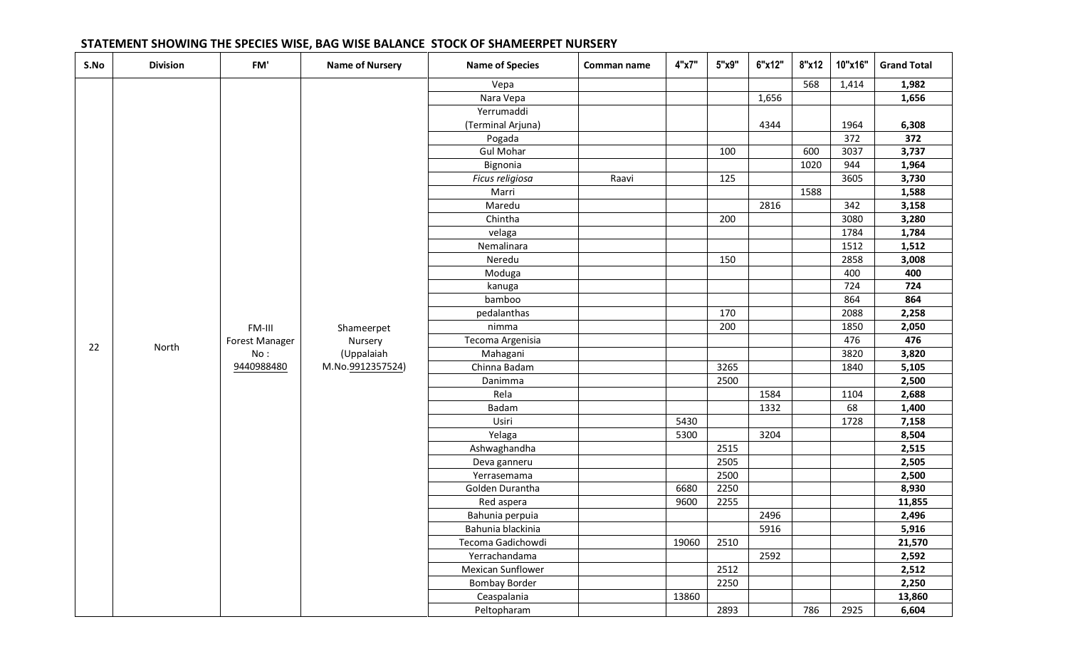| S.No | <b>Division</b> | FM'            | <b>Name of Nursery</b> | <b>Name of Species</b> | Comman name | 4"x7" | 5"x9" | 6"x12" | 8"x12 | 10"x16" | <b>Grand Total</b> |
|------|-----------------|----------------|------------------------|------------------------|-------------|-------|-------|--------|-------|---------|--------------------|
|      |                 |                |                        | Vepa                   |             |       |       |        | 568   | 1,414   | 1,982              |
|      |                 |                |                        | Nara Vepa              |             |       |       | 1,656  |       |         | 1,656              |
|      |                 |                |                        | Yerrumaddi             |             |       |       |        |       |         |                    |
|      |                 |                |                        | (Terminal Arjuna)      |             |       |       | 4344   |       | 1964    | 6,308              |
|      |                 |                |                        | Pogada                 |             |       |       |        |       | 372     | 372                |
|      |                 |                |                        | <b>Gul Mohar</b>       |             |       | 100   |        | 600   | 3037    | 3,737              |
|      |                 |                |                        | Bignonia               |             |       |       |        | 1020  | 944     | 1,964              |
|      |                 |                |                        | Ficus religiosa        | Raavi       |       | 125   |        |       | 3605    | 3,730              |
|      |                 |                |                        | Marri                  |             |       |       |        | 1588  |         | 1,588              |
|      |                 |                |                        | Maredu                 |             |       |       | 2816   |       | 342     | 3,158              |
|      |                 |                |                        | Chintha                |             |       | 200   |        |       | 3080    | 3,280              |
|      |                 |                |                        | velaga                 |             |       |       |        |       | 1784    | 1,784              |
|      |                 |                |                        | Nemalinara             |             |       |       |        |       | 1512    | 1,512              |
|      |                 |                |                        | Neredu                 |             |       | 150   |        |       | 2858    | 3,008              |
|      |                 |                |                        | Moduga                 |             |       |       |        |       | 400     | 400                |
|      |                 |                |                        | kanuga                 |             |       |       |        |       | 724     | 724                |
|      |                 |                |                        | bamboo                 |             |       |       |        |       | 864     | 864                |
|      |                 |                |                        | pedalanthas            |             |       | 170   |        |       | 2088    | 2,258              |
|      |                 | FM-III         | Shameerpet             | nimma                  |             |       | 200   |        |       | 1850    | 2,050              |
| 22   | North           | Forest Manager | Nursery                | Tecoma Argenisia       |             |       |       |        |       | 476     | 476                |
|      |                 | No:            | (Uppalaiah             | Mahagani               |             |       |       |        |       | 3820    | 3,820              |
|      |                 | 9440988480     | M.No.9912357524)       | Chinna Badam           |             |       | 3265  |        |       | 1840    | 5,105              |
|      |                 |                |                        | Danimma                |             |       | 2500  |        |       |         | 2,500              |
|      |                 |                |                        | Rela                   |             |       |       | 1584   |       | 1104    | 2,688              |
|      |                 |                |                        | Badam                  |             |       |       | 1332   |       | 68      | 1,400              |
|      |                 |                |                        | Usiri                  |             | 5430  |       |        |       | 1728    | 7,158              |
|      |                 |                |                        | Yelaga                 |             | 5300  |       | 3204   |       |         | 8,504              |
|      |                 |                |                        | Ashwaghandha           |             |       | 2515  |        |       |         | 2,515              |
|      |                 |                |                        | Deva ganneru           |             |       | 2505  |        |       |         | 2,505              |
|      |                 |                |                        | Yerrasemama            |             |       | 2500  |        |       |         | 2,500              |
|      |                 |                |                        | Golden Durantha        |             | 6680  | 2250  |        |       |         | 8,930              |
|      |                 |                |                        | Red aspera             |             | 9600  | 2255  |        |       |         | 11,855             |
|      |                 |                |                        | Bahunia perpuia        |             |       |       | 2496   |       |         | 2,496              |
|      |                 |                |                        | Bahunia blackinia      |             |       |       | 5916   |       |         | 5,916              |
|      |                 |                |                        | Tecoma Gadichowdi      |             | 19060 | 2510  |        |       |         | 21,570             |
|      |                 |                |                        | Yerrachandama          |             |       |       | 2592   |       |         | 2,592              |
|      |                 |                |                        | Mexican Sunflower      |             |       | 2512  |        |       |         | 2,512              |
|      |                 |                |                        | <b>Bombay Border</b>   |             |       | 2250  |        |       |         | 2,250              |
|      |                 |                |                        | Ceaspalania            |             | 13860 |       |        |       |         | 13,860             |
|      |                 |                |                        | Peltopharam            |             |       | 2893  |        | 786   | 2925    | 6,604              |

# **STATEMENT SHOWING THE SPECIES WISE, BAG WISE BALANCE STOCK OF SHAMEERPET NURSERY**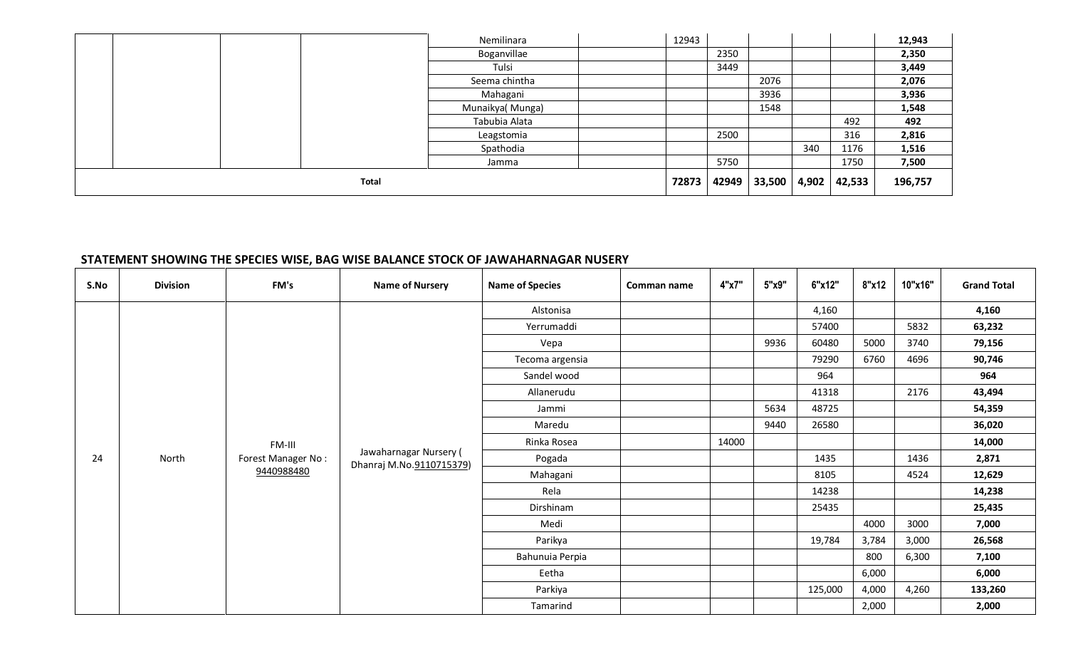|  |       | Nemilinara      | 12943 |      |                    |     |        | 12,943  |
|--|-------|-----------------|-------|------|--------------------|-----|--------|---------|
|  |       | Boganvillae     |       | 2350 |                    |     |        | 2,350   |
|  |       | Tulsi           |       | 3449 |                    |     |        | 3,449   |
|  |       | Seema chintha   |       |      | 2076               |     |        | 2,076   |
|  |       | Mahagani        |       |      | 3936               |     |        | 3,936   |
|  |       | Munaikya(Munga) |       |      | 1548               |     |        | 1,548   |
|  |       | Tabubia Alata   |       |      |                    |     | 492    | 492     |
|  |       | Leagstomia      |       | 2500 |                    |     | 316    | 2,816   |
|  |       | Spathodia       |       |      |                    | 340 | 1176   | 1,516   |
|  |       | Jamma           |       | 5750 |                    |     | 1750   | 7,500   |
|  | Total |                 | 72873 |      | 42949 33,500 4,902 |     | 42,533 | 196,757 |

### **STATEMENT SHOWING THE SPECIES WISE, BAG WISE BALANCE STOCK OF JAWAHARNAGAR NUSERY**

| S.No | <b>Division</b> | FM's               | <b>Name of Nursery</b>                             | <b>Name of Species</b> | Comman name | 4"x7" | 5"x9" | 6"x12"  | 8"x12 | 10"x16" | <b>Grand Total</b> |
|------|-----------------|--------------------|----------------------------------------------------|------------------------|-------------|-------|-------|---------|-------|---------|--------------------|
|      |                 |                    |                                                    | Alstonisa              |             |       |       | 4,160   |       |         | 4,160              |
|      |                 |                    |                                                    | Yerrumaddi             |             |       |       | 57400   |       | 5832    | 63,232             |
|      |                 |                    |                                                    | Vepa                   |             |       | 9936  | 60480   | 5000  | 3740    | 79,156             |
|      |                 |                    |                                                    | Tecoma argensia        |             |       |       | 79290   | 6760  | 4696    | 90,746             |
|      |                 |                    |                                                    | Sandel wood            |             |       |       | 964     |       |         | 964                |
|      |                 |                    |                                                    | Allanerudu             |             |       |       | 41318   |       | 2176    | 43,494             |
|      |                 |                    |                                                    | Jammi                  |             |       | 5634  | 48725   |       |         | 54,359             |
|      |                 |                    |                                                    | Maredu                 |             |       | 9440  | 26580   |       |         | 36,020             |
|      |                 | FM-III             |                                                    | Rinka Rosea            |             | 14000 |       |         |       |         | 14,000             |
| 24   | North           | Forest Manager No: | Jawaharnagar Nursery (<br>Dhanraj M.No.9110715379) | Pogada                 |             |       |       | 1435    |       | 1436    | 2,871              |
|      |                 | 9440988480         |                                                    | Mahagani               |             |       |       | 8105    |       | 4524    | 12,629             |
|      |                 |                    |                                                    | Rela                   |             |       |       | 14238   |       |         | 14,238             |
|      |                 |                    |                                                    | Dirshinam              |             |       |       | 25435   |       |         | 25,435             |
|      |                 |                    |                                                    | Medi                   |             |       |       |         | 4000  | 3000    | 7,000              |
|      |                 |                    |                                                    | Parikya                |             |       |       | 19,784  | 3,784 | 3,000   | 26,568             |
|      |                 |                    |                                                    | Bahunuia Perpia        |             |       |       |         | 800   | 6,300   | 7,100              |
|      |                 |                    |                                                    | Eetha                  |             |       |       |         | 6,000 |         | 6,000              |
|      |                 |                    |                                                    | Parkiya                |             |       |       | 125,000 | 4,000 | 4,260   | 133,260            |
|      |                 |                    |                                                    | Tamarind               |             |       |       |         | 2,000 |         | 2,000              |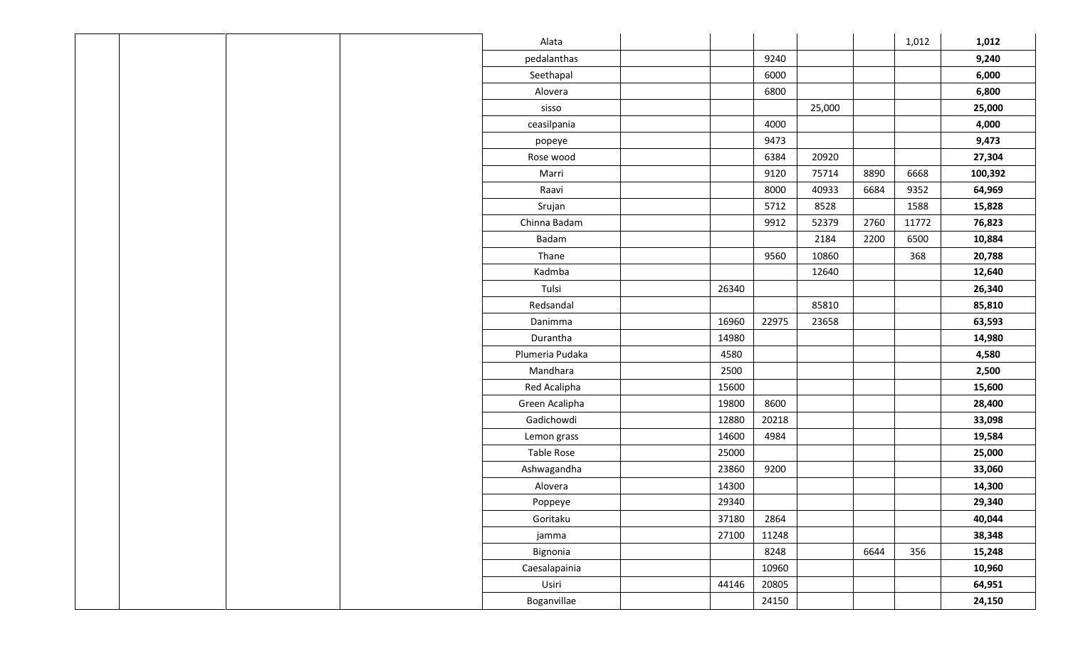|  |  | Alata             |       |       |        |      | 1,012 | 1,012   |
|--|--|-------------------|-------|-------|--------|------|-------|---------|
|  |  | pedalanthas       |       | 9240  |        |      |       | 9,240   |
|  |  | Seethapal         |       | 6000  |        |      |       | 6,000   |
|  |  | Alovera           |       | 6800  |        |      |       | 6,800   |
|  |  | sisso             |       |       | 25,000 |      |       | 25,000  |
|  |  | ceasilpania       |       | 4000  |        |      |       | 4,000   |
|  |  | popeye            |       | 9473  |        |      |       | 9,473   |
|  |  | Rose wood         |       | 6384  | 20920  |      |       | 27,304  |
|  |  | Marri             |       | 9120  | 75714  | 8890 | 6668  | 100,392 |
|  |  | Raavi             |       | 8000  | 40933  | 6684 | 9352  | 64,969  |
|  |  | Srujan            |       | 5712  | 8528   |      | 1588  | 15,828  |
|  |  | Chinna Badam      |       | 9912  | 52379  | 2760 | 11772 | 76,823  |
|  |  | Badam             |       |       | 2184   | 2200 | 6500  | 10,884  |
|  |  | Thane             |       | 9560  | 10860  |      | 368   | 20,788  |
|  |  | Kadmba            |       |       | 12640  |      |       | 12,640  |
|  |  | Tulsi             | 26340 |       |        |      |       | 26,340  |
|  |  | Redsandal         |       |       | 85810  |      |       | 85,810  |
|  |  | Danimma           | 16960 | 22975 | 23658  |      |       | 63,593  |
|  |  | Durantha          | 14980 |       |        |      |       | 14,980  |
|  |  | Plumeria Pudaka   | 4580  |       |        |      |       | 4,580   |
|  |  | Mandhara          | 2500  |       |        |      |       | 2,500   |
|  |  | Red Acalipha      | 15600 |       |        |      |       | 15,600  |
|  |  | Green Acalipha    | 19800 | 8600  |        |      |       | 28,400  |
|  |  | Gadichowdi        | 12880 | 20218 |        |      |       | 33,098  |
|  |  | Lemon grass       | 14600 | 4984  |        |      |       | 19,584  |
|  |  | <b>Table Rose</b> | 25000 |       |        |      |       | 25,000  |
|  |  | Ashwagandha       | 23860 | 9200  |        |      |       | 33,060  |
|  |  | Alovera           | 14300 |       |        |      |       | 14,300  |
|  |  | Poppeye           | 29340 |       |        |      |       | 29,340  |
|  |  | Goritaku          | 37180 | 2864  |        |      |       | 40,044  |
|  |  | jamma             | 27100 | 11248 |        |      |       | 38,348  |
|  |  | Bignonia          |       | 8248  |        | 6644 | 356   | 15,248  |
|  |  | Caesalapainia     |       | 10960 |        |      |       | 10,960  |
|  |  | Usiri             | 44146 | 20805 |        |      |       | 64,951  |
|  |  | Boganvillae       |       | 24150 |        |      |       | 24,150  |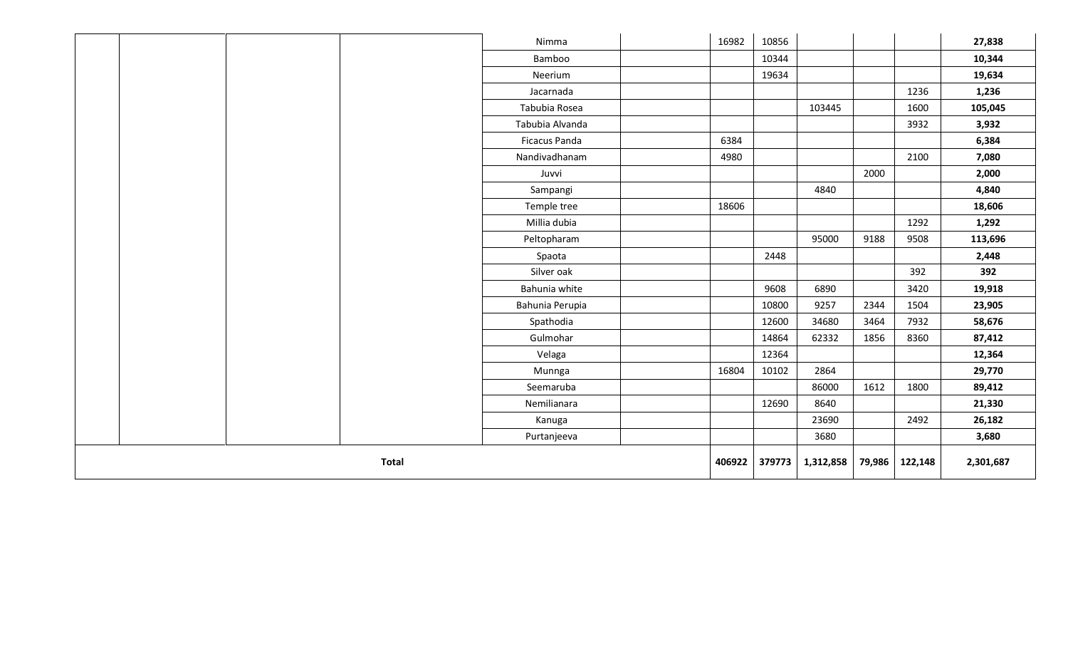|  |              | Nimma                | 16982  | 10856  |           |        |         | 27,838    |
|--|--------------|----------------------|--------|--------|-----------|--------|---------|-----------|
|  |              | Bamboo               |        | 10344  |           |        |         | 10,344    |
|  |              | Neerium              |        | 19634  |           |        |         | 19,634    |
|  |              | Jacarnada            |        |        |           |        | 1236    | 1,236     |
|  |              | Tabubia Rosea        |        |        | 103445    |        | 1600    | 105,045   |
|  |              | Tabubia Alvanda      |        |        |           |        | 3932    | 3,932     |
|  |              | <b>Ficacus Panda</b> | 6384   |        |           |        |         | 6,384     |
|  |              | Nandivadhanam        | 4980   |        |           |        | 2100    | 7,080     |
|  |              | Juvvi                |        |        |           | 2000   |         | 2,000     |
|  |              | Sampangi             |        |        | 4840      |        |         | 4,840     |
|  |              | Temple tree          | 18606  |        |           |        |         | 18,606    |
|  |              | Millia dubia         |        |        |           |        | 1292    | 1,292     |
|  |              | Peltopharam          |        |        | 95000     | 9188   | 9508    | 113,696   |
|  |              | Spaota               |        | 2448   |           |        |         | 2,448     |
|  |              | Silver oak           |        |        |           |        | 392     | 392       |
|  |              | Bahunia white        |        | 9608   | 6890      |        | 3420    | 19,918    |
|  |              | Bahunia Perupia      |        | 10800  | 9257      | 2344   | 1504    | 23,905    |
|  |              | Spathodia            |        | 12600  | 34680     | 3464   | 7932    | 58,676    |
|  |              | Gulmohar             |        | 14864  | 62332     | 1856   | 8360    | 87,412    |
|  |              | Velaga               |        | 12364  |           |        |         | 12,364    |
|  |              | Munnga               | 16804  | 10102  | 2864      |        |         | 29,770    |
|  |              | Seemaruba            |        |        | 86000     | 1612   | 1800    | 89,412    |
|  |              | Nemilianara          |        | 12690  | 8640      |        |         | 21,330    |
|  |              | Kanuga               |        |        | 23690     |        | 2492    | 26,182    |
|  | Purtanjeeva  |                      |        | 3680   |           |        | 3,680   |           |
|  | <b>Total</b> |                      | 406922 | 379773 | 1,312,858 | 79,986 | 122,148 | 2,301,687 |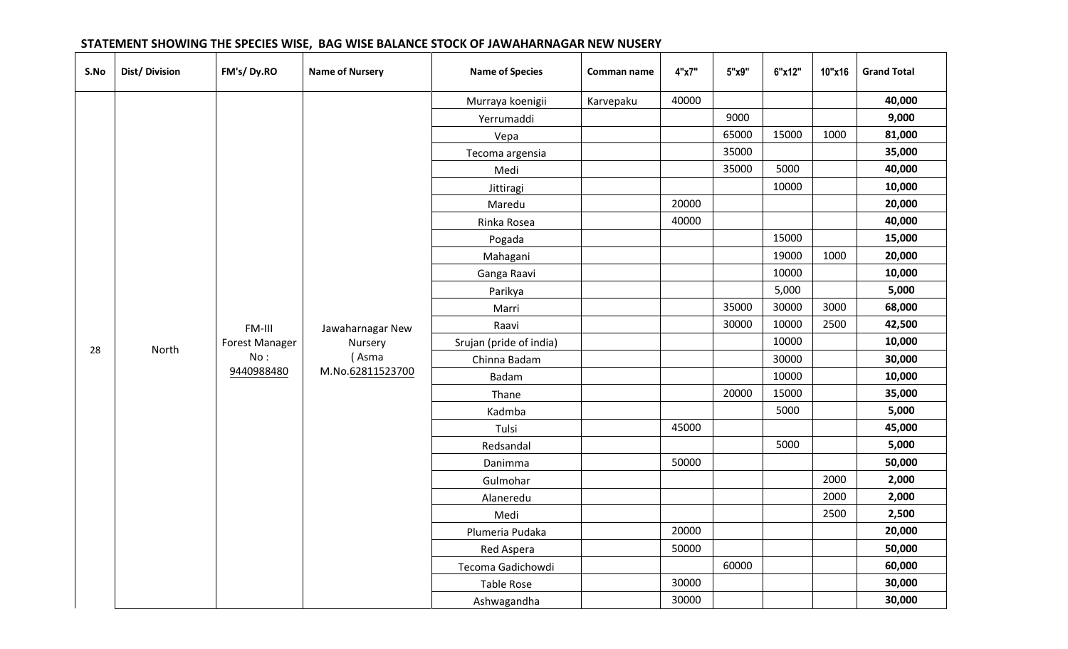| S.No | Dist/Division                                | FM's/Dy.RO                   | <b>Name of Nursery</b> | <b>Name of Species</b>  | Comman name | 4"x7" | 5"x9"  | 6"x12" | 10"x16 | <b>Grand Total</b> |
|------|----------------------------------------------|------------------------------|------------------------|-------------------------|-------------|-------|--------|--------|--------|--------------------|
|      |                                              |                              |                        | Murraya koenigii        | Karvepaku   | 40000 |        |        |        | 40,000             |
|      |                                              |                              |                        | Yerrumaddi              |             |       | 9000   |        |        | 9,000              |
|      |                                              |                              |                        | Vepa                    |             |       | 65000  | 15000  | 1000   | 81,000             |
|      |                                              |                              |                        | Tecoma argensia         |             |       | 35000  |        |        | 35,000             |
|      |                                              |                              |                        | Medi                    |             |       | 35000  | 5000   |        | 40,000             |
|      |                                              |                              |                        | Jittiragi               |             |       |        | 10000  |        | 10,000             |
|      |                                              |                              |                        | Maredu                  |             | 20000 |        |        |        | 20,000             |
|      |                                              |                              |                        | Rinka Rosea             |             | 40000 |        |        |        | 40,000             |
|      | Pogada<br>Mahagani<br>Ganga Raavi<br>Parikya |                              |                        |                         |             |       |        | 15000  |        | 15,000             |
|      |                                              |                              |                        |                         |             |       |        | 19000  | 1000   | 20,000             |
|      |                                              |                              |                        |                         | 10000       |       | 10,000 |        |        |                    |
|      |                                              |                              |                        |                         |             |       |        | 5,000  |        | 5,000              |
|      |                                              |                              |                        | Marri                   |             |       | 35000  | 30000  | 3000   | 68,000             |
|      |                                              | FM-III                       | Jawaharnagar New       | Raavi                   |             |       | 30000  | 10000  | 2500   | 42,500             |
| 28   | North                                        | <b>Forest Manager</b><br>No: | Nursery                | Srujan (pride of india) |             |       |        | 10000  |        | 10,000             |
|      |                                              |                              | (Asma                  | Chinna Badam            |             |       |        | 30000  |        | 30,000             |
|      |                                              | 9440988480                   | M.No.62811523700       | Badam                   |             |       |        | 10000  |        | 10,000             |
|      |                                              |                              |                        | Thane                   |             |       | 20000  | 15000  |        | 35,000             |
|      |                                              |                              |                        | Kadmba                  |             |       |        | 5000   |        | 5,000              |
|      |                                              |                              |                        | Tulsi                   |             | 45000 |        |        |        | 45,000             |
|      |                                              |                              |                        | Redsandal               |             |       |        | 5000   |        | 5,000              |
|      |                                              |                              |                        | Danimma                 |             | 50000 |        |        |        | 50,000             |
|      |                                              |                              |                        | Gulmohar                |             |       |        |        | 2000   | 2,000              |
|      |                                              |                              |                        | Alaneredu               |             |       |        |        | 2000   | 2,000              |
|      |                                              |                              |                        | Medi                    |             |       |        |        | 2500   | 2,500              |
|      |                                              |                              |                        | Plumeria Pudaka         |             | 20000 |        |        |        | 20,000             |
|      |                                              |                              |                        | Red Aspera              |             | 50000 |        |        |        | 50,000             |
|      |                                              |                              |                        | Tecoma Gadichowdi       |             |       | 60000  |        |        | 60,000             |
|      |                                              |                              |                        | Table Rose              |             | 30000 |        |        |        | 30,000             |
|      |                                              |                              |                        | Ashwagandha             |             | 30000 |        |        |        | 30,000             |

### **STATEMENT SHOWING THE SPECIES WISE, BAG WISE BALANCE STOCK OF JAWAHARNAGAR NEW NUSERY**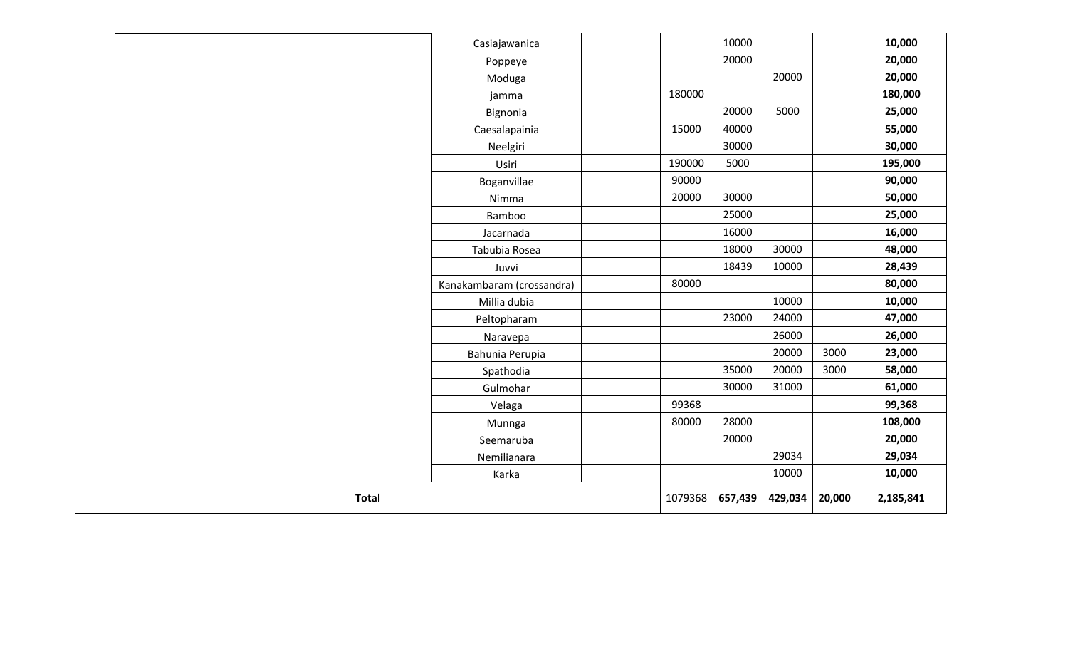|  |       |              | Casiajawanica             |         |         | 10000   |        |           | 10,000  |
|--|-------|--------------|---------------------------|---------|---------|---------|--------|-----------|---------|
|  |       |              | Poppeye                   |         |         | 20000   |        |           | 20,000  |
|  |       |              | Moduga                    |         |         |         | 20000  |           | 20,000  |
|  |       |              | jamma                     |         | 180000  |         |        |           | 180,000 |
|  |       |              | Bignonia                  |         |         | 20000   | 5000   |           | 25,000  |
|  |       |              | Caesalapainia             |         | 15000   | 40000   |        |           | 55,000  |
|  |       |              | Neelgiri                  |         |         | 30000   |        |           | 30,000  |
|  |       |              | Usiri                     |         | 190000  | 5000    |        |           | 195,000 |
|  |       |              | Boganvillae               |         | 90000   |         |        |           | 90,000  |
|  |       |              | Nimma                     |         | 20000   | 30000   |        |           | 50,000  |
|  |       |              | Bamboo                    |         |         | 25000   |        |           | 25,000  |
|  |       |              | Jacarnada                 |         |         | 16000   |        |           | 16,000  |
|  |       |              | Tabubia Rosea             |         |         | 18000   | 30000  |           | 48,000  |
|  |       |              | Juvvi                     |         |         | 18439   | 10000  |           | 28,439  |
|  |       |              | Kanakambaram (crossandra) |         | 80000   |         |        |           | 80,000  |
|  |       |              | Millia dubia              |         |         |         | 10000  |           | 10,000  |
|  |       |              | Peltopharam               |         |         | 23000   | 24000  |           | 47,000  |
|  |       |              | Naravepa                  |         |         |         | 26000  |           | 26,000  |
|  |       |              | Bahunia Perupia           |         |         |         | 20000  | 3000      | 23,000  |
|  |       |              | Spathodia                 |         |         | 35000   | 20000  | 3000      | 58,000  |
|  |       |              | Gulmohar                  |         |         | 30000   | 31000  |           | 61,000  |
|  |       |              | Velaga                    |         | 99368   |         |        |           | 99,368  |
|  |       |              | Munnga                    |         | 80000   | 28000   |        |           | 108,000 |
|  |       |              | Seemaruba                 |         |         | 20000   |        |           | 20,000  |
|  |       |              |                           | 29034   |         | 29,034  |        |           |         |
|  | Karka |              |                           |         |         |         |        |           | 10,000  |
|  |       | <b>Total</b> |                           | 1079368 | 657,439 | 429,034 | 20,000 | 2,185,841 |         |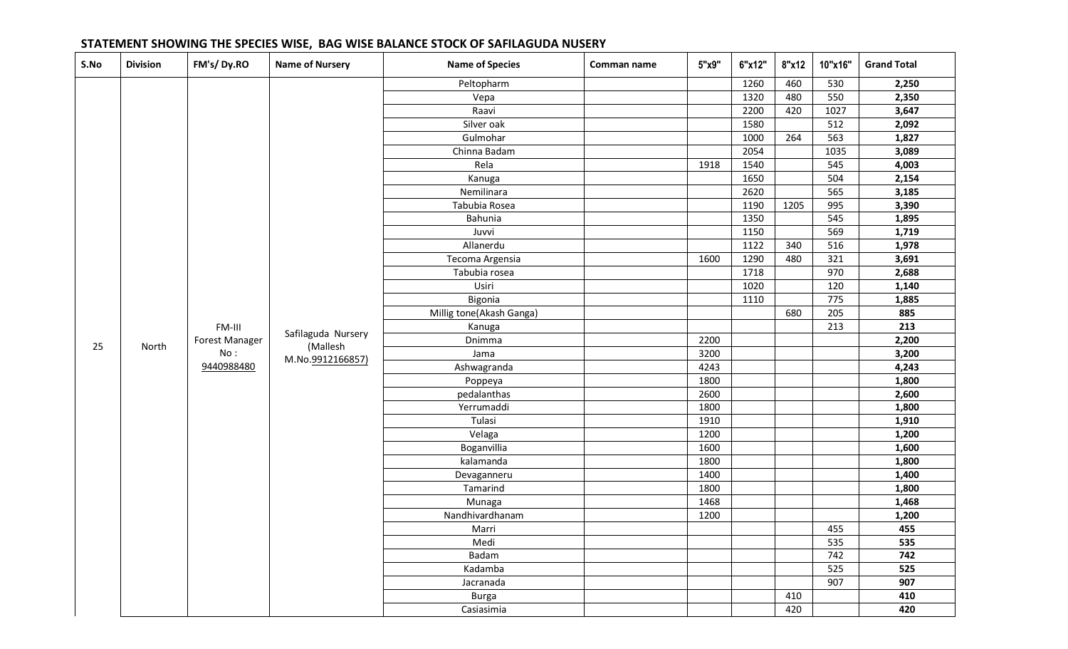| S.No | <b>Division</b> | FM's/Dy.RO                                    | <b>Name of Nursery</b>         | <b>Name of Species</b>   | Comman name | 5"x9" | 6"x12" | 8"x12 | 10"x16" | <b>Grand Total</b> |
|------|-----------------|-----------------------------------------------|--------------------------------|--------------------------|-------------|-------|--------|-------|---------|--------------------|
|      |                 |                                               |                                | Peltopharm               |             |       | 1260   | 460   | 530     | 2,250              |
|      |                 |                                               |                                | Vepa                     |             |       | 1320   | 480   | 550     | 2,350              |
|      |                 |                                               |                                | Raavi                    |             |       | 2200   | 420   | 1027    | 3,647              |
|      |                 |                                               |                                | Silver oak               |             |       | 1580   |       | 512     | 2,092              |
|      |                 |                                               |                                | Gulmohar                 |             |       | 1000   | 264   | 563     | 1,827              |
|      |                 |                                               |                                | Chinna Badam             |             |       | 2054   |       | 1035    | 3,089              |
|      |                 |                                               |                                | Rela                     |             | 1918  | 1540   |       | 545     | 4,003              |
|      |                 |                                               |                                | Kanuga                   |             |       | 1650   |       | 504     | 2,154              |
|      |                 |                                               |                                | Nemilinara               |             |       | 2620   |       | 565     | 3,185              |
|      |                 |                                               |                                | Tabubia Rosea            |             |       | 1190   | 1205  | 995     | 3,390              |
|      |                 |                                               |                                | Bahunia                  |             |       | 1350   |       | 545     | 1,895              |
|      |                 |                                               |                                | Juvvi                    |             |       | 1150   |       | 569     | 1,719              |
|      |                 |                                               |                                | Allanerdu                |             |       | 1122   | 340   | 516     | 1,978              |
|      |                 |                                               |                                | Tecoma Argensia          |             | 1600  | 1290   | 480   | 321     | 3,691              |
|      |                 |                                               |                                | Tabubia rosea            |             |       | 1718   |       | 970     | 2,688              |
|      |                 |                                               |                                | Usiri                    |             |       | 1020   |       | 120     | 1,140              |
|      |                 |                                               | Safilaguda Nursery<br>(Mallesh | Bigonia                  |             |       | 1110   |       | 775     | 1,885              |
|      |                 | FM-III<br>Forest Manager<br>No:<br>9440988480 |                                | Millig tone(Akash Ganga) |             |       |        | 680   | 205     | 885                |
|      | North           |                                               |                                | Kanuga                   |             |       |        |       | 213     | 213                |
| 25   |                 |                                               |                                | Dnimma                   |             | 2200  |        |       |         | 2,200              |
|      |                 |                                               | M.No.9912166857)               | Jama                     |             | 3200  |        |       |         | 3,200              |
|      |                 |                                               |                                | Ashwagranda              |             | 4243  |        |       |         | 4,243              |
|      |                 |                                               |                                | Poppeya                  |             | 1800  |        |       |         | 1,800              |
|      |                 |                                               |                                | pedalanthas              |             | 2600  |        |       |         | 2,600              |
|      |                 |                                               |                                | Yerrumaddi               |             | 1800  |        |       |         | 1,800              |
|      |                 |                                               |                                | Tulasi                   |             | 1910  |        |       |         | 1,910              |
|      |                 |                                               |                                | Velaga                   |             | 1200  |        |       |         | 1,200              |
|      |                 |                                               |                                | Boganvillia              |             | 1600  |        |       |         | 1,600              |
|      |                 |                                               |                                | kalamanda                |             | 1800  |        |       |         | 1,800              |
|      |                 |                                               |                                | Devaganneru              |             | 1400  |        |       |         | 1,400              |
|      |                 |                                               |                                | Tamarind                 |             | 1800  |        |       |         | 1,800              |
|      |                 |                                               |                                | Munaga                   |             | 1468  |        |       |         | 1,468              |
|      |                 |                                               |                                | Nandhivardhanam          |             | 1200  |        |       |         | 1,200              |
|      |                 |                                               |                                | Marri                    |             |       |        |       | 455     | 455                |
|      |                 |                                               |                                | Medi                     |             |       |        |       | 535     | 535                |
|      |                 |                                               |                                | Badam                    |             |       |        |       | 742     | 742                |
|      |                 |                                               |                                | Kadamba                  |             |       |        |       | 525     | 525                |
|      |                 |                                               |                                | Jacranada                |             |       |        |       | 907     | 907                |
|      |                 |                                               |                                | <b>Burga</b>             |             |       |        | 410   |         | 410                |
|      |                 |                                               |                                | Casiasimia               |             |       |        | 420   |         | 420                |

## **STATEMENT SHOWING THE SPECIES WISE, BAG WISE BALANCE STOCK OF SAFILAGUDA NUSERY**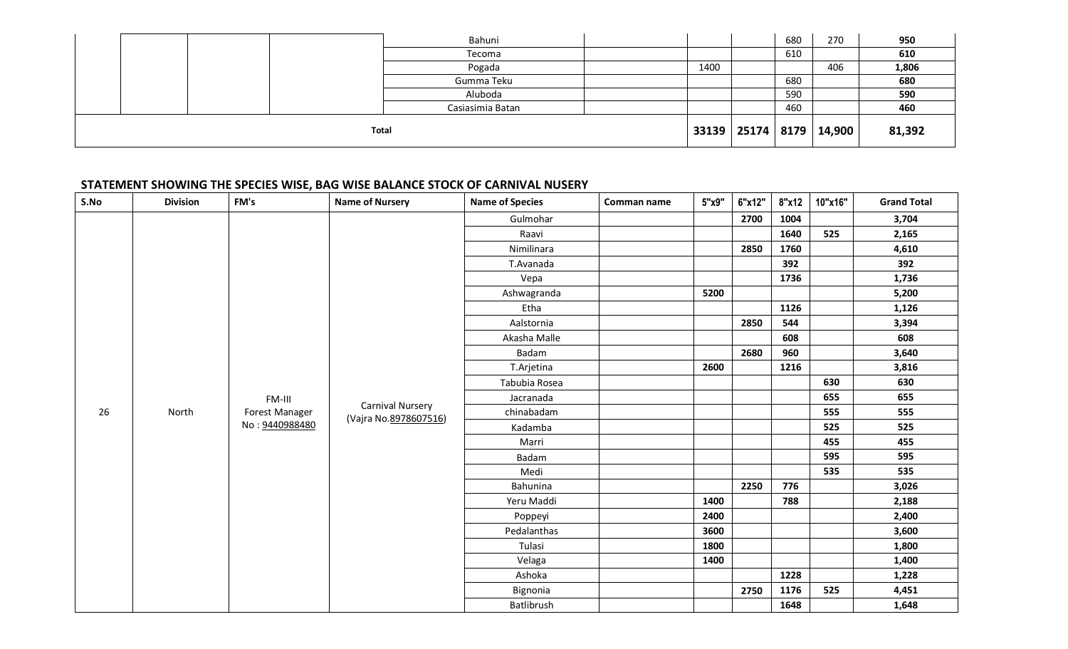|  |              | Bahuni           |      | 680 | 270                           | 950    |
|--|--------------|------------------|------|-----|-------------------------------|--------|
|  |              | Tecoma           |      | 610 |                               | 610    |
|  |              | Pogada           | 1400 |     | 406                           | 1,806  |
|  |              | Gumma Teku       |      | 680 |                               | 680    |
|  |              | Aluboda          |      | 590 |                               | 590    |
|  |              | Casiasimia Batan |      | 460 |                               | 460    |
|  | <b>Total</b> |                  |      |     | 33139   25174   8179   14,900 | 81,392 |

# **STATEMENT SHOWING THE SPECIES WISE, BAG WISE BALANCE STOCK OF CARNIVAL NUSERY**

| S.No        | <b>Division</b> | FM's                                      | <b>Name of Nursery</b> | <b>Name of Species</b> | Comman name | 5"x9" | 6"x12" | 8"x12 | 10"x16" | <b>Grand Total</b> |
|-------------|-----------------|-------------------------------------------|------------------------|------------------------|-------------|-------|--------|-------|---------|--------------------|
|             |                 |                                           |                        | Gulmohar               |             |       | 2700   | 1004  |         | 3,704              |
|             |                 |                                           |                        | Raavi                  |             |       |        | 1640  | 525     | 2,165              |
|             |                 |                                           |                        | Nimilinara             |             |       | 2850   | 1760  |         | 4,610              |
|             |                 |                                           |                        | T.Avanada              |             |       |        | 392   |         | 392                |
|             |                 |                                           |                        | Vepa                   |             |       |        | 1736  |         | 1,736              |
|             |                 |                                           |                        | Ashwagranda            |             | 5200  |        |       |         | 5,200              |
|             |                 |                                           |                        | Etha                   |             |       |        | 1126  |         | 1,126              |
|             |                 |                                           |                        | Aalstornia             |             |       | 2850   | 544   |         | 3,394              |
|             |                 |                                           |                        | Akasha Malle           |             |       |        | 608   |         | 608                |
|             |                 |                                           | Badam                  |                        |             | 2680  | 960    |       | 3,640   |                    |
|             |                 |                                           |                        | T.Arjetina             |             | 2600  |        | 1216  |         | 3,816              |
|             | FM-III          |                                           |                        | Tabubia Rosea          |             |       |        |       | 630     | 630                |
|             |                 |                                           |                        | Jacranada              |             |       |        |       | 655     | 655                |
| 26<br>North | Forest Manager  | Carnival Nursery<br>(Vajra No.8978607516) | chinabadam             |                        |             |       |        | 555   | 555     |                    |
|             |                 | No: 9440988480                            |                        | Kadamba                |             |       |        |       | 525     | 525                |
|             |                 |                                           |                        | Marri                  |             |       |        |       | 455     | 455                |
|             |                 |                                           |                        | Badam                  |             |       |        |       | 595     | 595                |
|             |                 |                                           |                        | Medi                   |             |       |        |       | 535     | 535                |
|             |                 |                                           |                        | Bahunina               |             |       | 2250   | 776   |         | 3,026              |
|             |                 |                                           |                        | Yeru Maddi             |             | 1400  |        | 788   |         | 2,188              |
|             |                 |                                           |                        | Poppeyi                |             | 2400  |        |       |         | 2,400              |
|             |                 |                                           |                        | Pedalanthas            |             | 3600  |        |       |         | 3,600              |
|             |                 |                                           |                        | Tulasi                 |             | 1800  |        |       |         | 1,800              |
|             |                 |                                           |                        | Velaga                 |             | 1400  |        |       |         | 1,400              |
|             |                 |                                           |                        | Ashoka                 |             |       |        | 1228  |         | 1,228              |
|             |                 |                                           |                        | Bignonia               |             |       | 2750   | 1176  | 525     | 4,451              |
|             |                 |                                           |                        | Batlibrush             |             |       |        | 1648  |         | 1,648              |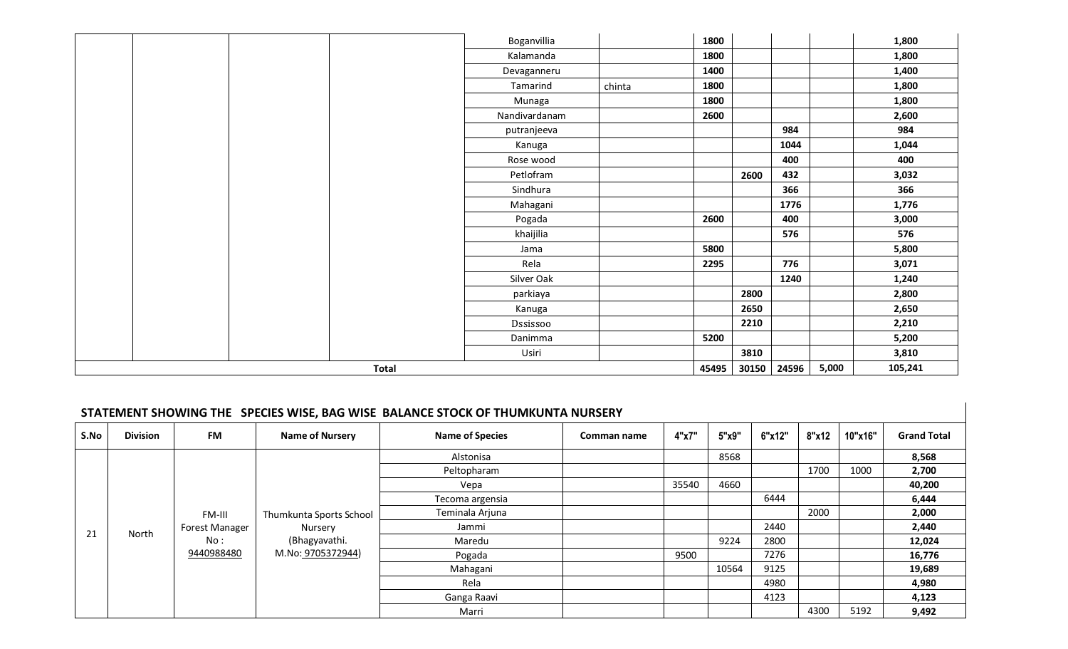|  |              | Boganvillia   |        | 1800  |       |       |       | 1,800   |
|--|--------------|---------------|--------|-------|-------|-------|-------|---------|
|  |              | Kalamanda     |        | 1800  |       |       |       | 1,800   |
|  |              | Devaganneru   |        | 1400  |       |       |       | 1,400   |
|  |              | Tamarind      | chinta | 1800  |       |       |       | 1,800   |
|  |              | Munaga        |        | 1800  |       |       |       | 1,800   |
|  |              | Nandivardanam |        | 2600  |       |       |       | 2,600   |
|  |              | putranjeeva   |        |       |       | 984   |       | 984     |
|  |              | Kanuga        |        |       |       | 1044  |       | 1,044   |
|  |              | Rose wood     |        |       |       | 400   |       | 400     |
|  |              | Petlofram     |        |       | 2600  | 432   |       | 3,032   |
|  |              | Sindhura      |        |       |       | 366   |       | 366     |
|  |              | Mahagani      |        |       |       | 1776  |       | 1,776   |
|  |              | Pogada        |        | 2600  |       | 400   |       | 3,000   |
|  |              | khaijilia     |        |       |       | 576   |       | 576     |
|  |              | Jama          |        | 5800  |       |       |       | 5,800   |
|  |              | Rela          |        | 2295  |       | 776   |       | 3,071   |
|  |              | Silver Oak    |        |       |       | 1240  |       | 1,240   |
|  |              | parkiaya      |        |       | 2800  |       |       | 2,800   |
|  |              | Kanuga        |        |       | 2650  |       |       | 2,650   |
|  |              | Dssissoo      |        |       | 2210  |       |       | 2,210   |
|  |              | Danimma       |        | 5200  |       |       |       | 5,200   |
|  |              | Usiri         |        |       | 3810  |       |       | 3,810   |
|  | <b>Total</b> |               |        | 45495 | 30150 | 24596 | 5,000 | 105,241 |

# **STATEMENT SHOWING THE SPECIES WISE, BAG WISE BALANCE STOCK OF THUMKUNTA NURSERY**

| S.No | <b>Division</b> | FM                    | <b>Name of Nursery</b>  | <b>Name of Species</b> | Comman name | 4"x7" | 5"x9" | 6"x12" | 8"x12 | 10"x16" | <b>Grand Total</b> |
|------|-----------------|-----------------------|-------------------------|------------------------|-------------|-------|-------|--------|-------|---------|--------------------|
|      |                 |                       |                         | Alstonisa              |             |       | 8568  |        |       |         | 8,568              |
|      |                 |                       |                         | Peltopharam            |             |       |       |        | 1700  | 1000    | 2,700              |
|      |                 |                       |                         | Vepa                   |             | 35540 | 4660  |        |       |         | 40,200             |
|      |                 |                       |                         | Tecoma argensia        |             |       |       | 6444   |       |         | 6,444              |
|      |                 | FM-III                | Thumkunta Sports School | Teminala Arjuna        |             |       |       |        | 2000  |         | 2,000              |
|      | North           | <b>Forest Manager</b> | Nursery                 | Jammi                  |             |       |       | 2440   |       |         | 2,440              |
| 21   |                 | No:                   | (Bhagyavathi.           | Maredu                 |             |       | 9224  | 2800   |       |         | 12,024             |
|      |                 | 9440988480            | M.No: 9705372944)       | Pogada                 |             | 9500  |       | 7276   |       |         | 16,776             |
|      |                 |                       |                         | Mahagani               |             |       | 10564 | 9125   |       |         | 19,689             |
|      |                 |                       |                         | Rela                   |             |       |       | 4980   |       |         | 4,980              |
|      |                 |                       |                         | Ganga Raavi            |             |       |       | 4123   |       |         | 4,123              |
|      |                 |                       |                         | Marri                  |             |       |       |        | 4300  | 5192    | 9,492              |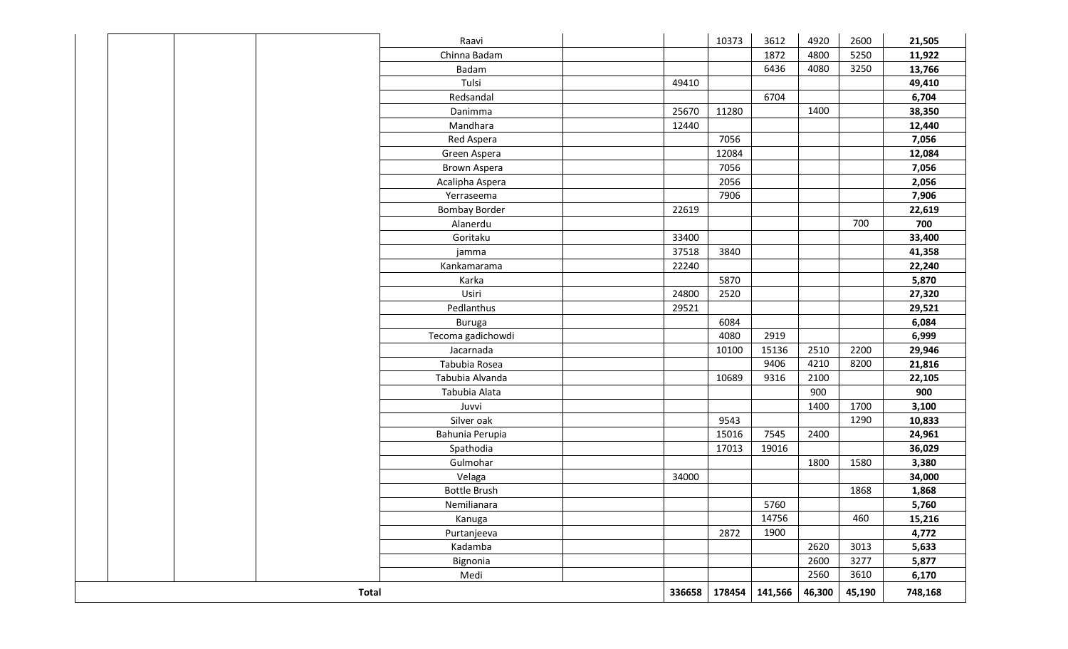|              | Raavi                |        | 10373   | 3612   | 4920   | 2600    | 21,505 |
|--------------|----------------------|--------|---------|--------|--------|---------|--------|
|              | Chinna Badam         |        |         | 1872   | 4800   | 5250    | 11,922 |
|              | Badam                |        |         | 6436   | 4080   | 3250    | 13,766 |
|              | Tulsi                | 49410  |         |        |        |         | 49,410 |
|              | Redsandal            |        |         | 6704   |        |         | 6,704  |
|              | Danimma              | 25670  | 11280   |        | 1400   |         | 38,350 |
|              | Mandhara             | 12440  |         |        |        |         | 12,440 |
|              | Red Aspera           |        | 7056    |        |        |         | 7,056  |
|              | Green Aspera         |        | 12084   |        |        |         | 12,084 |
|              | Brown Aspera         |        | 7056    |        |        |         | 7,056  |
|              | Acalipha Aspera      |        | 2056    |        |        |         | 2,056  |
|              | Yerraseema           |        | 7906    |        |        |         | 7,906  |
|              | <b>Bombay Border</b> | 22619  |         |        |        |         | 22,619 |
|              | Alanerdu             |        |         |        |        | 700     | 700    |
|              | Goritaku             | 33400  |         |        |        |         | 33,400 |
|              | jamma                | 37518  | 3840    |        |        |         | 41,358 |
|              | Kankamarama          | 22240  |         |        |        |         | 22,240 |
|              | Karka                |        | 5870    |        |        |         | 5,870  |
|              | Usiri                | 24800  | 2520    |        |        |         | 27,320 |
|              | Pedlanthus           | 29521  |         |        |        |         | 29,521 |
|              | <b>Buruga</b>        |        | 6084    |        |        |         | 6,084  |
|              | Tecoma gadichowdi    |        | 4080    | 2919   |        |         | 6,999  |
|              | Jacarnada            |        | 10100   | 15136  | 2510   | 2200    | 29,946 |
|              | Tabubia Rosea        |        |         | 9406   | 4210   | 8200    | 21,816 |
|              | Tabubia Alvanda      |        | 10689   | 9316   | 2100   |         | 22,105 |
|              | Tabubia Alata        |        |         |        | 900    |         | 900    |
|              | Juvvi                |        |         |        | 1400   | 1700    | 3,100  |
|              | Silver oak           |        | 9543    |        |        | 1290    | 10,833 |
|              | Bahunia Perupia      |        | 15016   | 7545   | 2400   |         | 24,961 |
|              | Spathodia            |        | 17013   | 19016  |        |         | 36,029 |
|              | Gulmohar             |        |         |        | 1800   | 1580    | 3,380  |
|              | Velaga               | 34000  |         |        |        |         | 34,000 |
|              | <b>Bottle Brush</b>  |        |         |        |        | 1868    | 1,868  |
|              | Nemilianara          |        |         | 5760   |        |         | 5,760  |
|              | Kanuga               |        |         | 14756  |        | 460     | 15,216 |
|              | Purtanjeeva          |        | 2872    | 1900   |        |         | 4,772  |
|              | Kadamba              |        |         |        | 2620   | 3013    | 5,633  |
|              | Bignonia             |        |         |        | 2600   | 3277    | 5,877  |
|              | Medi                 |        |         |        | 2560   | 3610    | 6,170  |
| <b>Total</b> | 336658               | 178454 | 141,566 | 46,300 | 45,190 | 748,168 |        |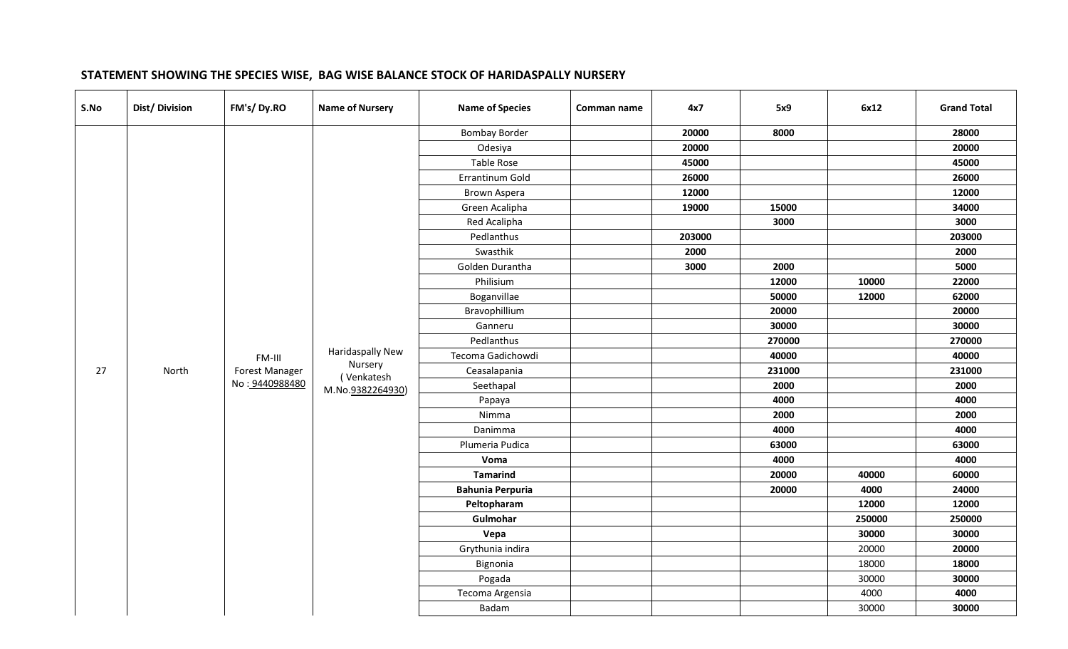# **STATEMENT SHOWING THE SPECIES WISE, BAG WISE BALANCE STOCK OF HARIDASPALLY NURSERY**

| S.No | Dist/Division | FM's/Dy.RO     | <b>Name of Nursery</b> | <b>Name of Species</b>  | Comman name | 4x7    | 5x9    | 6x12   | <b>Grand Total</b> |  |  |  |  |                 |  |  |       |       |       |
|------|---------------|----------------|------------------------|-------------------------|-------------|--------|--------|--------|--------------------|--|--|--|--|-----------------|--|--|-------|-------|-------|
|      |               |                |                        | <b>Bombay Border</b>    |             | 20000  | 8000   |        | 28000              |  |  |  |  |                 |  |  |       |       |       |
|      |               |                |                        | Odesiya                 |             | 20000  |        |        | 20000              |  |  |  |  |                 |  |  |       |       |       |
|      |               |                |                        | <b>Table Rose</b>       |             | 45000  |        |        | 45000              |  |  |  |  |                 |  |  |       |       |       |
|      |               |                |                        | Errantinum Gold         |             | 26000  |        |        | 26000              |  |  |  |  |                 |  |  |       |       |       |
|      |               |                |                        | <b>Brown Aspera</b>     |             | 12000  |        |        | 12000              |  |  |  |  |                 |  |  |       |       |       |
|      |               |                |                        | Green Acalipha          |             | 19000  | 15000  |        | 34000              |  |  |  |  |                 |  |  |       |       |       |
|      |               |                |                        | Red Acalipha            |             |        | 3000   |        | 3000               |  |  |  |  |                 |  |  |       |       |       |
|      |               |                |                        | Pedlanthus              |             | 203000 |        |        | 203000             |  |  |  |  |                 |  |  |       |       |       |
|      |               |                |                        | Swasthik                |             | 2000   |        |        | 2000               |  |  |  |  |                 |  |  |       |       |       |
|      |               |                |                        | Golden Durantha         |             | 3000   | 2000   |        | 5000               |  |  |  |  |                 |  |  |       |       |       |
|      |               |                |                        | Philisium               |             |        | 12000  | 10000  | 22000              |  |  |  |  |                 |  |  |       |       |       |
|      |               |                |                        | Boganvillae             |             |        | 50000  | 12000  | 62000              |  |  |  |  |                 |  |  |       |       |       |
|      |               |                |                        | Bravophillium           |             |        | 20000  |        | 20000              |  |  |  |  |                 |  |  |       |       |       |
|      |               |                |                        | Ganneru                 |             |        | 30000  |        | 30000              |  |  |  |  |                 |  |  |       |       |       |
|      | North         | FM-III         |                        | Pedlanthus              |             |        | 270000 |        | 270000             |  |  |  |  |                 |  |  |       |       |       |
|      |               |                | Haridaspally New       | Tecoma Gadichowdi       |             |        | 40000  |        | 40000              |  |  |  |  |                 |  |  |       |       |       |
| 27   |               | Forest Manager | Nursery<br>(Venkatesh  | Ceasalapania            |             |        | 231000 |        | 231000             |  |  |  |  |                 |  |  |       |       |       |
|      |               | No: 9440988480 | M.No.9382264930)       | Seethapal               |             |        | 2000   |        | 2000               |  |  |  |  |                 |  |  |       |       |       |
|      |               |                |                        | Papaya                  |             |        | 4000   |        | 4000               |  |  |  |  |                 |  |  |       |       |       |
|      |               |                |                        | Nimma                   |             |        | 2000   |        | 2000               |  |  |  |  |                 |  |  |       |       |       |
|      |               |                |                        | Danimma                 |             |        | 4000   |        | 4000               |  |  |  |  |                 |  |  |       |       |       |
|      |               |                |                        | Plumeria Pudica         |             |        | 63000  |        | 63000              |  |  |  |  |                 |  |  |       |       |       |
|      |               |                |                        | Voma                    |             |        | 4000   |        | 4000               |  |  |  |  |                 |  |  |       |       |       |
|      |               |                |                        |                         |             |        |        |        |                    |  |  |  |  | <b>Tamarind</b> |  |  | 20000 | 40000 | 60000 |
|      |               |                |                        | <b>Bahunia Perpuria</b> |             |        | 20000  | 4000   | 24000              |  |  |  |  |                 |  |  |       |       |       |
|      |               |                |                        | Peltopharam             |             |        |        | 12000  | 12000              |  |  |  |  |                 |  |  |       |       |       |
|      |               |                |                        | Gulmohar                |             |        |        | 250000 | 250000             |  |  |  |  |                 |  |  |       |       |       |
|      |               |                |                        | Vepa                    |             |        |        | 30000  | 30000              |  |  |  |  |                 |  |  |       |       |       |
|      |               |                |                        | Grythunia indira        |             |        |        | 20000  | 20000              |  |  |  |  |                 |  |  |       |       |       |
|      |               |                |                        | Bignonia                |             |        |        | 18000  | 18000              |  |  |  |  |                 |  |  |       |       |       |
|      |               |                |                        | Pogada                  |             |        |        | 30000  | 30000              |  |  |  |  |                 |  |  |       |       |       |
|      |               |                |                        | Tecoma Argensia         |             |        |        | 4000   | 4000               |  |  |  |  |                 |  |  |       |       |       |
|      |               |                |                        | Badam                   |             |        |        | 30000  | 30000              |  |  |  |  |                 |  |  |       |       |       |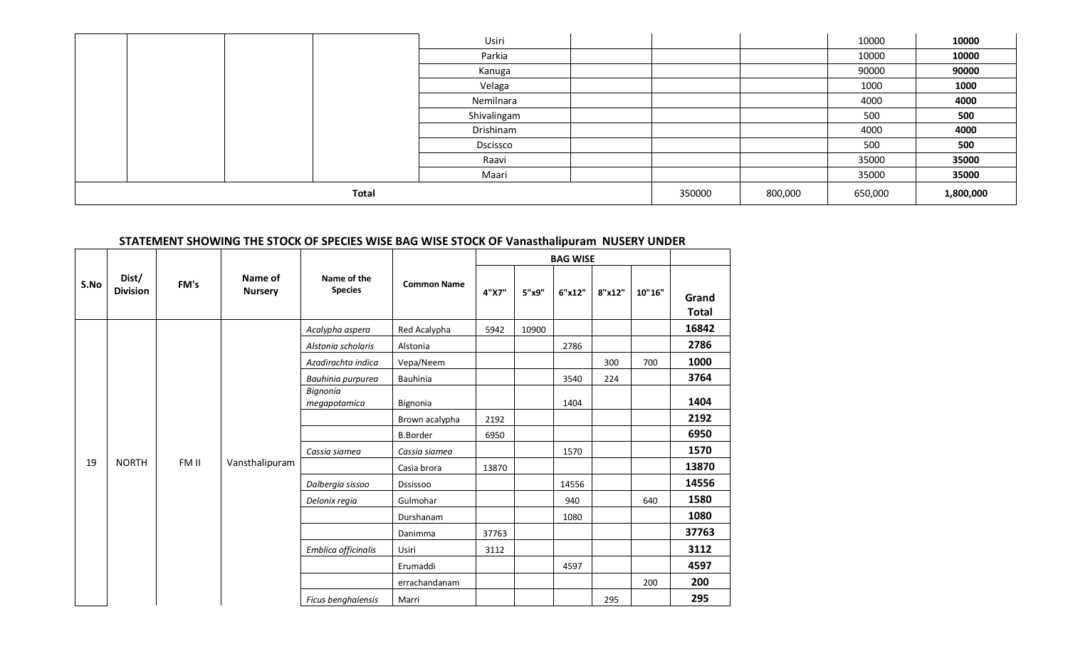|  |              | Usiri       |        |         | 10000   | 10000     |
|--|--------------|-------------|--------|---------|---------|-----------|
|  |              | Parkia      |        |         | 10000   | 10000     |
|  |              | Kanuga      |        |         | 90000   | 90000     |
|  |              | Velaga      |        |         | 1000    | 1000      |
|  |              | Nemilnara   |        |         | 4000    | 4000      |
|  |              | Shivalingam |        |         | 500     | 500       |
|  |              | Drishinam   |        |         | 4000    | 4000      |
|  |              | Dscissco    |        |         | 500     | 500       |
|  |              | Raavi       |        |         | 35000   | 35000     |
|  |              | Maari       |        |         | 35000   | 35000     |
|  | <b>Total</b> |             | 350000 | 800,000 | 650,000 | 1,800,000 |

# **STATEMENT SHOWING THE STOCK OF SPECIES WISE BAG WISE STOCK OF Vanasthalipuram NUSERY UNDER**

|      |                          |       |                           |                               |                    |       |       | <b>BAG WISE</b> |        |        |                       |
|------|--------------------------|-------|---------------------------|-------------------------------|--------------------|-------|-------|-----------------|--------|--------|-----------------------|
| S.No | Dist/<br><b>Division</b> | FM's  | Name of<br><b>Nursery</b> | Name of the<br><b>Species</b> | <b>Common Name</b> | 4"X7" | 5"x9" | 6"x12"          | 8"x12" | 10"16" | Grand<br><b>Total</b> |
|      |                          |       |                           | Acalypha aspera               | Red Acalypha       | 5942  | 10900 |                 |        |        | 16842                 |
|      |                          |       |                           | Alstonia scholaris            | Alstonia           |       |       | 2786            |        |        | 2786                  |
|      |                          |       |                           | Azadirachta indica            | Vepa/Neem          |       |       |                 | 300    | 700    | 1000                  |
|      |                          |       |                           | Bauhinia purpurea             | Bauhinia           |       |       | 3540            | 224    |        | 3764                  |
|      |                          |       |                           | Bignonia<br>megapotamica      | Bignonia           |       |       | 1404            |        |        | 1404                  |
|      |                          |       |                           |                               | Brown acalypha     | 2192  |       |                 |        |        | 2192                  |
|      |                          |       |                           |                               | <b>B.Border</b>    | 6950  |       |                 |        |        | 6950                  |
|      |                          |       |                           | Cassia siamea                 | Cassia siamea      |       |       | 1570            |        |        | 1570                  |
| 19   | <b>NORTH</b>             | FM II | Vansthalipuram            |                               | Casia brora        | 13870 |       |                 |        |        | 13870                 |
|      |                          |       |                           | Dalbergia sissoo              | <b>Dssissoo</b>    |       |       | 14556           |        |        | 14556                 |
|      |                          |       |                           | Delonix regia                 | Gulmohar           |       |       | 940             |        | 640    | 1580                  |
|      |                          |       |                           |                               | Durshanam          |       |       | 1080            |        |        | 1080                  |
|      |                          |       |                           |                               | Danimma            | 37763 |       |                 |        |        | 37763                 |
|      |                          |       |                           | Emblica officinalis           | <b>Usiri</b>       | 3112  |       |                 |        |        | 3112                  |
|      |                          |       |                           |                               | Erumaddi           |       |       | 4597            |        |        | 4597                  |
|      |                          |       |                           |                               | errachandanam      |       |       |                 |        | 200    | 200                   |
|      |                          |       |                           | Ficus benghalensis            | Marri              |       |       |                 | 295    |        | 295                   |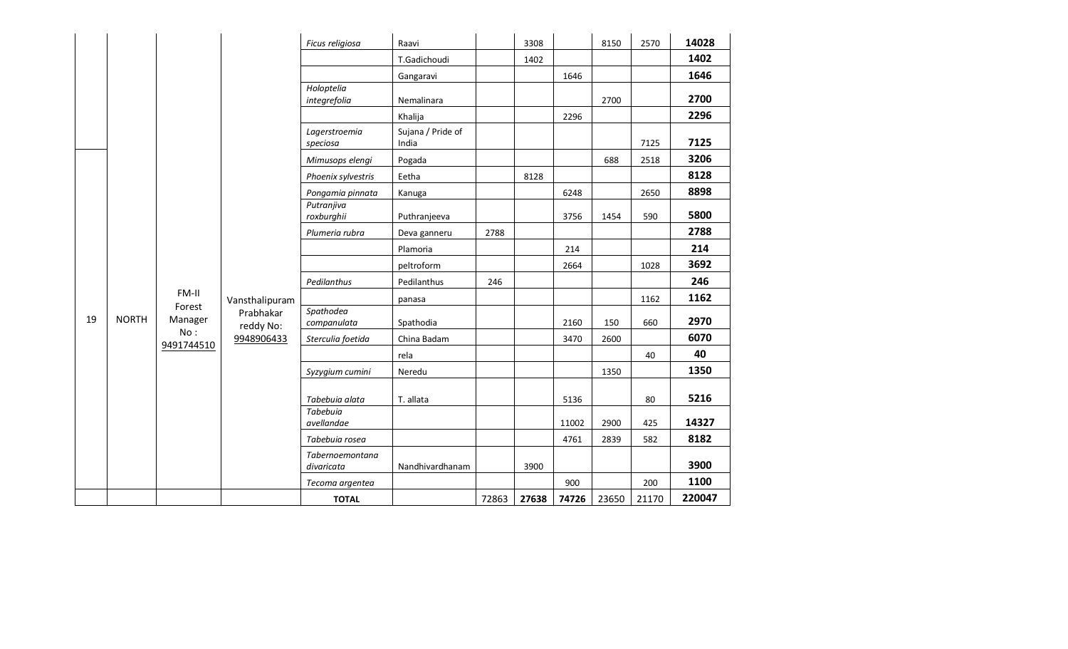|    |              |                   |                        | Ficus religiosa               | Raavi                      |       | 3308  |       | 8150  | 2570  | 14028  |
|----|--------------|-------------------|------------------------|-------------------------------|----------------------------|-------|-------|-------|-------|-------|--------|
|    |              |                   |                        |                               | T.Gadichoudi               |       | 1402  |       |       |       | 1402   |
|    |              |                   |                        |                               | Gangaravi                  |       |       | 1646  |       |       | 1646   |
|    |              |                   |                        | Holoptelia<br>integrefolia    | Nemalinara                 |       |       |       | 2700  |       | 2700   |
|    |              |                   |                        |                               | Khalija                    |       |       | 2296  |       |       | 2296   |
|    |              |                   |                        | Lagerstroemia<br>speciosa     | Sujana / Pride of<br>India |       |       |       |       | 7125  | 7125   |
|    |              |                   |                        | Mimusops elengi               | Pogada                     |       |       |       | 688   | 2518  | 3206   |
|    |              |                   |                        | Phoenix sylvestris            | Eetha                      |       | 8128  |       |       |       | 8128   |
|    |              |                   |                        | Pongamia pinnata              | Kanuga                     |       |       | 6248  |       | 2650  | 8898   |
|    |              |                   |                        | Putranjiva<br>roxburghii      | Puthranjeeva               |       |       | 3756  | 1454  | 590   | 5800   |
|    |              |                   |                        | Plumeria rubra                | Deva ganneru               | 2788  |       |       |       |       | 2788   |
|    |              |                   |                        |                               | Plamoria                   |       |       | 214   |       |       | 214    |
|    |              |                   |                        |                               | peltroform                 |       |       | 2664  |       | 1028  | 3692   |
|    |              |                   |                        | Pedilanthus                   | Pedilanthus                | 246   |       |       |       |       | 246    |
|    |              | FM-II             | Vansthalipuram         |                               | panasa                     |       |       |       |       | 1162  | 1162   |
| 19 | <b>NORTH</b> | Forest<br>Manager | Prabhakar<br>reddy No: | Spathodea<br>companulata      | Spathodia                  |       |       | 2160  | 150   | 660   | 2970   |
|    |              | No:<br>9491744510 | 9948906433             | Sterculia foetida             | China Badam                |       |       | 3470  | 2600  |       | 6070   |
|    |              |                   |                        |                               | rela                       |       |       |       |       | 40    | 40     |
|    |              |                   |                        | Syzygium cumini               | Neredu                     |       |       |       | 1350  |       | 1350   |
|    |              |                   |                        | Tabebuia alata                | T. allata                  |       |       | 5136  |       | 80    | 5216   |
|    |              |                   |                        | Tabebuia<br>avellandae        |                            |       |       | 11002 | 2900  | 425   | 14327  |
|    |              |                   |                        | Tabebuia rosea                |                            |       |       | 4761  | 2839  | 582   | 8182   |
|    |              |                   |                        | Tabernoemontana<br>divaricata | Nandhivardhanam            |       | 3900  |       |       |       | 3900   |
|    |              |                   |                        | Tecoma argentea               |                            |       |       | 900   |       | 200   | 1100   |
|    |              |                   |                        | <b>TOTAL</b>                  |                            | 72863 | 27638 | 74726 | 23650 | 21170 | 220047 |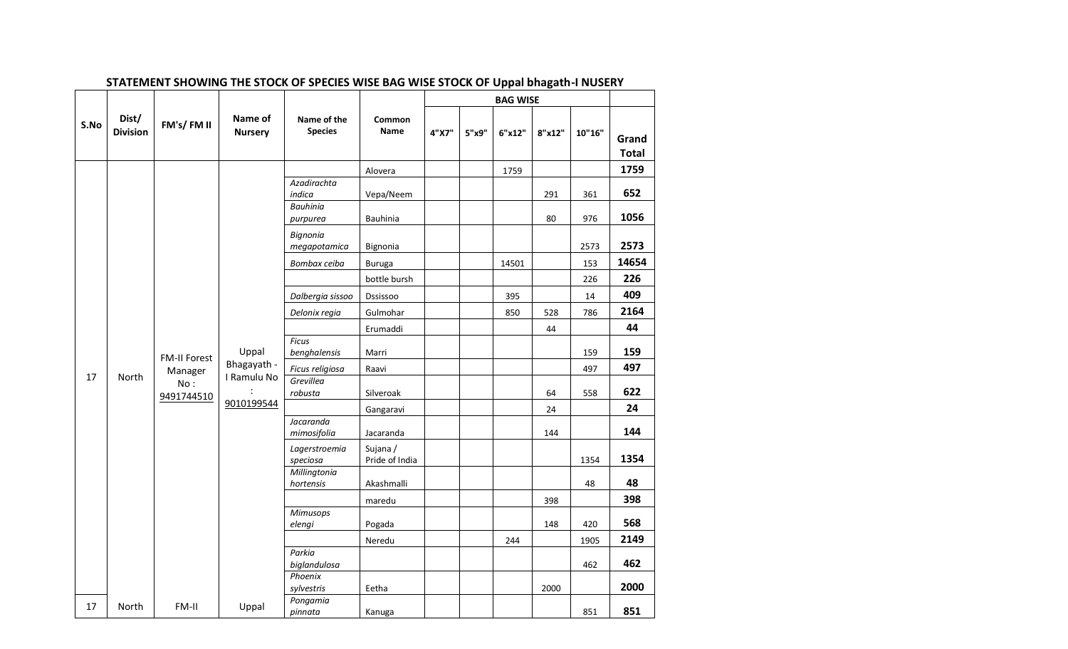|      |                          |                     |                           |                               |                            |       |       | <b>BAG WISE</b> |        |        |                       |
|------|--------------------------|---------------------|---------------------------|-------------------------------|----------------------------|-------|-------|-----------------|--------|--------|-----------------------|
| S.No | Dist/<br><b>Division</b> | FM's/FM II          | Name of<br><b>Nursery</b> | Name of the<br><b>Species</b> | Common<br><b>Name</b>      | 4"X7" | 5"x9" | 6"x12"          | 8"x12" | 10"16" | Grand<br><b>Total</b> |
|      |                          |                     |                           |                               | Alovera                    |       |       | 1759            |        |        | 1759                  |
|      |                          |                     |                           | Azadirachta<br>indica         | Vepa/Neem                  |       |       |                 | 291    | 361    | 652                   |
|      |                          |                     |                           | <b>Bauhinia</b><br>purpurea   | <b>Bauhinia</b>            |       |       |                 | 80     | 976    | 1056                  |
|      |                          |                     |                           | Bignonia<br>megapotamica      | Bignonia                   |       |       |                 |        | 2573   | 2573                  |
|      |                          |                     |                           | Bombax ceiba                  | <b>Buruga</b>              |       |       | 14501           |        | 153    | 14654                 |
|      |                          |                     |                           |                               | bottle bursh               |       |       |                 |        | 226    | 226                   |
|      |                          |                     |                           | Dalbergia sissoo              | Dssissoo                   |       |       | 395             |        | 14     | 409                   |
|      |                          |                     |                           | Delonix regia                 | Gulmohar                   |       |       | 850             | 528    | 786    | 2164                  |
|      |                          |                     |                           |                               | Erumaddi                   |       |       |                 | 44     |        | 44                    |
|      |                          | <b>FM-II Forest</b> | Uppal                     | <b>Ficus</b><br>benghalensis  | Marri                      |       |       |                 |        | 159    | 159                   |
|      |                          | Manager             | Bhagayath -               | Ficus religiosa               | Raavi                      |       |       |                 |        | 497    | 497                   |
| 17   | North                    | No:<br>9491744510   | I Ramulu No               | Grevillea<br>robusta          | Silveroak                  |       |       |                 | 64     | 558    | 622                   |
|      |                          |                     | 9010199544                |                               | Gangaravi                  |       |       |                 | 24     |        | 24                    |
|      |                          |                     |                           | Jacaranda<br>mimosifolia      | Jacaranda                  |       |       |                 | 144    |        | 144                   |
|      |                          |                     |                           | Lagerstroemia<br>speciosa     | Sujana /<br>Pride of India |       |       |                 |        | 1354   | 1354                  |
|      |                          |                     |                           | Millingtonia<br>hortensis     | Akashmalli                 |       |       |                 |        | 48     | 48                    |
|      |                          |                     |                           |                               | maredu                     |       |       |                 | 398    |        | 398                   |
|      |                          |                     |                           | Mimusops<br>elengi            | Pogada                     |       |       |                 | 148    | 420    | 568                   |
|      |                          |                     |                           |                               | Neredu                     |       |       | 244             |        | 1905   | 2149                  |
|      |                          |                     |                           | Parkia<br>biglandulosa        |                            |       |       |                 |        | 462    | 462                   |
|      |                          |                     |                           | Phoenix                       |                            |       |       |                 |        |        | 2000                  |
|      |                          |                     |                           | sylvestris<br>Pongamia        | Eetha                      |       |       |                 | 2000   |        |                       |
| 17   | North                    | FM-II               | Uppal                     | pinnata                       | Kanuga                     |       |       |                 |        | 851    | 851                   |

### **STATEMENT SHOWING THE STOCK OF SPECIES WISE BAG WISE STOCK OF Uppal bhagath-I NUSERY**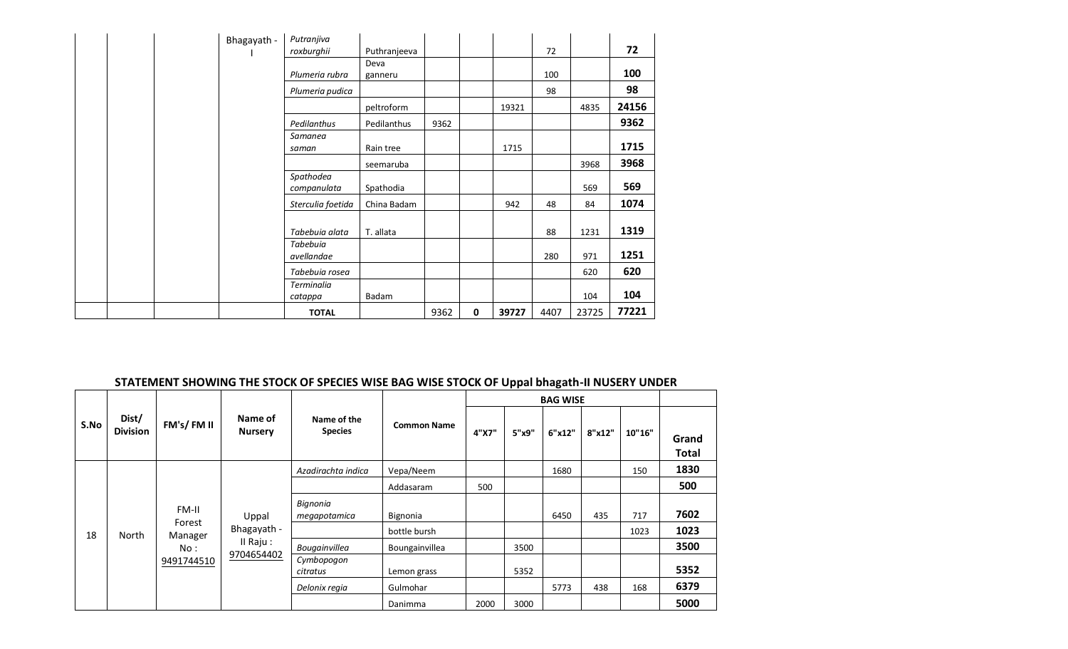|  | Bhagayath - | Putranjiva                    |              |      |   |       |      |       |       |
|--|-------------|-------------------------------|--------------|------|---|-------|------|-------|-------|
|  |             | roxburghii                    | Puthranjeeva |      |   |       | 72   |       | 72    |
|  |             |                               | Deva         |      |   |       |      |       |       |
|  |             | Plumeria rubra                | ganneru      |      |   |       | 100  |       | 100   |
|  |             | Plumeria pudica               |              |      |   |       | 98   |       | 98    |
|  |             |                               | peltroform   |      |   | 19321 |      | 4835  | 24156 |
|  |             | Pedilanthus                   | Pedilanthus  | 9362 |   |       |      |       | 9362  |
|  |             | Samanea<br>saman              | Rain tree    |      |   | 1715  |      |       | 1715  |
|  |             |                               | seemaruba    |      |   |       |      | 3968  | 3968  |
|  |             | Spathodea<br>companulata      | Spathodia    |      |   |       |      | 569   | 569   |
|  |             | Sterculia foetida             | China Badam  |      |   | 942   | 48   | 84    | 1074  |
|  |             | Tabebuia alata                | T. allata    |      |   |       | 88   | 1231  | 1319  |
|  |             | <b>Tabebuia</b><br>avellandae |              |      |   |       | 280  | 971   | 1251  |
|  |             | Tabebuia rosea                |              |      |   |       |      | 620   | 620   |
|  |             | <b>Terminalia</b><br>catappa  | Badam        |      |   |       |      | 104   | 104   |
|  |             | <b>TOTAL</b>                  |              | 9362 | 0 | 39727 | 4407 | 23725 | 77221 |

# **STATEMENT SHOWING THE STOCK OF SPECIES WISE BAG WISE STOCK OF Uppal bhagath-II NUSERY UNDER**

|      |                          |                 |                           |                               |                    |       |       | <b>BAG WISE</b> |        |        |                |
|------|--------------------------|-----------------|---------------------------|-------------------------------|--------------------|-------|-------|-----------------|--------|--------|----------------|
| S.No | Dist/<br><b>Division</b> | FM's/FM II      | Name of<br><b>Nursery</b> | Name of the<br><b>Species</b> | <b>Common Name</b> | 4"X7" | 5"x9" | 6"x12"          | 8"x12" | 10"16" | Grand<br>Total |
|      |                          |                 |                           | Azadirachta indica            | Vepa/Neem          |       |       | 1680            |        | 150    | 1830           |
|      |                          |                 |                           |                               | Addasaram          | 500   |       |                 |        |        | 500            |
|      |                          | FM-II<br>Forest | Uppal                     | Bignonia<br>megapotamica      | Bignonia           |       |       | 6450            | 435    | 717    | 7602           |
| 18   | North                    | Manager         | Bhagayath -               |                               | bottle bursh       |       |       |                 |        | 1023   | 1023           |
|      |                          | No:             | $II$ Raju:                | Bougainvillea                 | Boungainvillea     |       | 3500  |                 |        |        | 3500           |
|      |                          | 9491744510      | 9704654402                | Cymbopogon<br>citratus        | Lemon grass        |       | 5352  |                 |        |        | 5352           |
|      |                          |                 |                           | Delonix regia                 | Gulmohar           |       |       | 5773            | 438    | 168    | 6379           |
|      |                          |                 |                           |                               | Danimma            | 2000  | 3000  |                 |        |        | 5000           |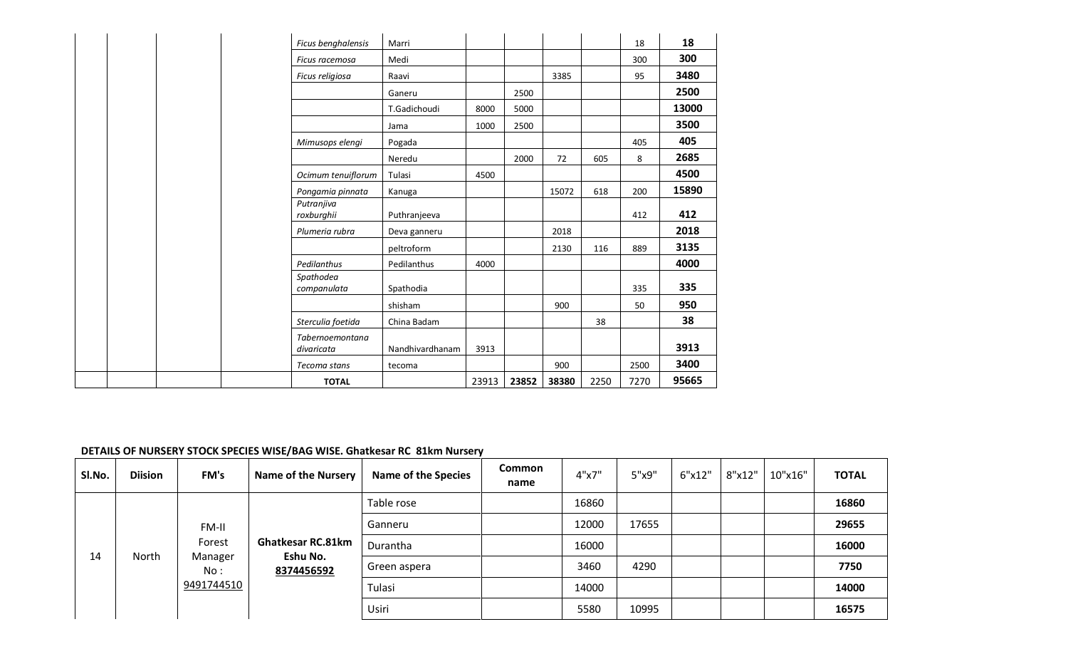| Ficus benghalensis                   | Marri           |       |       |       |      | 18   | 18    |
|--------------------------------------|-----------------|-------|-------|-------|------|------|-------|
| Ficus racemosa                       | Medi            |       |       |       |      | 300  | 300   |
| Ficus religiosa                      | Raavi           |       |       | 3385  |      | 95   | 3480  |
|                                      | Ganeru          |       | 2500  |       |      |      | 2500  |
|                                      | T.Gadichoudi    | 8000  | 5000  |       |      |      | 13000 |
|                                      | Jama            | 1000  | 2500  |       |      |      | 3500  |
| Mimusops elengi                      | Pogada          |       |       |       |      | 405  | 405   |
|                                      | Neredu          |       | 2000  | 72    | 605  | 8    | 2685  |
| Ocimum tenuiflorum                   | Tulasi          | 4500  |       |       |      |      | 4500  |
| Pongamia pinnata                     | Kanuga          |       |       | 15072 | 618  | 200  | 15890 |
| Putranjiva<br>roxburghii             | Puthranjeeva    |       |       |       |      | 412  | 412   |
| Plumeria rubra                       | Deva ganneru    |       |       | 2018  |      |      | 2018  |
|                                      | peltroform      |       |       | 2130  | 116  | 889  | 3135  |
| Pedilanthus                          | Pedilanthus     | 4000  |       |       |      |      | 4000  |
| Spathodea<br>companulata             | Spathodia       |       |       |       |      | 335  | 335   |
|                                      | shisham         |       |       | 900   |      | 50   | 950   |
| Sterculia foetida                    | China Badam     |       |       |       | 38   |      | 38    |
| <b>Tabernoemontana</b><br>divaricata | Nandhivardhanam | 3913  |       |       |      |      | 3913  |
| Tecoma stans                         | tecoma          |       |       | 900   |      | 2500 | 3400  |
| <b>TOTAL</b>                         |                 | 23913 | 23852 | 38380 | 2250 | 7270 | 95665 |

### **DETAILS OF NURSERY STOCK SPECIES WISE/BAG WISE. Ghatkesar RC 81km Nursery**

| SI.No. | <b>Diision</b> | FM's           | <b>Name of the Nursery</b> | <b>Name of the Species</b> | Common<br>name | 4"x7" | 5"x9" | 6"x12" | 8"x12" | 10"x16" | <b>TOTAL</b> |
|--------|----------------|----------------|----------------------------|----------------------------|----------------|-------|-------|--------|--------|---------|--------------|
|        |                |                |                            | Table rose                 |                | 16860 |       |        |        |         | 16860        |
|        |                | FM-II          |                            | Ganneru                    |                | 12000 | 17655 |        |        |         | 29655        |
|        |                | Forest         | <b>Ghatkesar RC.81km</b>   | Durantha                   |                | 16000 |       |        |        |         | 16000        |
| 14     | North          | Manager<br>No: | Eshu No.<br>8374456592     | Green aspera               |                | 3460  | 4290  |        |        |         | 7750         |
|        |                | 9491744510     |                            | Tulasi                     |                | 14000 |       |        |        |         | 14000        |
|        |                |                |                            | Usiri                      |                | 5580  | 10995 |        |        |         | 16575        |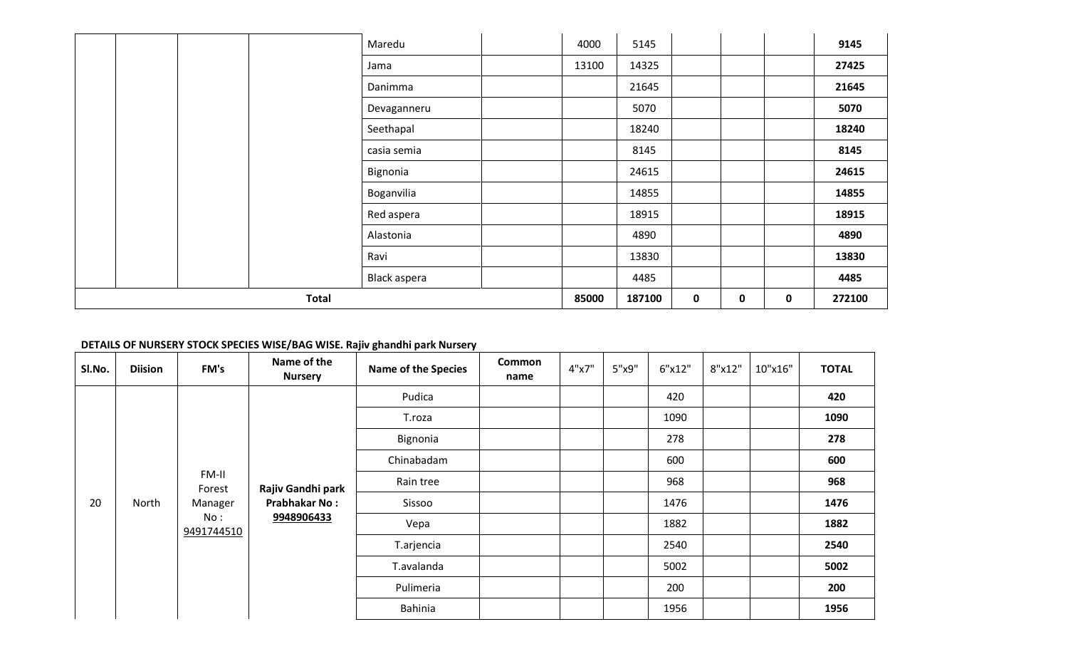|  |              | Maredu       | 4000  | 5145   |             |          |   | 9145   |
|--|--------------|--------------|-------|--------|-------------|----------|---|--------|
|  |              | Jama         | 13100 | 14325  |             |          |   | 27425  |
|  |              | Danimma      |       | 21645  |             |          |   | 21645  |
|  |              | Devaganneru  |       | 5070   |             |          |   | 5070   |
|  |              | Seethapal    |       | 18240  |             |          |   | 18240  |
|  |              | casia semia  |       | 8145   |             |          |   | 8145   |
|  |              | Bignonia     |       | 24615  |             |          |   | 24615  |
|  |              | Boganvilia   |       | 14855  |             |          |   | 14855  |
|  |              | Red aspera   |       | 18915  |             |          |   | 18915  |
|  |              | Alastonia    |       | 4890   |             |          |   | 4890   |
|  |              | Ravi         |       | 13830  |             |          |   | 13830  |
|  |              | Black aspera |       | 4485   |             |          |   | 4485   |
|  | <b>Total</b> |              | 85000 | 187100 | $\mathbf 0$ | $\bf{0}$ | 0 | 272100 |

# **DETAILS OF NURSERY STOCK SPECIES WISE/BAG WISE. Rajiv ghandhi park Nursery**

| SI.No. | <b>Diision</b> | FM's              | Name of the<br><b>Nursery</b> | <b>Name of the Species</b> | <b>Common</b><br>name | 4"x7" | 5"x9" | 6"x12" | 8"x12" | 10"x16" | <b>TOTAL</b> |
|--------|----------------|-------------------|-------------------------------|----------------------------|-----------------------|-------|-------|--------|--------|---------|--------------|
|        |                |                   |                               | Pudica                     |                       |       |       | 420    |        |         | 420          |
|        |                |                   |                               | T.roza                     |                       |       |       | 1090   |        |         | 1090         |
|        |                |                   |                               | Bignonia                   |                       |       |       | 278    |        |         | 278          |
|        |                |                   |                               | Chinabadam                 |                       |       |       | 600    |        |         | 600          |
|        |                | FM-II<br>Forest   | Rajiv Gandhi park             | Rain tree                  |                       |       |       | 968    |        |         | 968          |
| 20     | North          | Manager           | <b>Prabhakar No:</b>          | Sissoo                     |                       |       |       | 1476   |        |         | 1476         |
|        |                | No:<br>9491744510 | 9948906433                    | Vepa                       |                       |       |       | 1882   |        |         | 1882         |
|        |                |                   |                               | T.arjencia                 |                       |       |       | 2540   |        |         | 2540         |
|        |                |                   |                               | T.avalanda                 |                       |       |       | 5002   |        |         | 5002         |
|        |                |                   |                               | Pulimeria                  |                       |       |       | 200    |        |         | 200          |
|        |                |                   |                               | Bahinia                    |                       |       |       | 1956   |        |         | 1956         |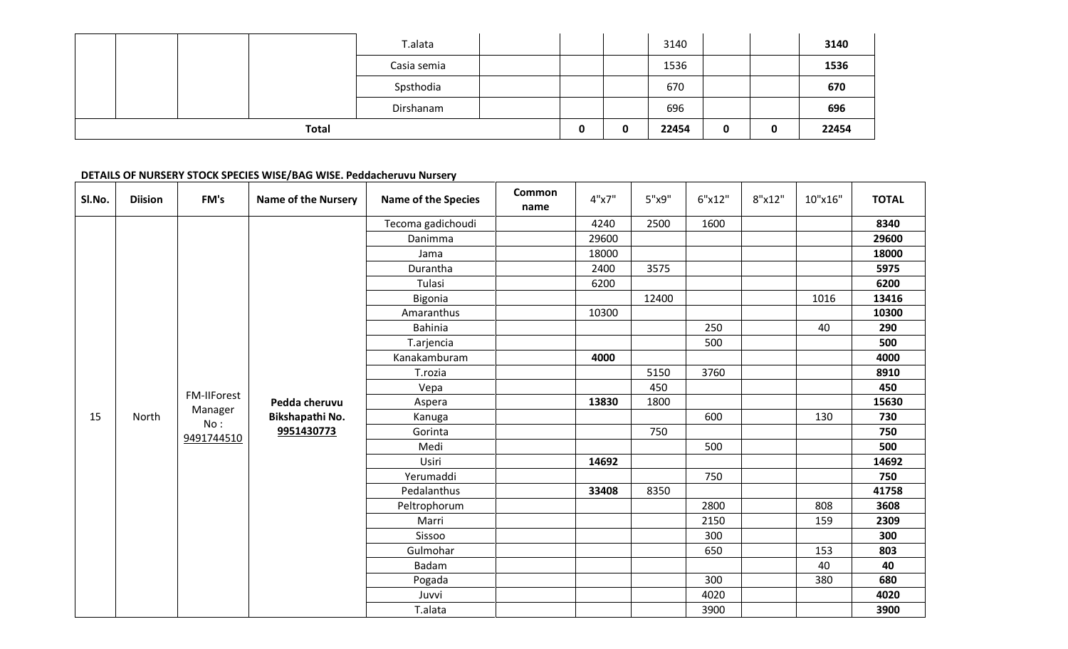|  |              | T.alata     |   | 3140  |   |             | 3140  |
|--|--------------|-------------|---|-------|---|-------------|-------|
|  |              | Casia semia |   | 1536  |   |             | 1536  |
|  |              | Spsthodia   |   | 670   |   |             | 670   |
|  |              | Dirshanam   |   | 696   |   |             | 696   |
|  | <b>Total</b> |             | 0 | 22454 | 0 | $\mathbf 0$ | 22454 |

### **DETAILS OF NURSERY STOCK SPECIES WISE/BAG WISE. Peddacheruvu Nursery**

| SI.No. | <b>Diision</b> | FM's        | <b>Name of the Nursery</b> | <b>Name of the Species</b> | Common<br>name | 4"x7" | 5"x9" | 6"x12" | 8"x12" | 10"x16" | <b>TOTAL</b> |
|--------|----------------|-------------|----------------------------|----------------------------|----------------|-------|-------|--------|--------|---------|--------------|
|        |                |             |                            | Tecoma gadichoudi          |                | 4240  | 2500  | 1600   |        |         | 8340         |
|        |                |             |                            | Danimma                    |                | 29600 |       |        |        |         | 29600        |
|        |                |             |                            | Jama                       |                | 18000 |       |        |        |         | 18000        |
|        |                |             |                            | Durantha                   |                | 2400  | 3575  |        |        |         | 5975         |
|        |                |             |                            | Tulasi                     |                | 6200  |       |        |        |         | 6200         |
|        |                |             |                            | Bigonia                    |                |       | 12400 |        |        | 1016    | 13416        |
|        |                |             |                            | Amaranthus                 |                | 10300 |       |        |        |         | 10300        |
|        |                |             |                            | <b>Bahinia</b>             |                |       |       | 250    |        | 40      | 290          |
|        |                |             |                            | T.arjencia                 |                |       |       | 500    |        |         | 500          |
|        |                |             |                            | Kanakamburam               |                | 4000  |       |        |        |         | 4000         |
|        |                |             |                            | T.rozia                    |                |       | 5150  | 3760   |        |         | 8910         |
|        |                | FM-IIForest |                            | Vepa                       |                |       | 450   |        |        |         | 450          |
|        |                | Manager     | Pedda cheruvu              | Aspera                     |                | 13830 | 1800  |        |        |         | 15630        |
| 15     | North          | No:         | Bikshapathi No.            | Kanuga                     |                |       |       | 600    |        | 130     | 730          |
|        |                | 9491744510  | 9951430773                 | Gorinta                    |                |       | 750   |        |        |         | 750          |
|        |                |             |                            | Medi                       |                |       |       | 500    |        |         | 500          |
|        |                |             |                            | Usiri                      |                | 14692 |       |        |        |         | 14692        |
|        |                |             |                            | Yerumaddi                  |                |       |       | 750    |        |         | 750          |
|        |                |             |                            | Pedalanthus                |                | 33408 | 8350  |        |        |         | 41758        |
|        |                |             |                            | Peltrophorum               |                |       |       | 2800   |        | 808     | 3608         |
|        |                |             |                            | Marri                      |                |       |       | 2150   |        | 159     | 2309         |
|        |                |             |                            | Sissoo                     |                |       |       | 300    |        |         | 300          |
|        |                |             |                            | Gulmohar                   |                |       |       | 650    |        | 153     | 803          |
|        |                |             |                            | Badam                      |                |       |       |        |        | 40      | 40           |
|        |                |             |                            | Pogada                     |                |       |       | 300    |        | 380     | 680          |
|        |                |             |                            | Juvvi                      |                |       |       | 4020   |        |         | 4020         |
|        |                |             |                            | T.alata                    |                |       |       | 3900   |        |         | 3900         |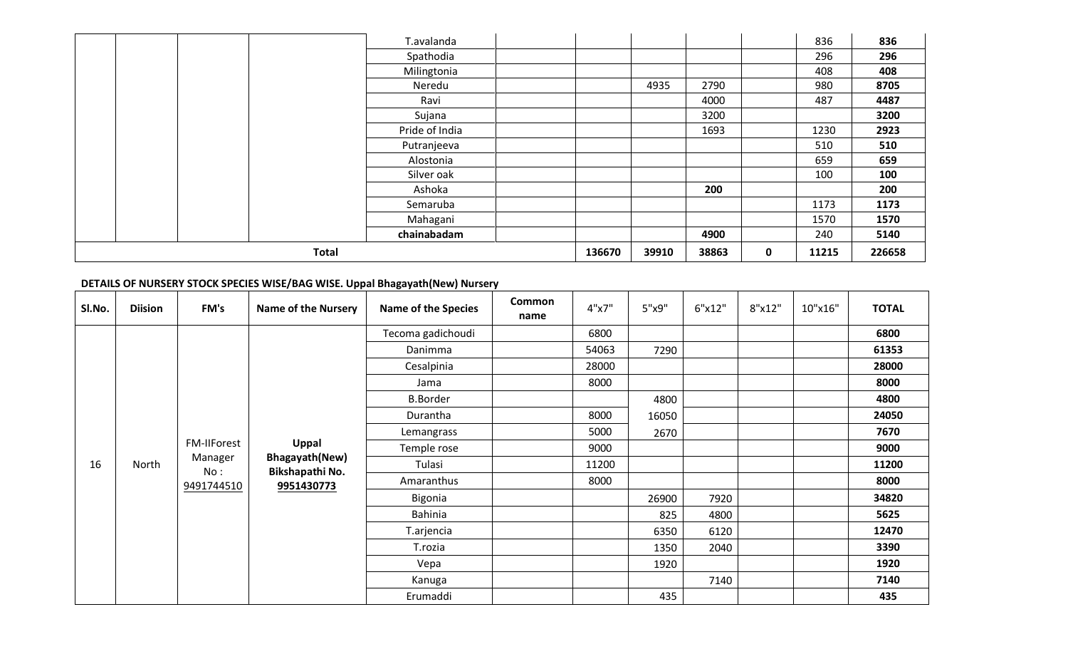|              | T.avalanda     |        |       |       |   | 836   | 836    |
|--------------|----------------|--------|-------|-------|---|-------|--------|
|              | Spathodia      |        |       |       |   | 296   | 296    |
|              | Milingtonia    |        |       |       |   | 408   | 408    |
|              | Neredu         |        | 4935  | 2790  |   | 980   | 8705   |
|              | Ravi           |        |       | 4000  |   | 487   | 4487   |
|              | Sujana         |        |       | 3200  |   |       | 3200   |
|              | Pride of India |        |       | 1693  |   | 1230  | 2923   |
|              | Putranjeeva    |        |       |       |   | 510   | 510    |
|              | Alostonia      |        |       |       |   | 659   | 659    |
|              | Silver oak     |        |       |       |   | 100   | 100    |
|              | Ashoka         |        |       | 200   |   |       | 200    |
|              | Semaruba       |        |       |       |   | 1173  | 1173   |
|              | Mahagani       |        |       |       |   | 1570  | 1570   |
|              | chainabadam    |        |       | 4900  |   | 240   | 5140   |
| <b>Total</b> |                | 136670 | 39910 | 38863 | 0 | 11215 | 226658 |

# **DETAILS OF NURSERY STOCK SPECIES WISE/BAG WISE. Uppal Bhagayath(New) Nursery**

| SI.No. | <b>Diision</b> | FM's               | <b>Name of the Nursery</b>               | <b>Name of the Species</b> | <b>Common</b><br>name | 4"x7" | 5"x9" | 6"x12" | 8"x12" | 10"x16" | <b>TOTAL</b> |
|--------|----------------|--------------------|------------------------------------------|----------------------------|-----------------------|-------|-------|--------|--------|---------|--------------|
|        |                |                    |                                          | Tecoma gadichoudi          |                       | 6800  |       |        |        |         | 6800         |
|        |                |                    |                                          | Danimma                    |                       | 54063 | 7290  |        |        |         | 61353        |
|        |                |                    |                                          | Cesalpinia                 |                       | 28000 |       |        |        |         | 28000        |
|        |                |                    |                                          | Jama                       |                       | 8000  |       |        |        |         | 8000         |
|        |                |                    |                                          | <b>B.Border</b>            |                       |       | 4800  |        |        |         | 4800         |
|        |                |                    |                                          | Durantha                   |                       | 8000  | 16050 |        |        |         | 24050        |
|        |                |                    |                                          | Lemangrass                 |                       | 5000  | 2670  |        |        |         | 7670         |
|        |                | <b>FM-IIForest</b> | Uppal                                    | Temple rose                |                       | 9000  |       |        |        |         | 9000         |
| 16     | North          | Manager<br>No:     | <b>Bhagayath(New)</b><br>Bikshapathi No. | Tulasi                     |                       | 11200 |       |        |        |         | 11200        |
|        |                | 9491744510         | 9951430773                               | Amaranthus                 |                       | 8000  |       |        |        |         | 8000         |
|        |                |                    |                                          | <b>Bigonia</b>             |                       |       | 26900 | 7920   |        |         | 34820        |
|        |                |                    |                                          | <b>Bahinia</b>             |                       |       | 825   | 4800   |        |         | 5625         |
|        |                |                    |                                          | T.arjencia                 |                       |       | 6350  | 6120   |        |         | 12470        |
|        |                |                    |                                          | T.rozia                    |                       |       | 1350  | 2040   |        |         | 3390         |
|        |                |                    |                                          | Vepa                       |                       |       | 1920  |        |        |         | 1920         |
|        |                |                    |                                          | Kanuga                     |                       |       |       | 7140   |        |         | 7140         |
|        |                |                    |                                          | Erumaddi                   |                       |       | 435   |        |        |         | 435          |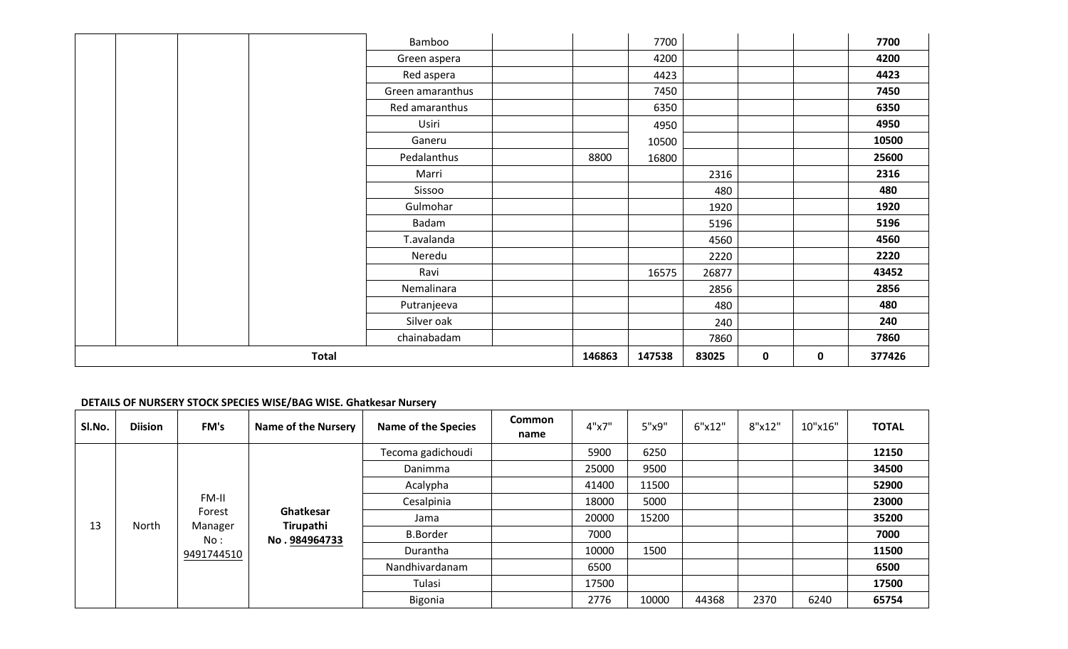|  |              | Bamboo           |        | 7700   |       |             |   | 7700   |
|--|--------------|------------------|--------|--------|-------|-------------|---|--------|
|  |              | Green aspera     |        | 4200   |       |             |   | 4200   |
|  |              | Red aspera       |        | 4423   |       |             |   | 4423   |
|  |              | Green amaranthus |        | 7450   |       |             |   | 7450   |
|  |              | Red amaranthus   |        | 6350   |       |             |   | 6350   |
|  |              | Usiri            |        | 4950   |       |             |   | 4950   |
|  |              | Ganeru           |        | 10500  |       |             |   | 10500  |
|  |              | Pedalanthus      | 8800   | 16800  |       |             |   | 25600  |
|  |              | Marri            |        |        | 2316  |             |   | 2316   |
|  |              | Sissoo           |        |        | 480   |             |   | 480    |
|  |              | Gulmohar         |        |        | 1920  |             |   | 1920   |
|  |              | Badam            |        |        | 5196  |             |   | 5196   |
|  |              | T.avalanda       |        |        | 4560  |             |   | 4560   |
|  |              | Neredu           |        |        | 2220  |             |   | 2220   |
|  |              | Ravi             |        | 16575  | 26877 |             |   | 43452  |
|  |              | Nemalinara       |        |        | 2856  |             |   | 2856   |
|  |              | Putranjeeva      |        |        | 480   |             |   | 480    |
|  |              | Silver oak       |        |        | 240   |             |   | 240    |
|  |              | chainabadam      |        |        | 7860  |             |   | 7860   |
|  | <b>Total</b> |                  | 146863 | 147538 | 83025 | $\mathbf 0$ | 0 | 377426 |

### **DETAILS OF NURSERY STOCK SPECIES WISE/BAG WISE. Ghatkesar Nursery**

| SI.No. | <b>Diision</b> | FM's           | <b>Name of the Nursery</b> | <b>Name of the Species</b> | Common<br>name | 4"x7" | 5"x9" | 6"x12" | 8"x12" | 10"x16" | <b>TOTAL</b> |
|--------|----------------|----------------|----------------------------|----------------------------|----------------|-------|-------|--------|--------|---------|--------------|
|        |                |                |                            | Tecoma gadichoudi          |                | 5900  | 6250  |        |        |         | 12150        |
|        |                |                |                            | Danimma                    |                | 25000 | 9500  |        |        |         | 34500        |
|        |                |                |                            | Acalypha                   |                | 41400 | 11500 |        |        |         | 52900        |
|        |                | FM-II          |                            | Cesalpinia                 |                | 18000 | 5000  |        |        |         | 23000        |
| 13     | North          | Forest         | Ghatkesar<br>Tirupathi     | Jama                       |                | 20000 | 15200 |        |        |         | 35200        |
|        |                | Manager<br>No: | No.984964733               | <b>B.Border</b>            |                | 7000  |       |        |        |         | 7000         |
|        |                | 9491744510     |                            | Durantha                   |                | 10000 | 1500  |        |        |         | 11500        |
|        |                |                |                            | Nandhivardanam             |                | 6500  |       |        |        |         | 6500         |
|        |                |                |                            | Tulasi                     |                | 17500 |       |        |        |         | 17500        |
|        |                |                |                            | Bigonia                    |                | 2776  | 10000 | 44368  | 2370   | 6240    | 65754        |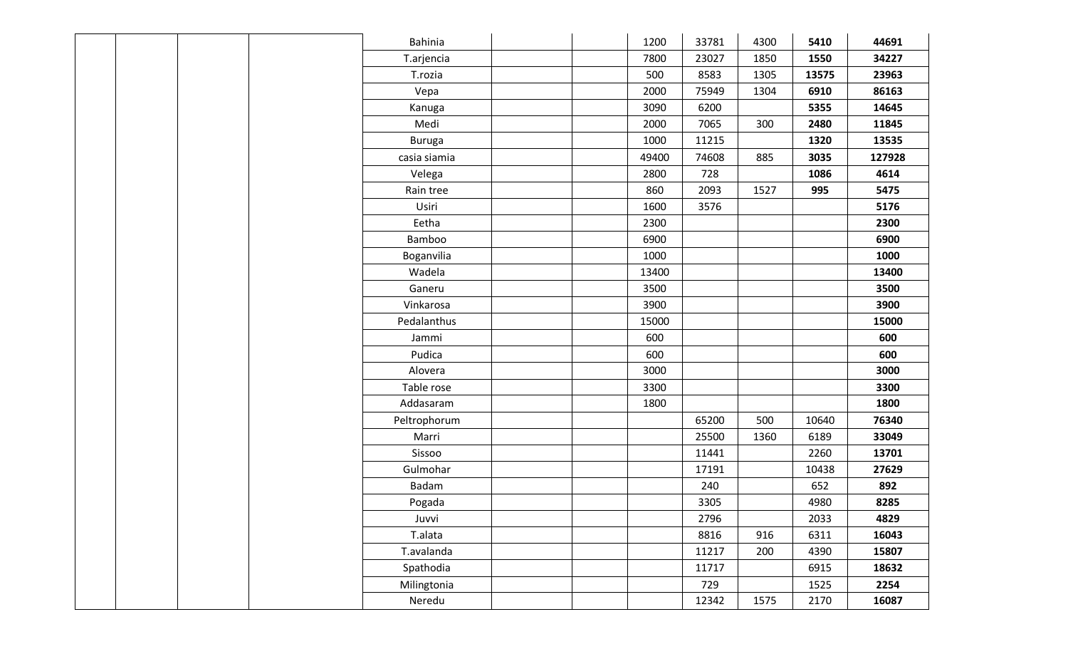| Bahinia       | 1200  | 33781 | 4300 | 5410  | 44691  |
|---------------|-------|-------|------|-------|--------|
| T.arjencia    | 7800  | 23027 | 1850 | 1550  | 34227  |
| T.rozia       | 500   | 8583  | 1305 | 13575 | 23963  |
| Vepa          | 2000  | 75949 | 1304 | 6910  | 86163  |
| Kanuga        | 3090  | 6200  |      | 5355  | 14645  |
| Medi          | 2000  | 7065  | 300  | 2480  | 11845  |
| <b>Buruga</b> | 1000  | 11215 |      | 1320  | 13535  |
| casia siamia  | 49400 | 74608 | 885  | 3035  | 127928 |
| Velega        | 2800  | 728   |      | 1086  | 4614   |
| Rain tree     | 860   | 2093  | 1527 | 995   | 5475   |
| Usiri         | 1600  | 3576  |      |       | 5176   |
| Eetha         | 2300  |       |      |       | 2300   |
| Bamboo        | 6900  |       |      |       | 6900   |
| Boganvilia    | 1000  |       |      |       | 1000   |
| Wadela        | 13400 |       |      |       | 13400  |
| Ganeru        | 3500  |       |      |       | 3500   |
| Vinkarosa     | 3900  |       |      |       | 3900   |
| Pedalanthus   | 15000 |       |      |       | 15000  |
| Jammi         | 600   |       |      |       | 600    |
| Pudica        | 600   |       |      |       | 600    |
| Alovera       | 3000  |       |      |       | 3000   |
| Table rose    | 3300  |       |      |       | 3300   |
| Addasaram     | 1800  |       |      |       | 1800   |
| Peltrophorum  |       | 65200 | 500  | 10640 | 76340  |
| Marri         |       | 25500 | 1360 | 6189  | 33049  |
| Sissoo        |       | 11441 |      | 2260  | 13701  |
| Gulmohar      |       | 17191 |      | 10438 | 27629  |
| Badam         |       | 240   |      | 652   | 892    |
| Pogada        |       | 3305  |      | 4980  | 8285   |
| Juvvi         |       | 2796  |      | 2033  | 4829   |
| T.alata       |       | 8816  | 916  | 6311  | 16043  |
| T.avalanda    |       | 11217 | 200  | 4390  | 15807  |
| Spathodia     |       | 11717 |      | 6915  | 18632  |
| Milingtonia   |       | 729   |      | 1525  | 2254   |
| Neredu        |       | 12342 | 1575 | 2170  | 16087  |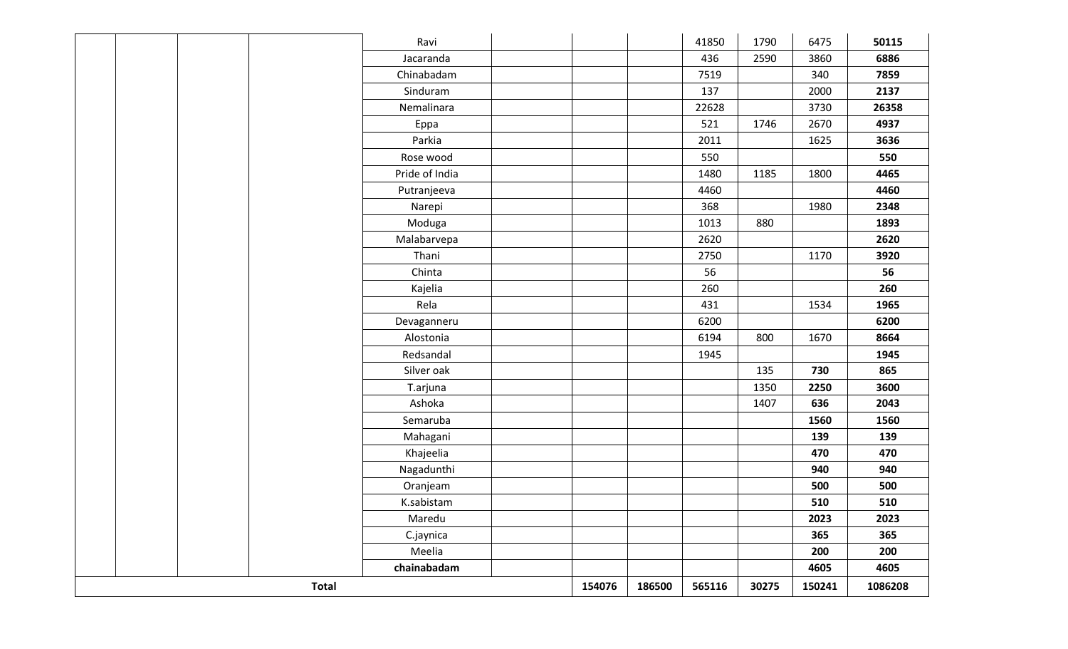|  |              | Ravi           |        |        | 41850  | 1790  | 6475   | 50115   |
|--|--------------|----------------|--------|--------|--------|-------|--------|---------|
|  |              | Jacaranda      |        |        | 436    | 2590  | 3860   | 6886    |
|  |              | Chinabadam     |        |        | 7519   |       | 340    | 7859    |
|  |              | Sinduram       |        |        | 137    |       | 2000   | 2137    |
|  |              | Nemalinara     |        |        | 22628  |       | 3730   | 26358   |
|  |              | Eppa           |        |        | 521    | 1746  | 2670   | 4937    |
|  |              | Parkia         |        |        | 2011   |       | 1625   | 3636    |
|  |              | Rose wood      |        |        | 550    |       |        | 550     |
|  |              | Pride of India |        |        | 1480   | 1185  | 1800   | 4465    |
|  |              | Putranjeeva    |        |        | 4460   |       |        | 4460    |
|  |              | Narepi         |        |        | 368    |       | 1980   | 2348    |
|  |              | Moduga         |        |        | 1013   | 880   |        | 1893    |
|  |              | Malabarvepa    |        |        | 2620   |       |        | 2620    |
|  |              | Thani          |        |        | 2750   |       | 1170   | 3920    |
|  |              | Chinta         |        |        | 56     |       |        | 56      |
|  |              | Kajelia        |        |        | 260    |       |        | 260     |
|  |              | Rela           |        |        | 431    |       | 1534   | 1965    |
|  |              | Devaganneru    |        |        | 6200   |       |        | 6200    |
|  |              | Alostonia      |        |        | 6194   | 800   | 1670   | 8664    |
|  |              | Redsandal      |        |        | 1945   |       |        | 1945    |
|  |              | Silver oak     |        |        |        | 135   | 730    | 865     |
|  |              | T.arjuna       |        |        |        | 1350  | 2250   | 3600    |
|  |              | Ashoka         |        |        |        | 1407  | 636    | 2043    |
|  |              | Semaruba       |        |        |        |       | 1560   | 1560    |
|  |              | Mahagani       |        |        |        |       | 139    | 139     |
|  |              | Khajeelia      |        |        |        |       | 470    | 470     |
|  |              | Nagadunthi     |        |        |        |       | 940    | 940     |
|  |              | Oranjeam       |        |        |        |       | 500    | 500     |
|  |              | K.sabistam     |        |        |        |       | 510    | 510     |
|  |              | Maredu         |        |        |        |       | 2023   | 2023    |
|  |              | C.jaynica      |        |        |        |       | 365    | 365     |
|  |              | Meelia         |        |        |        |       | 200    | 200     |
|  |              | chainabadam    |        |        |        |       | 4605   | 4605    |
|  | <b>Total</b> |                | 154076 | 186500 | 565116 | 30275 | 150241 | 1086208 |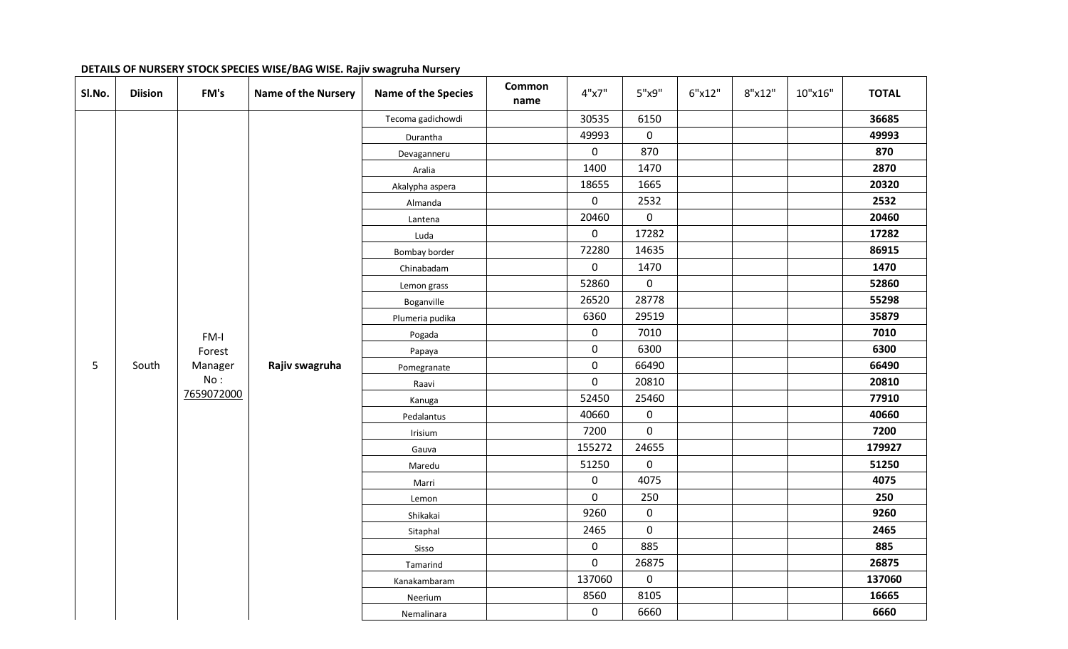| SI.No. | <b>Diision</b> | FM's       | <b>Name of the Nursery</b> | <b>Name of the Species</b> | <b>Common</b><br>name | 4"x7"       | 5"x9"       | 6"x12" | 8"x12" | 10"x16" | <b>TOTAL</b> |
|--------|----------------|------------|----------------------------|----------------------------|-----------------------|-------------|-------------|--------|--------|---------|--------------|
|        |                |            |                            | Tecoma gadichowdi          |                       | 30535       | 6150        |        |        |         | 36685        |
|        |                |            |                            | Durantha                   |                       | 49993       | 0           |        |        |         | 49993        |
|        |                |            |                            | Devaganneru                |                       | $\mathbf 0$ | 870         |        |        |         | 870          |
|        |                |            |                            | Aralia                     |                       | 1400        | 1470        |        |        |         | 2870         |
|        |                |            |                            | Akalypha aspera            |                       | 18655       | 1665        |        |        |         | 20320        |
|        |                |            |                            | Almanda                    |                       | $\mathsf 0$ | 2532        |        |        |         | 2532         |
|        |                |            |                            | Lantena                    |                       | 20460       | $\pmb{0}$   |        |        |         | 20460        |
|        |                |            |                            | Luda                       |                       | $\mathbf 0$ | 17282       |        |        |         | 17282        |
|        |                |            |                            | Bombay border              |                       | 72280       | 14635       |        |        |         | 86915        |
|        |                |            |                            | Chinabadam                 |                       | $\pmb{0}$   | 1470        |        |        |         | 1470         |
|        |                |            |                            | Lemon grass                |                       | 52860       | 0           |        |        |         | 52860        |
|        |                |            |                            | Boganville                 |                       | 26520       | 28778       |        |        |         | 55298        |
|        |                |            |                            | Plumeria pudika            |                       | 6360        | 29519       |        |        |         | 35879        |
|        |                | FM-I       |                            | Pogada                     |                       | $\mathbf 0$ | 7010        |        |        |         | 7010         |
|        |                | Forest     |                            | Papaya                     |                       | $\pmb{0}$   | 6300        |        |        |         | 6300         |
| 5      | South          | Manager    | Rajiv swagruha             | Pomegranate                |                       | $\pmb{0}$   | 66490       |        |        |         | 66490        |
|        |                | No:        |                            | Raavi                      |                       | $\mathbf 0$ | 20810       |        |        |         | 20810        |
|        |                | 7659072000 |                            | Kanuga                     |                       | 52450       | 25460       |        |        |         | 77910        |
|        |                |            |                            | Pedalantus                 |                       | 40660       | $\pmb{0}$   |        |        |         | 40660        |
|        |                |            |                            | Irisium                    |                       | 7200        | $\pmb{0}$   |        |        |         | 7200         |
|        |                |            |                            | Gauva                      |                       | 155272      | 24655       |        |        |         | 179927       |
|        |                |            |                            | Maredu                     |                       | 51250       | $\pmb{0}$   |        |        |         | 51250        |
|        |                |            |                            | Marri                      |                       | $\pmb{0}$   | 4075        |        |        |         | 4075         |
|        |                |            |                            | Lemon                      |                       | $\mathbf 0$ | 250         |        |        |         | 250          |
|        |                |            |                            | Shikakai                   |                       | 9260        | $\mathbf 0$ |        |        |         | 9260         |
|        |                |            |                            | Sitaphal                   |                       | 2465        | $\mathbf 0$ |        |        |         | 2465         |
|        |                |            |                            | Sisso                      |                       | $\mathsf 0$ | 885         |        |        |         | 885          |
|        |                |            |                            | Tamarind                   |                       | $\mathbf 0$ | 26875       |        |        |         | 26875        |
|        |                |            |                            | Kanakambaram               |                       | 137060      | $\pmb{0}$   |        |        |         | 137060       |
|        |                |            |                            | Neerium                    |                       | 8560        | 8105        |        |        |         | 16665        |
|        |                |            |                            | Nemalinara                 |                       | $\pmb{0}$   | 6660        |        |        |         | 6660         |

### **DETAILS OF NURSERY STOCK SPECIES WISE/BAG WISE. Rajiv swagruha Nursery**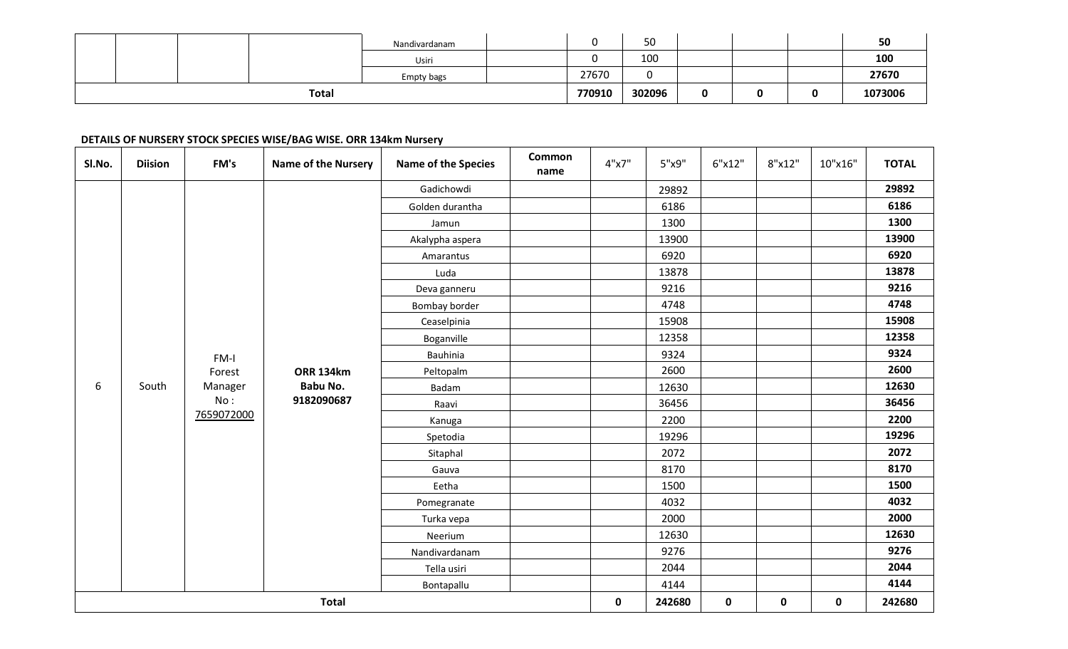|  |       | Nandivardanam | $\sim$<br> | 50     |   |  | 50      |
|--|-------|---------------|------------|--------|---|--|---------|
|  |       | Usiri         |            | 100    |   |  | 100     |
|  |       | Empty bags    | 27670      |        |   |  | 27670   |
|  | Total |               | 770910     | 302096 | 0 |  | 1073006 |

#### **DETAILS OF NURSERY STOCK SPECIES WISE/BAG WISE. ORR 134km Nursery**

| SI.No. | <b>Diision</b> | FM's       | <b>Name of the Nursery</b> | <b>Name of the Species</b> | <b>Common</b><br>name | 4"x7"       | 5"x9"  | 6"x12"      | 8"x12"      | 10"x16"   | <b>TOTAL</b> |
|--------|----------------|------------|----------------------------|----------------------------|-----------------------|-------------|--------|-------------|-------------|-----------|--------------|
|        |                |            |                            | Gadichowdi                 |                       |             | 29892  |             |             |           | 29892        |
|        |                |            |                            | Golden durantha            |                       |             | 6186   |             |             |           | 6186         |
|        |                |            |                            | Jamun                      |                       |             | 1300   |             |             |           | 1300         |
|        |                |            |                            | Akalypha aspera            |                       |             | 13900  |             |             |           | 13900        |
|        |                |            |                            | Amarantus                  |                       |             | 6920   |             |             |           | 6920         |
|        |                |            |                            | Luda                       |                       |             | 13878  |             |             |           | 13878        |
|        |                |            |                            | Deva ganneru               |                       |             | 9216   |             |             |           | 9216         |
|        |                |            |                            | Bombay border              |                       |             | 4748   |             |             |           | 4748         |
|        |                |            |                            | Ceaselpinia                |                       |             | 15908  |             |             |           | 15908        |
|        |                |            |                            | Boganville                 |                       |             | 12358  |             |             |           | 12358        |
|        |                | FM-I       |                            | Bauhinia                   |                       |             | 9324   |             |             |           | 9324         |
|        |                | Forest     | <b>ORR 134km</b>           | Peltopalm                  |                       |             | 2600   |             |             |           | 2600         |
| 6      | South          | Manager    | Babu No.                   | Badam                      |                       |             | 12630  |             |             |           | 12630        |
|        |                | No:        | 9182090687                 | Raavi                      |                       |             | 36456  |             |             |           | 36456        |
|        |                | 7659072000 |                            | Kanuga                     |                       |             | 2200   |             |             |           | 2200         |
|        |                |            |                            | Spetodia                   |                       |             | 19296  |             |             |           | 19296        |
|        |                |            |                            | Sitaphal                   |                       |             | 2072   |             |             |           | 2072         |
|        |                |            |                            | Gauva                      |                       |             | 8170   |             |             |           | 8170         |
|        |                |            |                            | Eetha                      |                       |             | 1500   |             |             |           | 1500         |
|        |                |            |                            | Pomegranate                |                       |             | 4032   |             |             |           | 4032         |
|        |                |            |                            | Turka vepa                 |                       |             | 2000   |             |             |           | 2000         |
|        |                |            |                            | Neerium                    |                       |             | 12630  |             |             |           | 12630        |
|        |                |            |                            | Nandivardanam              |                       |             | 9276   |             |             |           | 9276         |
|        |                |            |                            | Tella usiri                |                       |             | 2044   |             |             |           | 2044         |
|        |                |            |                            | Bontapallu                 |                       |             | 4144   |             |             |           | 4144         |
|        |                |            | <b>Total</b>               |                            |                       | $\mathbf 0$ | 242680 | $\mathbf 0$ | $\mathbf 0$ | $\pmb{0}$ | 242680       |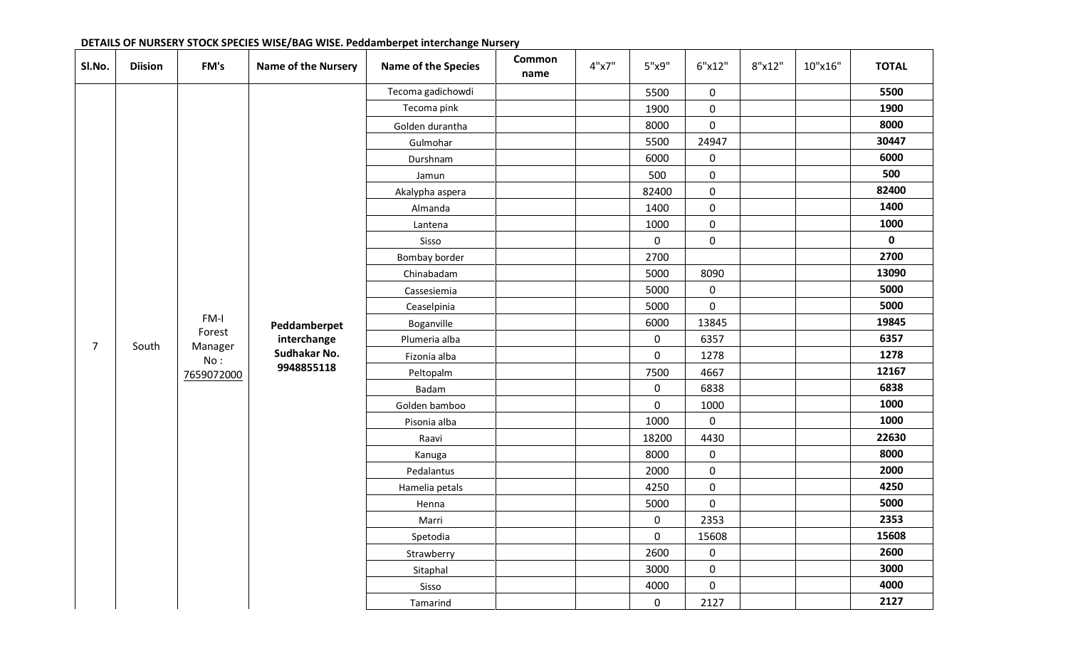| SI.No.         | <b>Diision</b> | FM's           | <b>Name of the Nursery</b> | <b>Name of the Species</b> | <b>Common</b><br>name | 4"x7" | 5"x9"       | 6"x12"              | 8"x12" | 10"x16" | <b>TOTAL</b> |
|----------------|----------------|----------------|----------------------------|----------------------------|-----------------------|-------|-------------|---------------------|--------|---------|--------------|
|                |                |                |                            | Tecoma gadichowdi          |                       |       | 5500        | $\mathbf 0$         |        |         | 5500         |
|                |                |                |                            | Tecoma pink                |                       |       | 1900        | $\mathbf 0$         |        |         | 1900         |
|                |                |                |                            | Golden durantha            |                       |       | 8000        | $\mathsf{O}\xspace$ |        |         | 8000         |
|                |                |                |                            | Gulmohar                   |                       |       | 5500        | 24947               |        |         | 30447        |
|                |                |                |                            | Durshnam                   |                       |       | 6000        | $\mathbf 0$         |        |         | 6000         |
|                |                |                |                            | Jamun                      |                       |       | 500         | $\mathbf 0$         |        |         | 500          |
|                |                |                |                            | Akalypha aspera            |                       |       | 82400       | $\mathbf 0$         |        |         | 82400        |
|                |                |                |                            | Almanda                    |                       |       | 1400        | $\mathsf{O}\xspace$ |        |         | 1400         |
|                |                |                |                            | Lantena                    |                       |       | 1000        | $\pmb{0}$           |        |         | 1000         |
|                |                |                |                            | Sisso                      |                       |       | $\mathbf 0$ | $\mathbf 0$         |        |         | $\mathbf 0$  |
|                |                |                |                            | Bombay border              |                       |       | 2700        |                     |        |         | 2700         |
|                |                |                |                            | Chinabadam                 |                       |       | 5000        | 8090                |        |         | 13090        |
|                |                |                |                            | Cassesiemia                |                       |       | 5000        | $\mathbf 0$         |        |         | 5000         |
|                |                |                |                            | Ceaselpinia                |                       |       | 5000        | $\mathbf 0$         |        |         | 5000         |
|                |                | FM-I           | Peddamberpet               | Boganville                 |                       |       | 6000        | 13845               |        |         | 19845        |
| $\overline{7}$ |                | Forest         | interchange                | Plumeria alba              |                       |       | $\mathbf 0$ | 6357                |        |         | 6357         |
|                | South          | Manager<br>No: | Sudhakar No.               | Fizonia alba               |                       |       | $\mathsf 0$ | 1278                |        |         | 1278         |
|                |                | 7659072000     | 9948855118                 | Peltopalm                  |                       |       | 7500        | 4667                |        |         | 12167        |
|                |                |                |                            | Badam                      |                       |       | $\mathbf 0$ | 6838                |        |         | 6838         |
|                |                |                |                            | Golden bamboo              |                       |       | $\mathbf 0$ | 1000                |        |         | 1000         |
|                |                |                |                            | Pisonia alba               |                       |       | 1000        | $\mathbf 0$         |        |         | 1000         |
|                |                |                |                            | Raavi                      |                       |       | 18200       | 4430                |        |         | 22630        |
|                |                |                |                            | Kanuga                     |                       |       | 8000        | 0                   |        |         | 8000         |
|                |                |                |                            | Pedalantus                 |                       |       | 2000        | $\mathsf{O}\xspace$ |        |         | 2000         |
|                |                |                |                            | Hamelia petals             |                       |       | 4250        | $\mathbf 0$         |        |         | 4250         |
|                |                |                |                            | Henna                      |                       |       | 5000        | $\mathbf 0$         |        |         | 5000         |
|                |                |                |                            | Marri                      |                       |       | $\mathbf 0$ | 2353                |        |         | 2353         |
|                |                |                |                            | Spetodia                   |                       |       | $\mathbf 0$ | 15608               |        |         | 15608        |
|                |                |                |                            | Strawberry                 |                       |       | 2600        | $\pmb{0}$           |        |         | 2600         |
|                |                |                |                            | Sitaphal                   |                       |       | 3000        | $\mathsf{O}\xspace$ |        |         | 3000         |
|                |                |                |                            | Sisso                      |                       |       | 4000        | $\mathbf 0$         |        |         | 4000         |
|                |                |                |                            | Tamarind                   |                       |       | $\mathbf 0$ | 2127                |        |         | 2127         |

### **DETAILS OF NURSERY STOCK SPECIES WISE/BAG WISE. Peddamberpet interchange Nursery**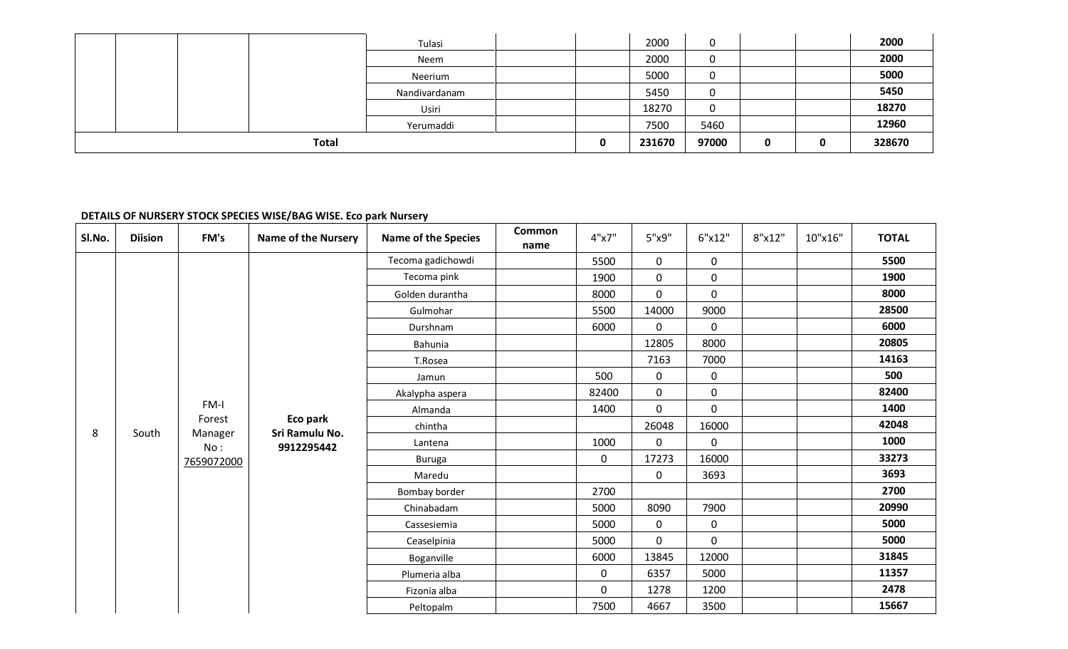|              | Tulasi        |   | 2000   | 0     |   |   | 2000   |
|--------------|---------------|---|--------|-------|---|---|--------|
|              | Neem          |   | 2000   | 0     |   |   | 2000   |
|              | Neerium       |   | 5000   | 0     |   |   | 5000   |
|              | Nandivardanam |   | 5450   | 0     |   |   | 5450   |
|              | Usiri         |   | 18270  | 0     |   |   | 18270  |
|              | Yerumaddi     |   | 7500   | 5460  |   |   | 12960  |
| <b>Total</b> |               | 0 | 231670 | 97000 | 0 | o | 328670 |

### **DETAILS OF NURSERY STOCK SPECIES WISE/BAG WISE. Eco park Nursery**

| SI.No. | <b>Diision</b> | FM's              | <b>Name of the Nursery</b> | <b>Name of the Species</b> | Common<br>name | 4"x7"       | 5"x9"        | 6"x12"      | 8"x12" | 10"x16" | <b>TOTAL</b> |
|--------|----------------|-------------------|----------------------------|----------------------------|----------------|-------------|--------------|-------------|--------|---------|--------------|
|        |                |                   |                            | Tecoma gadichowdi          |                | 5500        | $\mathbf 0$  | $\mathbf 0$ |        |         | 5500         |
|        |                |                   |                            | Tecoma pink                |                | 1900        | $\mathbf 0$  | 0           |        |         | 1900         |
|        |                |                   |                            | Golden durantha            |                | 8000        | $\mathbf 0$  | 0           |        |         | 8000         |
|        |                |                   |                            | Gulmohar                   |                | 5500        | 14000        | 9000        |        |         | 28500        |
|        |                |                   |                            | Durshnam                   |                | 6000        | $\mathbf 0$  | $\mathbf 0$ |        |         | 6000         |
|        |                |                   |                            | Bahunia                    |                |             | 12805        | 8000        |        |         | 20805        |
|        |                |                   |                            | T.Rosea                    |                |             | 7163         | 7000        |        |         | 14163        |
|        |                |                   |                            | Jamun                      |                | 500         | $\mathbf 0$  | $\mathbf 0$ |        |         | 500          |
|        |                |                   |                            | Akalypha aspera            |                | 82400       | $\mathbf 0$  | 0           |        |         | 82400        |
|        |                | FM-I              |                            | Almanda                    |                | 1400        | $\mathbf 0$  | $\mathbf 0$ |        |         | 1400         |
| 8      | South          | Forest<br>Manager | Eco park<br>Sri Ramulu No. | chintha                    |                |             | 26048        | 16000       |        |         | 42048        |
|        |                | No:               | 9912295442                 | Lantena                    |                | 1000        | $\mathbf{0}$ | 0           |        |         | 1000         |
|        |                | 7659072000        |                            | <b>Buruga</b>              |                | $\mathbf 0$ | 17273        | 16000       |        |         | 33273        |
|        |                |                   |                            | Maredu                     |                |             | $\pmb{0}$    | 3693        |        |         | 3693         |
|        |                |                   |                            | Bombay border              |                | 2700        |              |             |        |         | 2700         |
|        |                |                   |                            | Chinabadam                 |                | 5000        | 8090         | 7900        |        |         | 20990        |
|        |                |                   |                            | Cassesiemia                |                | 5000        | $\mathbf 0$  | $\mathbf 0$ |        |         | 5000         |
|        |                |                   |                            | Ceaselpinia                |                | 5000        | $\mathbf 0$  | $\mathbf 0$ |        |         | 5000         |
|        |                |                   |                            | Boganville                 |                | 6000        | 13845        | 12000       |        |         | 31845        |
|        |                |                   |                            | Plumeria alba              |                | $\mathbf 0$ | 6357         | 5000        |        |         | 11357        |
|        |                |                   |                            | Fizonia alba               |                | $\mathbf 0$ | 1278         | 1200        |        |         | 2478         |
|        |                |                   |                            | Peltopalm                  |                | 7500        | 4667         | 3500        |        |         | 15667        |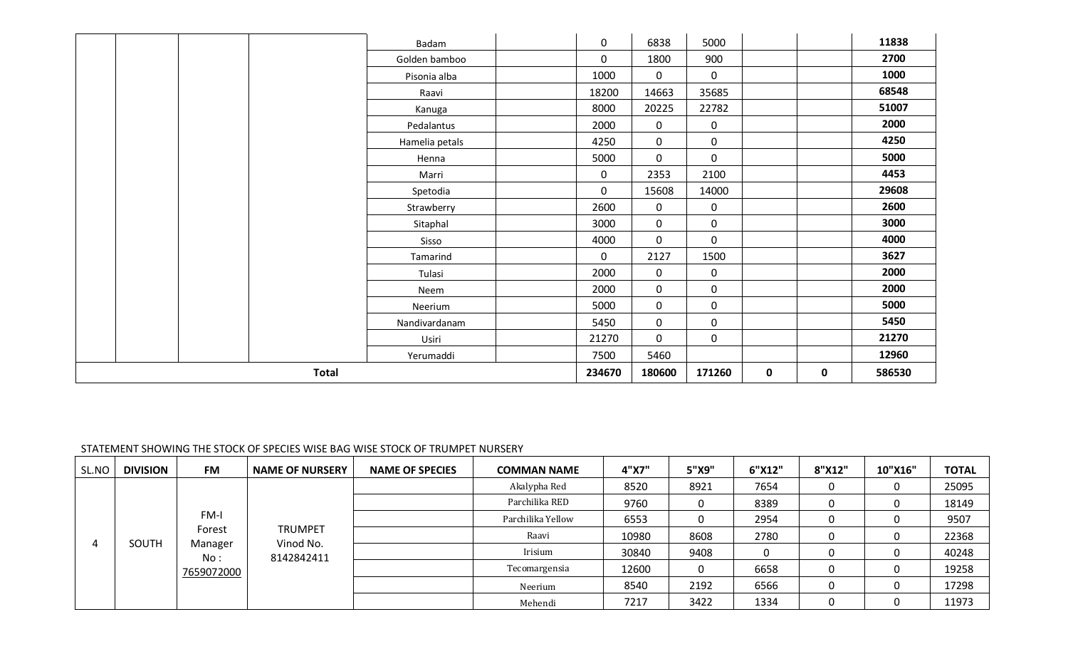|  |              | Badam          | 0           | 6838        | 5000                |             |   | 11838  |
|--|--------------|----------------|-------------|-------------|---------------------|-------------|---|--------|
|  |              | Golden bamboo  | 0           | 1800        | 900                 |             |   | 2700   |
|  |              | Pisonia alba   | 1000        | $\mathbf 0$ | $\mathbf 0$         |             |   | 1000   |
|  |              | Raavi          | 18200       | 14663       | 35685               |             |   | 68548  |
|  |              | Kanuga         | 8000        | 20225       | 22782               |             |   | 51007  |
|  |              | Pedalantus     | 2000        | $\mathbf 0$ | $\mathsf{O}\xspace$ |             |   | 2000   |
|  |              | Hamelia petals | 4250        | $\mathbf 0$ | 0                   |             |   | 4250   |
|  |              | Henna          | 5000        | 0           | $\mathbf 0$         |             |   | 5000   |
|  |              | Marri          | 0           | 2353        | 2100                |             |   | 4453   |
|  |              | Spetodia       | 0           | 15608       | 14000               |             |   | 29608  |
|  |              | Strawberry     | 2600        | $\mathbf 0$ | $\mathbf 0$         |             |   | 2600   |
|  |              | Sitaphal       | 3000        | $\mathbf 0$ | $\mathbf 0$         |             |   | 3000   |
|  |              | Sisso          | 4000        | $\mathbf 0$ | $\mathbf 0$         |             |   | 4000   |
|  |              | Tamarind       | $\mathbf 0$ | 2127        | 1500                |             |   | 3627   |
|  |              | Tulasi         | 2000        | 0           | 0                   |             |   | 2000   |
|  |              | Neem           | 2000        | $\mathbf 0$ | $\mathbf 0$         |             |   | 2000   |
|  |              | Neerium        | 5000        | $\mathbf 0$ | $\mathbf 0$         |             |   | 5000   |
|  |              | Nandivardanam  | 5450        | $\mathbf 0$ | $\mathbf 0$         |             |   | 5450   |
|  |              | Usiri          | 21270       | $\mathbf 0$ | $\mathbf 0$         |             |   | 21270  |
|  |              | Yerumaddi      | 7500        | 5460        |                     |             |   | 12960  |
|  | <b>Total</b> |                | 234670      | 180600      | 171260              | $\mathbf 0$ | 0 | 586530 |

### STATEMENT SHOWING THE STOCK OF SPECIES WISE BAG WISE STOCK OF TRUMPET NURSERY

| SL.NO | <b>DIVISION</b> | <b>FM</b>      | <b>NAME OF NURSERY</b>      | <b>NAME OF SPECIES</b> | <b>COMMAN NAME</b> | 4"X7" | 5"X9" | 6"X12" | 8"X12" | 10"X16" | <b>TOTAL</b> |
|-------|-----------------|----------------|-----------------------------|------------------------|--------------------|-------|-------|--------|--------|---------|--------------|
|       |                 |                |                             |                        | Akalypha Red       | 8520  | 8921  | 7654   | 0      |         | 25095        |
|       |                 |                |                             |                        | Parchilika RED     | 9760  |       | 8389   | 0      |         | 18149        |
|       |                 | FM-I           |                             |                        | Parchilika Yellow  | 6553  |       | 2954   | 0      |         | 9507         |
|       |                 | Forest         | <b>TRUMPET</b><br>Vinod No. |                        | Raavi              | 10980 | 8608  | 2780   | 0      |         | 22368        |
| 4     | SOUTH           | Manager<br>No: | 8142842411                  |                        | Irisium            | 30840 | 9408  |        | 0      |         | 40248        |
|       |                 | 7659072000     |                             |                        | Tecomargensia      | 12600 |       | 6658   | 0      |         | 19258        |
|       |                 |                |                             |                        | Neerium            | 8540  | 2192  | 6566   | 0      |         | 17298        |
|       |                 |                |                             |                        | Mehendi            | 7217  | 3422  | 1334   | 0      |         | 11973        |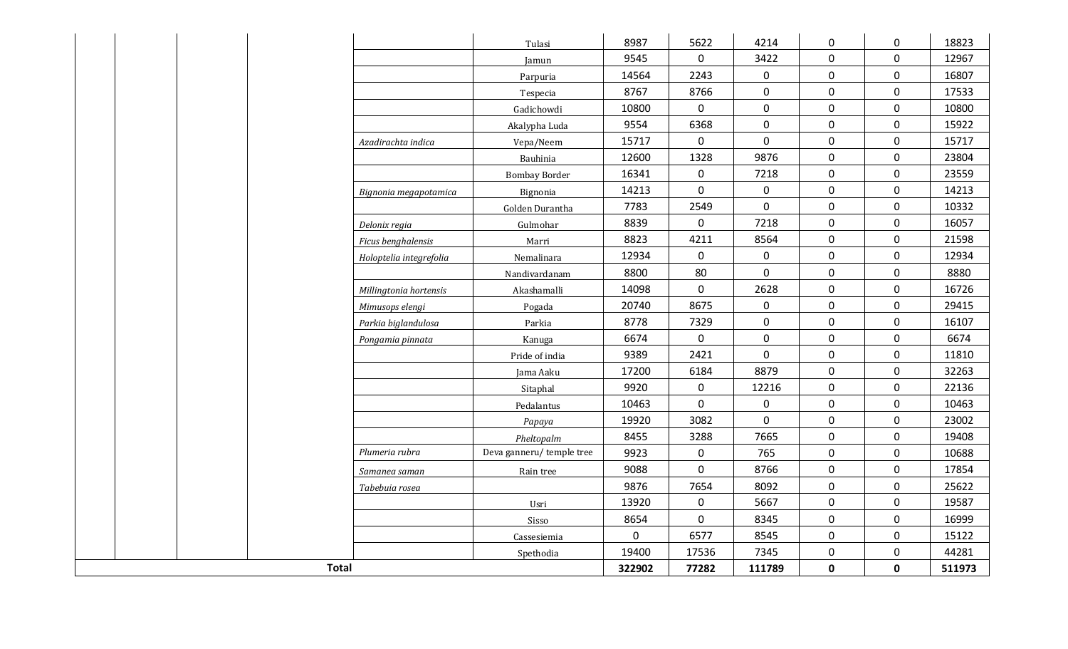|                         | Tulasi                   | 8987        | 5622                | 4214        | $\mathbf 0$         | $\mathbf 0$         | 18823  |
|-------------------------|--------------------------|-------------|---------------------|-------------|---------------------|---------------------|--------|
|                         | Jamun                    | 9545        | $\mathbf 0$         | 3422        | $\mathbf 0$         | $\mathbf 0$         | 12967  |
|                         | Parpuria                 | 14564       | 2243                | $\mathbf 0$ | $\mathbf 0$         | $\mathbf 0$         | 16807  |
|                         | Tespecia                 | 8767        | 8766                | 0           | $\mathbf 0$         | $\mathbf 0$         | 17533  |
|                         | Gadichowdi               | 10800       | $\mathsf{O}\xspace$ | $\pmb{0}$   | $\mathbf 0$         | $\mathbf 0$         | 10800  |
|                         | Akalypha Luda            | 9554        | 6368                | $\mathbf 0$ | $\mathsf{O}\xspace$ | $\pmb{0}$           | 15922  |
| Azadirachta indica      | Vepa/Neem                | 15717       | $\mathsf{O}\xspace$ | $\mathbf 0$ | $\mathbf 0$         | $\mathsf{O}\xspace$ | 15717  |
|                         | Bauhinia                 | 12600       | 1328                | 9876        | $\mathbf 0$         | $\mathbf 0$         | 23804  |
|                         | <b>Bombay Border</b>     | 16341       | $\mathsf 0$         | 7218        | $\mathsf 0$         | $\mathbf 0$         | 23559  |
| Bignonia megapotamica   | Bignonia                 | 14213       | $\mathbf 0$         | $\mathbf 0$ | $\mathsf 0$         | $\mathbf 0$         | 14213  |
|                         | Golden Durantha          | 7783        | 2549                | $\mathbf 0$ | $\mathbf 0$         | $\mathbf 0$         | 10332  |
| Delonix regia           | Gulmohar                 | 8839        | $\mathbf 0$         | 7218        | $\mathbf 0$         | $\mathbf 0$         | 16057  |
| Ficus benghalensis      | Marri                    | 8823        | 4211                | 8564        | $\mathbf 0$         | $\mathbf 0$         | 21598  |
| Holoptelia integrefolia | Nemalinara               | 12934       | $\mathbf 0$         | $\mathbf 0$ | $\mathbf 0$         | $\mathbf 0$         | 12934  |
|                         | Nandivardanam            | 8800        | 80                  | $\mathbf 0$ | $\mathbf 0$         | $\mathbf 0$         | 8880   |
| Millingtonia hortensis  | Akashamalli              | 14098       | $\mathsf{O}\xspace$ | 2628        | $\mathbf 0$         | $\mathbf 0$         | 16726  |
| Mimusops elengi         | Pogada                   | 20740       | 8675                | $\mathbf 0$ | $\mathbf 0$         | $\mathbf 0$         | 29415  |
| Parkia biglandulosa     | Parkia                   | 8778        | 7329                | 0           | $\mathbf 0$         | $\mathbf 0$         | 16107  |
| Pongamia pinnata        | Kanuga                   | 6674        | $\mathbf 0$         | $\mathbf 0$ | $\mathbf 0$         | $\mathbf 0$         | 6674   |
|                         | Pride of india           | 9389        | 2421                | $\mathbf 0$ | $\mathbf 0$         | $\mathbf 0$         | 11810  |
|                         | Jama Aaku                | 17200       | 6184                | 8879        | $\mathbf 0$         | $\mathbf 0$         | 32263  |
|                         | Sitaphal                 | 9920        | $\mathsf{O}\xspace$ | 12216       | $\mathbf 0$         | $\mathbf 0$         | 22136  |
|                         | Pedalantus               | 10463       | $\mathbf 0$         | $\pmb{0}$   | $\mathbf 0$         | 0                   | 10463  |
|                         | Papaya                   | 19920       | 3082                | $\mathbf 0$ | $\mathbf 0$         | $\mathbf 0$         | 23002  |
|                         | Pheltopalm               | 8455        | 3288                | 7665        | $\mathbf 0$         | $\mathbf 0$         | 19408  |
| Plumeria rubra          | Deva ganneru/temple tree | 9923        | $\boldsymbol{0}$    | 765         | $\mathbf 0$         | $\mathbf 0$         | 10688  |
| Samanea saman           | Rain tree                | 9088        | $\pmb{0}$           | 8766        | $\mathbf 0$         | $\mathbf 0$         | 17854  |
| Tabebuia rosea          |                          | 9876        | 7654                | 8092        | $\mathbf 0$         | $\mathbf 0$         | 25622  |
|                         | Usri                     | 13920       | $\mathsf{O}\xspace$ | 5667        | $\mathbf 0$         | $\mathsf{O}\xspace$ | 19587  |
|                         | Sisso                    | 8654        | $\mathsf{O}\xspace$ | 8345        | $\mathbf 0$         | $\mathsf{O}\xspace$ | 16999  |
|                         | Cassesiemia              | $\mathbf 0$ | 6577                | 8545        | $\mathsf 0$         | $\boldsymbol{0}$    | 15122  |
|                         | Spethodia                | 19400       | 17536               | 7345        | $\mathbf 0$         | $\mathbf 0$         | 44281  |
| <b>Total</b>            |                          | 322902      | 77282               | 111789      | $\mathbf 0$         | $\mathbf 0$         | 511973 |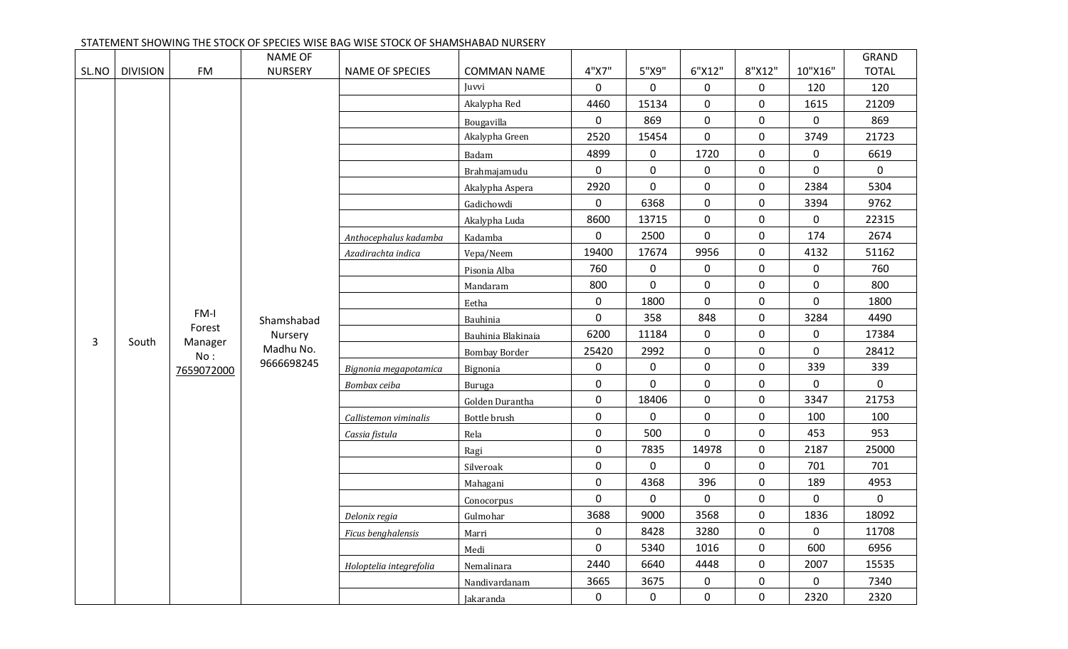|       |                 |                | <b>NAME OF</b> |                         |                      |             |                  |                     |             |              | GRAND        |
|-------|-----------------|----------------|----------------|-------------------------|----------------------|-------------|------------------|---------------------|-------------|--------------|--------------|
| SL.NO | <b>DIVISION</b> | <b>FM</b>      | <b>NURSERY</b> | <b>NAME OF SPECIES</b>  | <b>COMMAN NAME</b>   | 4"X7"       | 5"X9"            | 6"X12"              | 8"X12"      | 10"X16"      | <b>TOTAL</b> |
|       |                 |                |                |                         | Juvvi                | 0           | 0                | 0                   | 0           | 120          | 120          |
|       |                 |                |                |                         | Akalypha Red         | 4460        | 15134            | $\mathbf 0$         | $\mathbf 0$ | 1615         | 21209        |
|       |                 |                |                |                         | Bougavilla           | 0           | 869              | $\mathbf 0$         | $\mathbf 0$ | 0            | 869          |
|       |                 |                |                |                         | Akalypha Green       | 2520        | 15454            | $\mathbf 0$         | $\mathbf 0$ | 3749         | 21723        |
|       |                 |                |                |                         | Badam                | 4899        | $\mathbf 0$      | 1720                | $\mathbf 0$ | 0            | 6619         |
|       |                 |                |                |                         | Brahmajamudu         | $\mathbf 0$ | $\mathsf{O}$     | $\pmb{0}$           | $\mathbf 0$ | 0            | $\mathbf 0$  |
|       |                 |                |                |                         | Akalypha Aspera      | 2920        | 0                | $\mathbf 0$         | $\mathbf 0$ | 2384         | 5304         |
|       |                 |                |                |                         | Gadichowdi           | $\mathbf 0$ | 6368             | 0                   | $\mathbf 0$ | 3394         | 9762         |
|       |                 |                |                |                         | Akalypha Luda        | 8600        | 13715            | 0                   | $\mathbf 0$ | $\mathbf 0$  | 22315        |
|       |                 |                |                | Anthocephalus kadamba   | Kadamba              | 0           | 2500             | $\mathbf 0$         | $\mathbf 0$ | 174          | 2674         |
|       |                 |                |                | Azadirachta indica      | Vepa/Neem            | 19400       | 17674            | 9956                | $\mathbf 0$ | 4132         | 51162        |
|       |                 |                |                |                         | Pisonia Alba         | 760         | $\mathbf 0$      | 0                   | $\mathbf 0$ | 0            | 760          |
|       |                 |                |                |                         | Mandaram             | 800         | 0                | $\pmb{0}$           | $\mathbf 0$ | 0            | 800          |
|       |                 |                |                |                         | Eetha                | $\mathbf 0$ | 1800             | $\mathsf{O}\xspace$ | $\mathbf 0$ | 0            | 1800         |
|       |                 | FM-I           | Shamshabad     |                         | Bauhinia             | $\mathbf 0$ | 358              | 848                 | $\mathbf 0$ | 3284         | 4490         |
| 3     | South           | Forest         | Nursery        |                         | Bauhinia Blakinaia   | 6200        | 11184            | $\mathsf{O}$        | $\mathbf 0$ | 0            | 17384        |
|       |                 | Manager<br>No: | Madhu No.      |                         | <b>Bombay Border</b> | 25420       | 2992             | $\mathbf 0$         | $\mathbf 0$ | $\mathbf 0$  | 28412        |
|       |                 | 7659072000     | 9666698245     | Bignonia megapotamica   | Bignonia             | $\mathbf 0$ | $\boldsymbol{0}$ | $\pmb{0}$           | $\mathbf 0$ | 339          | 339          |
|       |                 |                |                | Bombax ceiba            | Buruga               | $\mathbf 0$ | 0                | $\mathbf 0$         | $\mathbf 0$ | 0            | $\mathbf 0$  |
|       |                 |                |                |                         | Golden Durantha      | $\mathsf 0$ | 18406            | $\pmb{0}$           | $\mathbf 0$ | 3347         | 21753        |
|       |                 |                |                | Callistemon viminalis   | Bottle brush         | $\mathbf 0$ | 0                | $\mathsf{O}\xspace$ | $\mathbf 0$ | 100          | 100          |
|       |                 |                |                | Cassia fistula          | Rela                 | $\mathbf 0$ | 500              | $\mathbf 0$         | $\mathbf 0$ | 453          | 953          |
|       |                 |                |                |                         | Ragi                 | $\mathsf 0$ | 7835             | 14978               | $\mathbf 0$ | 2187         | 25000        |
|       |                 |                |                |                         | Silveroak            | $\mathbf 0$ | 0                | $\mathbf 0$         | $\mathbf 0$ | 701          | 701          |
|       |                 |                |                |                         | Mahagani             | $\mathsf 0$ | 4368             | 396                 | $\mathbf 0$ | 189          | 4953         |
|       |                 |                |                |                         | Conocorpus           | $\mathbf 0$ | 0                | $\mathbf 0$         | $\mathbf 0$ | $\mathbf 0$  | $\mathbf 0$  |
|       |                 |                |                | Delonix regia           | Gulmohar             | 3688        | 9000             | 3568                | 0           | 1836         | 18092        |
|       |                 |                |                | Ficus benghalensis      | Marri                | $\mathsf 0$ | 8428             | 3280                | $\mathbf 0$ | $\mathsf{O}$ | 11708        |
|       |                 |                |                |                         | Medi                 | $\mathbf 0$ | 5340             | 1016                | $\mathbf 0$ | 600          | 6956         |
|       |                 |                |                | Holoptelia integrefolia | Nemalinara           | 2440        | 6640             | 4448                | $\mathbf 0$ | 2007         | 15535        |
|       |                 |                |                |                         | Nandivardanam        | 3665        | 3675             | 0                   | $\mathbf 0$ | 0            | 7340         |
|       |                 |                |                |                         | Jakaranda            | 0           | $\mathbf 0$      | 0                   | $\mathbf 0$ | 2320         | 2320         |

### STATEMENT SHOWING THE STOCK OF SPECIES WISE BAG WISE STOCK OF SHAMSHABAD NURSERY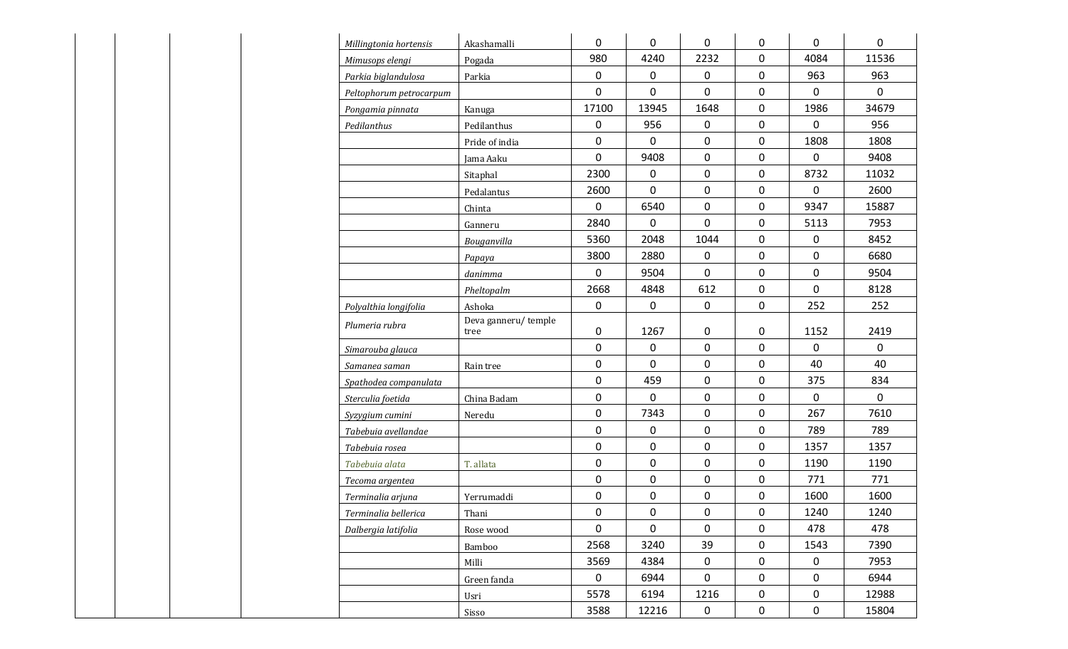| Millingtonia hortensis  | Akashamalli                 | $\mathbf 0$  | $\mathbf 0$ | 0              | $\mathbf 0$ | $\mathbf 0$  | $\mathbf 0$  |
|-------------------------|-----------------------------|--------------|-------------|----------------|-------------|--------------|--------------|
| Mimusops elengi         | Pogada                      | 980          | 4240        | 2232           | $\mathbf 0$ | 4084         | 11536        |
| Parkia biglandulosa     | Parkia                      | $\mathbf 0$  | $\mathbf 0$ | $\mathbf 0$    | $\mathbf 0$ | 963          | 963          |
| Peltophorum petrocarpum |                             | $\mathbf 0$  | $\mathbf 0$ | 0              | $\mathbf 0$ | $\mathbf{0}$ | $\mathsf{O}$ |
| Pongamia pinnata        | Kanuga                      | 17100        | 13945       | 1648           | $\mathbf 0$ | 1986         | 34679        |
| Pedilanthus             | Pedilanthus                 | $\mathbf 0$  | 956         | 0              | $\mathbf 0$ | $\mathbf 0$  | 956          |
|                         | Pride of india              | 0            | $\pmb{0}$   | 0              | $\mathbf 0$ | 1808         | 1808         |
|                         | Jama Aaku                   | $\mathsf{O}$ | 9408        | $\mathbf 0$    | $\mathbf 0$ | $\mathbf 0$  | 9408         |
|                         | Sitaphal                    | 2300         | $\mathbf 0$ | 0              | $\mathbf 0$ | 8732         | 11032        |
|                         | Pedalantus                  | 2600         | $\mathbf 0$ | $\overline{0}$ | $\mathbf 0$ | $\mathbf 0$  | 2600         |
|                         | Chinta                      | $\mathbf 0$  | 6540        | $\mathbf{0}$   | $\mathbf 0$ | 9347         | 15887        |
|                         | Ganneru                     | 2840         | 0           | 0              | $\mathbf 0$ | 5113         | 7953         |
|                         | Bouganvilla                 | 5360         | 2048        | 1044           | $\mathbf 0$ | $\mathbf 0$  | 8452         |
|                         | Papaya                      | 3800         | 2880        | 0              | $\mathbf 0$ | $\mathbf 0$  | 6680         |
|                         | danimma                     | $\mathsf{O}$ | 9504        | $\mathbf 0$    | $\mathbf 0$ | $\mathbf 0$  | 9504         |
|                         | Pheltopalm                  | 2668         | 4848        | 612            | $\mathbf 0$ | $\mathbf 0$  | 8128         |
| Polyalthia longifolia   | Ashoka                      | 0            | $\mathbf 0$ | $\mathbf{0}$   | $\mathbf 0$ | 252          | 252          |
| Plumeria rubra          | Deva ganneru/temple<br>tree | 0            | 1267        | 0              | $\mathbf 0$ | 1152         | 2419         |
| Simarouba glauca        |                             | $\mathbf 0$  | $\mathbf 0$ | 0              | $\mathbf 0$ | $\mathbf 0$  | $\mathsf{O}$ |
| Samanea saman           | Rain tree                   | 0            | $\mathbf 0$ | 0              | $\mathbf 0$ | 40           | 40           |
| Spathodea companulata   |                             | $\mathsf{O}$ | 459         | $\mathbf 0$    | $\mathbf 0$ | 375          | 834          |
| Sterculia foetida       | China Badam                 | 0            | $\mathbf 0$ | $\mathbf 0$    | $\mathbf 0$ | 0            | $\mathsf{O}$ |
| Syzygium cumini         | Neredu                      | $\mathsf{O}$ | 7343        | $\mathbf 0$    | $\mathbf 0$ | 267          | 7610         |
| Tabebuia avellandae     |                             | $\mathbf 0$  | $\mathbf 0$ | 0              | $\mathbf 0$ | 789          | 789          |
| Tabebuia rosea          |                             | 0            | $\pmb{0}$   | 0              | $\mathbf 0$ | 1357         | 1357         |
| Tabebuia alata          | T. allata                   | $\mathbf 0$  | $\mathbf 0$ | 0              | $\mathbf 0$ | 1190         | 1190         |
| Tecoma argentea         |                             | $\mathsf 0$  | 0           | 0              | $\mathbf 0$ | 771          | 771          |
| Terminalia arjuna       | Yerrumaddi                  | $\mathsf{O}$ | $\mathbf 0$ | 0              | $\mathbf 0$ | 1600         | 1600         |
| Terminalia bellerica    | Thani                       | $\mathsf{O}$ | $\mathbf 0$ | $\mathbf 0$    | $\mathbf 0$ | 1240         | 1240         |
| Dalbergia latifolia     | Rose wood                   | $\mathsf{O}$ | $\mathbf 0$ | $\overline{0}$ | $\mathbf 0$ | 478          | 478          |
|                         | Bamboo                      | 2568         | 3240        | 39             | $\mathbf 0$ | 1543         | 7390         |
|                         | Milli                       | 3569         | 4384        | $\mathbf 0$    | $\mathbf 0$ | 0            | 7953         |
|                         | Green fanda                 | $\mathsf{O}$ | 6944        | $\mathbf 0$    | $\mathbf 0$ | $\mathbf 0$  | 6944         |
|                         | Usri                        | 5578         | 6194        | 1216           | $\mathbf 0$ | $\mathbf 0$  | 12988        |
|                         | Sisso                       | 3588         | 12216       | $\mathbf{0}$   | $\mathbf 0$ | $\mathbf 0$  | 15804        |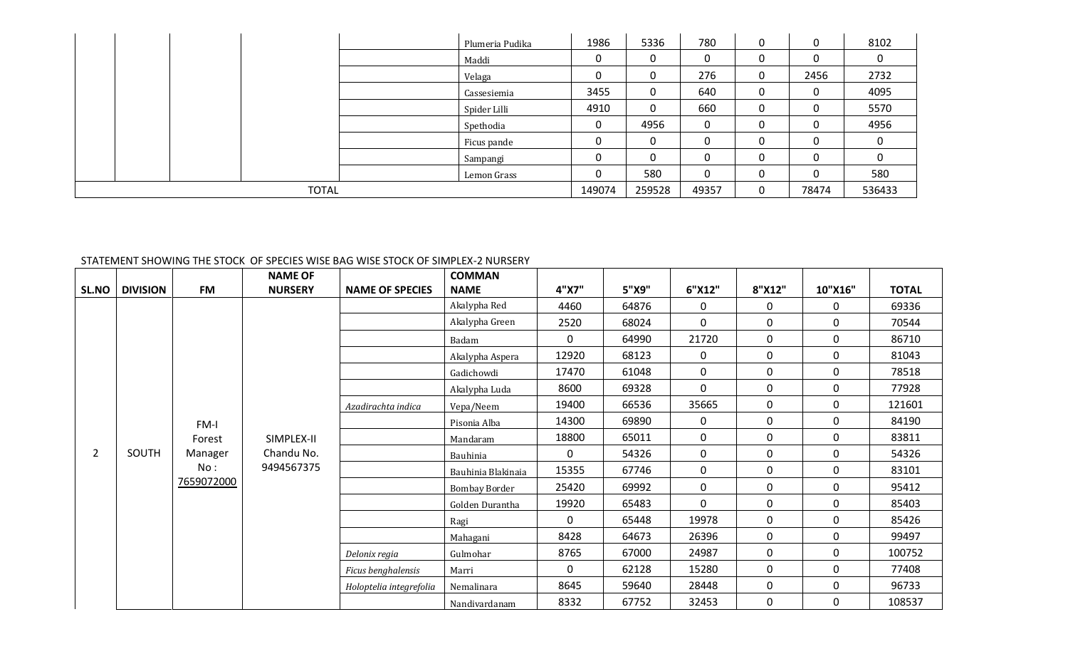|              |  |  |  | Plumeria Pudika | 1986   | 5336         | 780 | 0     | 0        | 8102 |
|--------------|--|--|--|-----------------|--------|--------------|-----|-------|----------|------|
|              |  |  |  | Maddi           | 0      |              | 0   | 0     | 0        | 0    |
|              |  |  |  | Velaga          | 0      |              | 276 | 0     | 2456     | 2732 |
|              |  |  |  | Cassesiemia     | 3455   | $\mathbf{0}$ | 640 | 0     | 0        | 4095 |
|              |  |  |  | Spider Lilli    | 4910   | $\mathbf{0}$ | 660 | 0     | 0        | 5570 |
|              |  |  |  | Spethodia       | 0      | 4956         | 0   | 0     | 0        | 4956 |
|              |  |  |  | Ficus pande     | 0      |              | 0   |       | $\Omega$ | 0    |
|              |  |  |  | Sampangi        | 0      |              | 0   | 0     | 0        | 0    |
|              |  |  |  | Lemon Grass     | 0      | 580          | 0   | 0     | $\Omega$ | 580  |
| <b>TOTAL</b> |  |  |  | 149074          | 259528 | 49357        |     | 78474 | 536433   |      |

### STATEMENT SHOWING THE STOCK OF SPECIES WISE BAG WISE STOCK OF SIMPLEX-2 NURSERY

|                |                 |                | <b>NAME OF</b> |                             | <b>COMMAN</b>        |              |                     |              |                                                                                                        |           |              |
|----------------|-----------------|----------------|----------------|-----------------------------|----------------------|--------------|---------------------|--------------|--------------------------------------------------------------------------------------------------------|-----------|--------------|
| <b>SL.NO</b>   | <b>DIVISION</b> | <b>FM</b>      | <b>NURSERY</b> | <b>NAME OF SPECIES</b>      | <b>NAME</b>          | 4"X7"        | 5"X9"               | 6"X12"       | 8"X12"                                                                                                 | 10"X16"   | <b>TOTAL</b> |
|                |                 |                |                |                             | Akalypha Red         | 4460         | 64876               | 0            | 0                                                                                                      | 0         | 69336        |
|                |                 |                |                |                             | Akalypha Green       | 2520         | 68024               | 0            | $\mathbf 0$<br>0<br>0<br>0<br>0<br>0<br>$\mathbf{0}$<br>0<br>0<br>0<br>0<br>0<br>0<br>0<br>$\mathbf 0$ | 0         | 70544        |
|                |                 |                |                |                             | Badam                | $\mathbf{0}$ | 64990               | 21720        |                                                                                                        | 0         | 86710        |
|                |                 |                |                |                             | Akalypha Aspera      | 12920        | 68123               | 0            |                                                                                                        | 0         | 81043        |
|                |                 |                |                |                             | Gadichowdi           | 17470        | 61048               | 0            |                                                                                                        | 0         | 78518        |
|                |                 |                |                |                             | Akalypha Luda        | 8600         | 69328               | $\mathbf{0}$ |                                                                                                        | 0         | 77928        |
|                |                 |                |                | Azadirachta indica          | Vepa/Neem            | 19400        | 66536               | 35665        |                                                                                                        | 0         | 121601       |
|                |                 | FM-I           |                |                             | Pisonia Alba         | 14300        | 69890               | 0<br>0<br>0  |                                                                                                        | 0         | 84190        |
| $\overline{2}$ |                 | Forest         | SIMPLEX-II     |                             | Mandaram             | 18800        | 65011<br>54326<br>0 |              |                                                                                                        | 0         | 83811        |
|                | SOUTH           | Manager<br>No: | Chandu No.     |                             | Bauhinia             |              |                     |              |                                                                                                        | 0         | 54326        |
|                |                 |                | 9494567375     | 15355<br>Bauhinia Blakinaia | 67746                | 0            |                     | 0            | 83101                                                                                                  |           |              |
|                |                 | 7659072000     |                |                             | <b>Bombay Border</b> | 25420        | 69992               | 0            |                                                                                                        | $\pmb{0}$ | 95412        |
|                |                 |                |                |                             | Golden Durantha      | 19920        | 65483               | $\mathbf{0}$ |                                                                                                        | 0         | 85403        |
|                |                 |                |                |                             | Ragi                 | $\mathbf{0}$ | 65448               | 19978        |                                                                                                        | 0         | 85426        |
|                |                 |                |                |                             | Mahagani             | 8428         | 64673               | 26396        |                                                                                                        | $\pmb{0}$ | 99497        |
|                |                 |                |                | Delonix regia               | Gulmohar             | 8765         | 67000               | 24987        |                                                                                                        | 0         | 100752       |
|                |                 |                |                | Ficus benghalensis          | Marri                | 0            | 62128               | 15280        | $\mathbf 0$                                                                                            | $\pmb{0}$ | 77408        |
|                |                 |                |                | Holoptelia integrefolia     | Nemalinara           | 8645         | 59640               | 28448        | $\mathbf{0}$                                                                                           | 0         | 96733        |
|                |                 |                |                |                             | Nandivardanam        | 8332         | 67752               | 32453        | 0                                                                                                      | 0         | 108537       |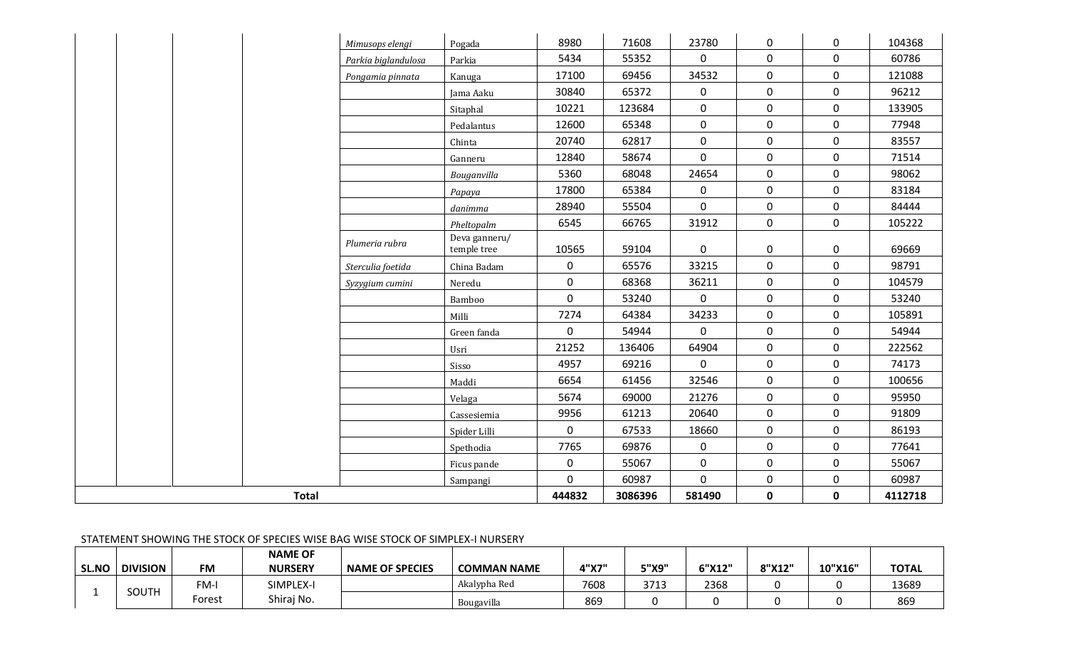|              |                 |           |                                  | STATEMENT SHOWING THE STOCK OF SPECIES WISE BAG WISE STOCK OF SIMPLEX-I NURSERY |                    |       |       |        |        |         |              |
|--------------|-----------------|-----------|----------------------------------|---------------------------------------------------------------------------------|--------------------|-------|-------|--------|--------|---------|--------------|
| <b>SL.NO</b> | <b>DIVISION</b> | <b>FM</b> | <b>NAME OF</b><br><b>NURSERY</b> | <b>NAME OF SPECIES</b>                                                          | <b>COMMAN NAME</b> | 4"X7" | 5"X9" | 6"X12" | 8"X12" | 10"X16" | <b>TOTAL</b> |
|              | <b>SOUTH</b>    | FM-I      | SIMPLEX-I                        |                                                                                 | Akalypha Red       | 7608  | 3713  | 2368   |        |         | 13689        |
|              |                 | Forest    | Shiraj No.                       |                                                                                 | Bougavilla         | 869   |       |        |        |         | 869          |

*Plumeria rubra* Deva ganneru/<br>temple tree

*Mimusops elengi* | Pogada | 8980 | 71608 | 23780 | 0 | 0 | 104368 *Parkia biglandulosa* Parkia | 5434 | 55352 | 0 | 0 | 0 | 60786 *Pongamia pinnata* | Kanuga | 17100 | 69456 | 34532 | 0 | 0 | 121088

*Sterculia foetida* | China Badam | 0 | 65576 | 33215 | 0 | 0 | 98791 *Syzygium cumini* Neredu | 0 | 68368 | 36211 | 0 | 0 | 104579

**Total 444832 3086396 581490 0 0 4112718**

Jama Aaku 30840 65372 0 0 0 96212 Sitaphal | 10221 | 123684 | 0 | 0 | 0 | 133905 Pedalantus | 12600 | 65348 | 0 | 0 | 0 | 77948 Chinta 20740 62817 0 0 0 83557 Ganneru | 12840 | 58674 | 0 | 0 | 0 | 71514 *Bouganvilla* 5360 68048 24654 0 0 98062 *Papaya* 17800 65384 0 0 0 83184 *danimma* 28940 55504 0 0 0 84444 *Pheltopalm* 6545 66765 31912 0 0 105222

temple tree | 10565 | 59104 | 0 | 0 | 0 | 69669

Bamboo 0 53240 0 0 0 53240 Milli 7274 64384 34233 0 0 105891 Green fanda († 1849) 1944 0 0 0 0 54944 p.e. Usri 21252 136406 64904 0 0 222562 Sisso | 4957 | 69216 | 0 | 0 | 0 | 74173 Maddi 6654 61456 32546 0 0 100656 Velaga | 5674 | 69000 | 21276 | 0 | 0 | 95950 Cassesiemia | 9956 | 61213 | 20640 | 0 | 0 | 91809 Spider Lilli 0 67533 18660 0 0 86193 Spethodia | 7765 | 69876 | 0 | 0 | 0 | 77641 Ficus pande | 0 | 55067 | 0 | 0 | 0 | 55067 Sampangi | 0 | 60987 | 0 | 0 | 0 | 60987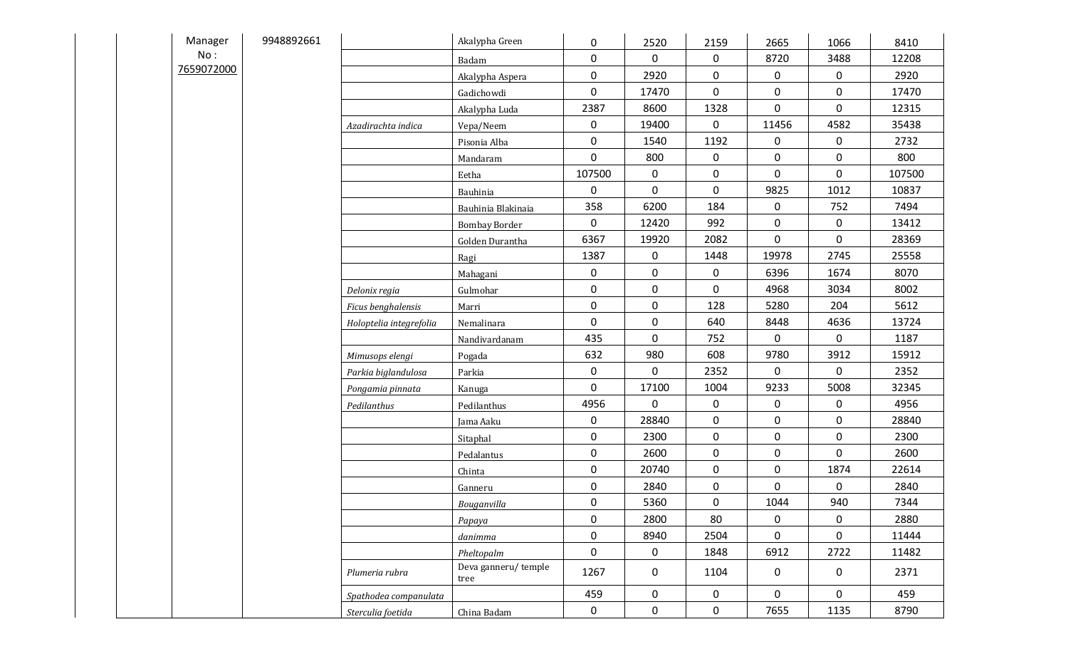|  | Manager    | 9948892661 |                         | Akalypha Green              | $\mathbf 0$  | 2520         | 2159        | 2665        | 1066         | 8410   |
|--|------------|------------|-------------------------|-----------------------------|--------------|--------------|-------------|-------------|--------------|--------|
|  | No:        |            |                         | Badam                       | $\mathbf 0$  | 0            | 0           | 8720        | 3488         | 12208  |
|  | 7659072000 |            |                         | Akalypha Aspera             | $\mathbf 0$  | 2920         | $\mathbf 0$ | $\mathbf 0$ | $\mathbf 0$  | 2920   |
|  |            |            |                         | Gadichowdi                  | $\mathbf 0$  | 17470        | $\mathbf 0$ | $\mathbf 0$ | $\mathsf{O}$ | 17470  |
|  |            |            |                         | Akalypha Luda               | 2387         | 8600         | 1328        | $\mathbf 0$ | $\mathbf 0$  | 12315  |
|  |            |            | Azadirachta indica      | Vepa/Neem                   | $\mathbf 0$  | 19400        | 0           | 11456       | 4582         | 35438  |
|  |            |            |                         | Pisonia Alba                | $\mathbf 0$  | 1540         | 1192        | $\mathbf 0$ | 0            | 2732   |
|  |            |            |                         | Mandaram                    | $\mathsf{O}$ | 800          | $\mathbf 0$ | $\mathbf 0$ | $\mathsf{O}$ | 800    |
|  |            |            |                         | Eetha                       | 107500       | 0            | 0           | $\mathbf 0$ | $\mathbf 0$  | 107500 |
|  |            |            |                         | Bauhinia                    | $\mathbf 0$  | $\mathbf 0$  | $\mathbf 0$ | 9825        | 1012         | 10837  |
|  |            |            |                         | Bauhinia Blakinaia          | 358          | 6200         | 184         | $\mathbf 0$ | 752          | 7494   |
|  |            |            |                         | <b>Bombay Border</b>        | $\mathbf 0$  | 12420        | 992         | $\mathbf 0$ | $\mathbf 0$  | 13412  |
|  |            |            |                         | Golden Durantha             | 6367         | 19920        | 2082        | $\mathbf 0$ | $\mathbf 0$  | 28369  |
|  |            |            |                         | Ragi                        | 1387         | $\mathbf 0$  | 1448        | 19978       | 2745         | 25558  |
|  |            |            |                         | Mahagani                    | $\mathbf 0$  | $\mathsf{O}$ | $\mathbf 0$ | 6396        | 1674         | 8070   |
|  |            |            | Delonix regia           | Gulmohar                    | $\mathbf 0$  | 0            | $\mathbf 0$ | 4968        | 3034         | 8002   |
|  |            |            | Ficus benghalensis      | Marri                       | $\mathbf 0$  | $\mathsf{O}$ | 128         | 5280        | 204          | 5612   |
|  |            |            | Holoptelia integrefolia | Nemalinara                  | $\mathbf 0$  | 0            | 640         | 8448        | 4636         | 13724  |
|  |            |            |                         | Nandivardanam               | 435          | 0            | 752         | $\mathbf 0$ | $\mathsf{O}$ | 1187   |
|  |            |            | Mimusops elengi         | Pogada                      | 632          | 980          | 608         | 9780        | 3912         | 15912  |
|  |            |            | Parkia biglandulosa     | Parkia                      | $\mathbf 0$  | 0            | 2352        | $\mathbf 0$ | 0            | 2352   |
|  |            |            | Pongamia pinnata        | Kanuga                      | $\mathbf 0$  | 17100        | 1004        | 9233        | 5008         | 32345  |
|  |            |            | Pedilanthus             | Pedilanthus                 | 4956         | $\mathbf 0$  | 0           | $\mathbf 0$ | $\mathbf 0$  | 4956   |
|  |            |            |                         | Jama Aaku                   | $\mathbf 0$  | 28840        | $\pmb{0}$   | $\mathbf 0$ | $\mathsf{O}$ | 28840  |
|  |            |            |                         | Sitaphal                    | $\mathbf 0$  | 2300         | $\mathbf 0$ | $\mathbf 0$ | $\mathbf 0$  | 2300   |
|  |            |            |                         | Pedalantus                  | $\mathbf 0$  | 2600         | $\pmb{0}$   | $\mathbf 0$ | $\mathbf 0$  | 2600   |
|  |            |            |                         | Chinta                      | $\mathbf 0$  | 20740        | $\mathbf 0$ | $\mathbf 0$ | 1874         | 22614  |
|  |            |            |                         | Ganneru                     | $\mathbf 0$  | 2840         | 0           | $\mathbf 0$ | 0            | 2840   |
|  |            |            |                         | Bouganvilla                 | $\mathbf 0$  | 5360         | $\mathbf 0$ | 1044        | 940          | 7344   |
|  |            |            |                         | Papaya                      | $\mathbf 0$  | 2800         | 80          | $\mathbf 0$ | $\mathbf 0$  | 2880   |
|  |            |            |                         | danimma                     | $\mathbf 0$  | 8940         | 2504        | $\mathbf 0$ | $\mathsf{O}$ | 11444  |
|  |            |            |                         | Pheltopalm                  | $\mathbf 0$  | $\mathbf 0$  | 1848        | 6912        | 2722         | 11482  |
|  |            |            | Plumeria rubra          | Deva ganneru/temple<br>tree | 1267         | $\mathsf{O}$ | 1104        | $\mathbf 0$ | $\mathbf 0$  | 2371   |
|  |            |            | Spathodea companulata   |                             | 459          | 0            | 0           | 0           | $\mathbf 0$  | 459    |
|  |            |            | Sterculia foetida       | China Badam                 | $\mathbf 0$  | $\mathbf 0$  | $\mathbf 0$ | 7655        | 1135         | 8790   |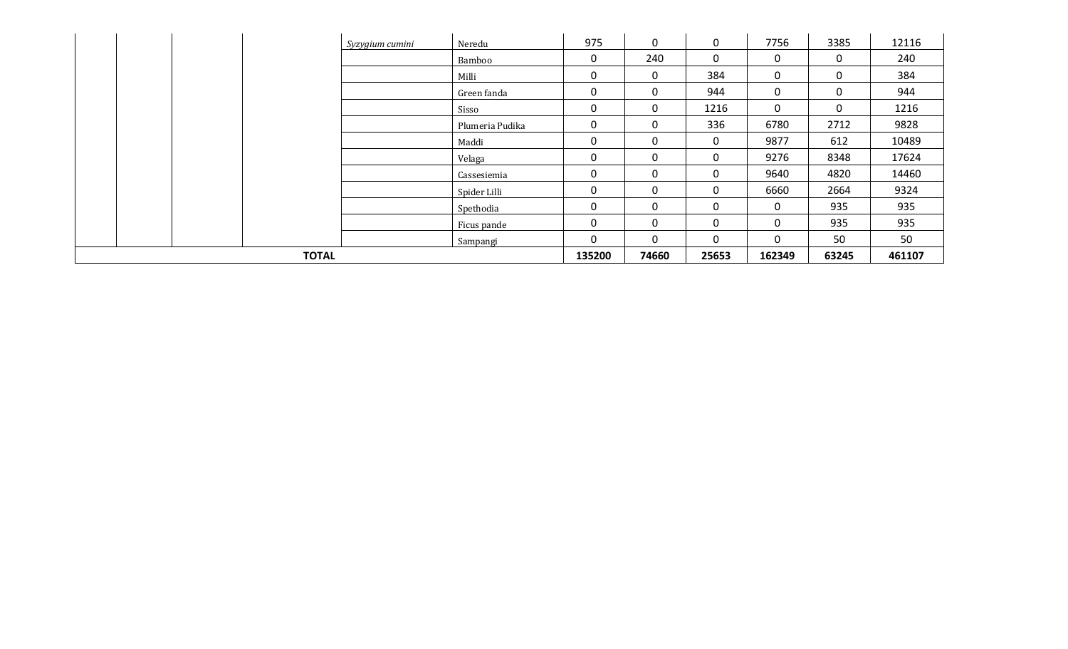|              |  |  | Syzygium cumini | Neredu          | 975         | 0            | 0           | 7756         | 3385        | 12116  |
|--------------|--|--|-----------------|-----------------|-------------|--------------|-------------|--------------|-------------|--------|
|              |  |  |                 | Bamboo          | $\mathbf 0$ | 240          | $\mathbf 0$ | 0            | 0           | 240    |
|              |  |  |                 | Milli           | 0           | 0            | 384         | 0            | 0           | 384    |
|              |  |  |                 | Green fanda     | 0           | 0            | 944         | $\mathbf 0$  | 0           | 944    |
|              |  |  |                 | Sisso           | 0           | 0            | 1216        | 0            | $\mathbf 0$ | 1216   |
|              |  |  |                 | Plumeria Pudika | $\Omega$    | 0            | 336         | 6780         | 2712        | 9828   |
|              |  |  |                 | Maddi           | $\mathbf 0$ | 0            | $\mathbf 0$ | 9877         | 612         | 10489  |
|              |  |  |                 | Velaga          | 0           | 0            | 0           | 9276         | 8348        | 17624  |
|              |  |  |                 | Cassesiemia     | 0           | 0            | 0           | 9640         | 4820        | 14460  |
|              |  |  |                 | Spider Lilli    | 0           | 0            | $\mathbf 0$ | 6660         | 2664        | 9324   |
|              |  |  |                 | Spethodia       | 0           | 0            | 0           | $\mathbf 0$  | 935         | 935    |
|              |  |  |                 | Ficus pande     | $\mathbf 0$ | 0            | $\mathbf 0$ | $\mathbf 0$  | 935         | 935    |
|              |  |  |                 | Sampangi        | 0           | $\mathbf{0}$ | $\Omega$    | $\mathbf{0}$ | 50          | 50     |
| <b>TOTAL</b> |  |  |                 |                 | 135200      | 74660        | 25653       | 162349       | 63245       | 461107 |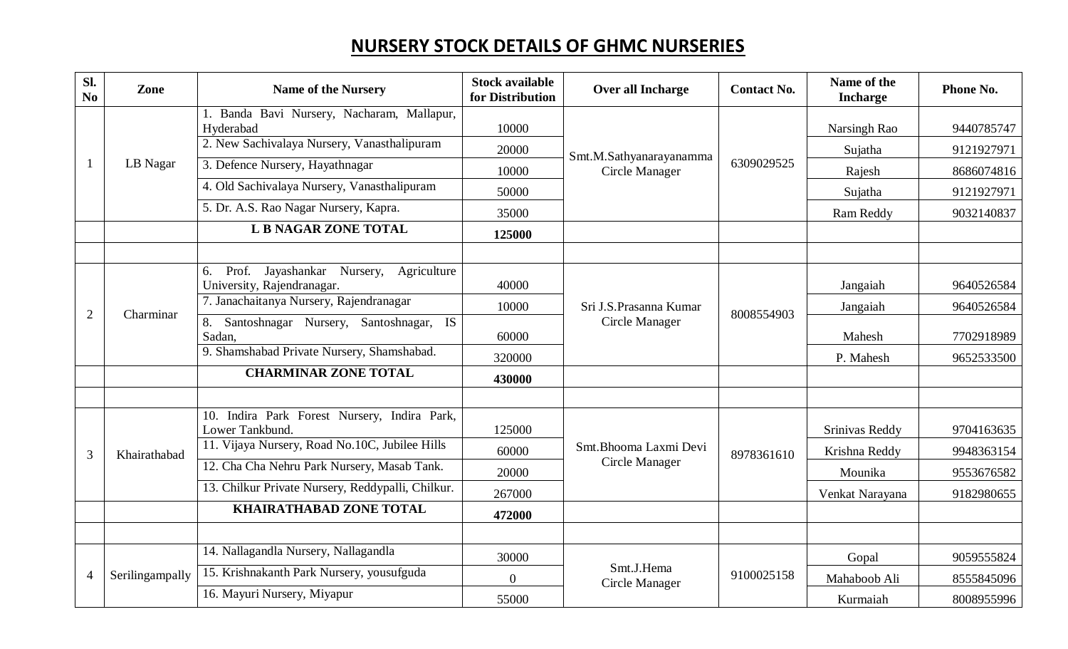# **NURSERY STOCK DETAILS OF GHMC NURSERIES**

| Sl.<br>No      | Zone            | <b>Name of the Nursery</b>                                                       | <b>Stock available</b><br>for Distribution | Over all Incharge            | <b>Contact No.</b> | Name of the<br><b>Incharge</b> | <b>Phone No.</b> |
|----------------|-----------------|----------------------------------------------------------------------------------|--------------------------------------------|------------------------------|--------------------|--------------------------------|------------------|
|                |                 | Banda Bavi Nursery, Nacharam, Mallapur,                                          |                                            |                              |                    |                                |                  |
|                |                 | Hyderabad                                                                        | 10000                                      |                              |                    | Narsingh Rao                   | 9440785747       |
|                |                 | 2. New Sachivalaya Nursery, Vanasthalipuram                                      | 20000                                      | Smt.M.Sathyanarayanamma      |                    | Sujatha                        | 9121927971       |
|                | LB Nagar        | 3. Defence Nursery, Hayathnagar                                                  | 10000                                      | Circle Manager               | 6309029525         | Rajesh                         | 8686074816       |
|                |                 | 4. Old Sachivalaya Nursery, Vanasthalipuram                                      | 50000                                      |                              |                    | Sujatha                        | 9121927971       |
|                |                 | 5. Dr. A.S. Rao Nagar Nursery, Kapra.                                            | 35000                                      |                              |                    | Ram Reddy                      | 9032140837       |
|                |                 | <b>L B NAGAR ZONE TOTAL</b>                                                      | 125000                                     |                              |                    |                                |                  |
|                |                 |                                                                                  |                                            |                              |                    |                                |                  |
|                |                 | Prof.<br>Jayashankar<br>Nursery, Agriculture<br>6.<br>University, Rajendranagar. | 40000                                      |                              |                    | Jangaiah                       | 9640526584       |
|                |                 | 7. Janachaitanya Nursery, Rajendranagar                                          | 10000                                      | Sri J.S. Prasanna Kumar      | 8008554903         | Jangaiah                       | 9640526584       |
| $\overline{2}$ | Charminar       | Santoshnagar Nursery, Santoshnagar, IS<br>8.<br>Sadan,                           | 60000                                      | Circle Manager               |                    | Mahesh                         | 7702918989       |
|                |                 | 9. Shamshabad Private Nursery, Shamshabad.                                       | 320000                                     |                              |                    | P. Mahesh                      | 9652533500       |
|                |                 | <b>CHARMINAR ZONE TOTAL</b>                                                      | 430000                                     |                              |                    |                                |                  |
|                |                 |                                                                                  |                                            |                              |                    |                                |                  |
|                |                 | 10. Indira Park Forest Nursery, Indira Park,<br>Lower Tankbund.                  | 125000                                     |                              |                    | Srinivas Reddy                 | 9704163635       |
| 3              | Khairathabad    | 11. Vijaya Nursery, Road No. 10C, Jubilee Hills                                  | 60000                                      | Smt.Bhooma Laxmi Devi        | 8978361610         | Krishna Reddy                  | 9948363154       |
|                |                 | 12. Cha Cha Nehru Park Nursery, Masab Tank.                                      | 20000                                      | Circle Manager               |                    | Mounika                        | 9553676582       |
|                |                 | 13. Chilkur Private Nursery, Reddypalli, Chilkur.                                | 267000                                     |                              |                    | Venkat Narayana                | 9182980655       |
|                |                 | <b>KHAIRATHABAD ZONE TOTAL</b>                                                   | 472000                                     |                              |                    |                                |                  |
|                |                 |                                                                                  |                                            |                              |                    |                                |                  |
|                |                 | 14. Nallagandla Nursery, Nallagandla                                             | 30000                                      |                              |                    | Gopal                          | 9059555824       |
| $\overline{4}$ | Serilingampally | 15. Krishnakanth Park Nursery, yousufguda                                        | $\theta$                                   | Smt.J.Hema<br>Circle Manager | 9100025158         | Mahaboob Ali                   | 8555845096       |
|                |                 | 16. Mayuri Nursery, Miyapur                                                      | 55000                                      |                              |                    | Kurmaiah                       | 8008955996       |